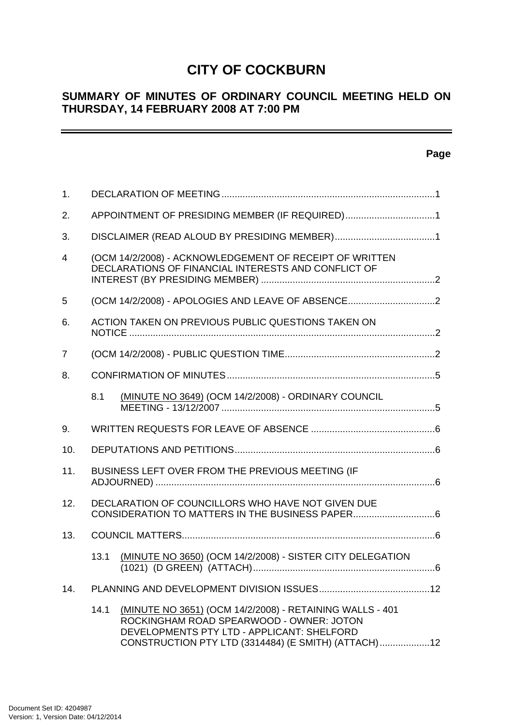# **CITY OF COCKBURN**

## **SUMMARY OF MINUTES OF ORDINARY COUNCIL MEETING HELD ON THURSDAY, 14 FEBRUARY 2008 AT 7:00 PM**

| 1.             |                                                                                                                                                                                                                   |  |  |
|----------------|-------------------------------------------------------------------------------------------------------------------------------------------------------------------------------------------------------------------|--|--|
| 2.             | APPOINTMENT OF PRESIDING MEMBER (IF REQUIRED)1                                                                                                                                                                    |  |  |
| 3.             |                                                                                                                                                                                                                   |  |  |
| 4              | (OCM 14/2/2008) - ACKNOWLEDGEMENT OF RECEIPT OF WRITTEN<br>DECLARATIONS OF FINANCIAL INTERESTS AND CONFLICT OF                                                                                                    |  |  |
| 5              | (OCM 14/2/2008) - APOLOGIES AND LEAVE OF ABSENCE2                                                                                                                                                                 |  |  |
| 6.             | ACTION TAKEN ON PREVIOUS PUBLIC QUESTIONS TAKEN ON                                                                                                                                                                |  |  |
| $\overline{7}$ |                                                                                                                                                                                                                   |  |  |
| 8.             |                                                                                                                                                                                                                   |  |  |
|                | 8.1<br>(MINUTE NO 3649) (OCM 14/2/2008) - ORDINARY COUNCIL                                                                                                                                                        |  |  |
| 9.             |                                                                                                                                                                                                                   |  |  |
| 10.            |                                                                                                                                                                                                                   |  |  |
| 11.            | BUSINESS LEFT OVER FROM THE PREVIOUS MEETING (IF                                                                                                                                                                  |  |  |
| 12.            | DECLARATION OF COUNCILLORS WHO HAVE NOT GIVEN DUE                                                                                                                                                                 |  |  |
| 13.            |                                                                                                                                                                                                                   |  |  |
|                | (MINUTE NO 3650) (OCM 14/2/2008) - SISTER CITY DELEGATION<br>13.1                                                                                                                                                 |  |  |
| 14.            |                                                                                                                                                                                                                   |  |  |
|                | 14.1<br>(MINUTE NO 3651) (OCM 14/2/2008) - RETAINING WALLS - 401<br>ROCKINGHAM ROAD SPEARWOOD - OWNER: JOTON<br>DEVELOPMENTS PTY LTD - APPLICANT: SHELFORD<br>CONSTRUCTION PTY LTD (3314484) (E SMITH) (ATTACH)12 |  |  |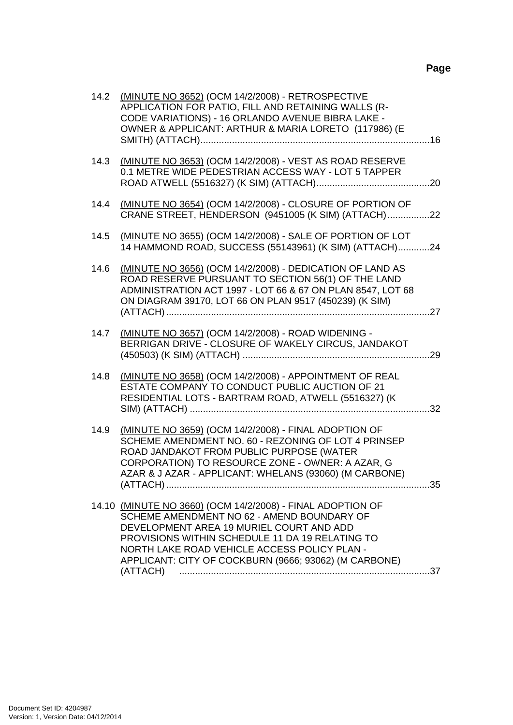| 14.2 | (MINUTE NO 3652) (OCM 14/2/2008) - RETROSPECTIVE<br>APPLICATION FOR PATIO, FILL AND RETAINING WALLS (R-<br>CODE VARIATIONS) - 16 ORLANDO AVENUE BIBRA LAKE -<br>OWNER & APPLICANT: ARTHUR & MARIA LORETO (117986) (E                                                                                                         |  |
|------|------------------------------------------------------------------------------------------------------------------------------------------------------------------------------------------------------------------------------------------------------------------------------------------------------------------------------|--|
| 14.3 | (MINUTE NO 3653) (OCM 14/2/2008) - VEST AS ROAD RESERVE<br>0.1 METRE WIDE PEDESTRIAN ACCESS WAY - LOT 5 TAPPER                                                                                                                                                                                                               |  |
| 14.4 | (MINUTE NO 3654) (OCM 14/2/2008) - CLOSURE OF PORTION OF<br>CRANE STREET, HENDERSON (9451005 (K SIM) (ATTACH)22                                                                                                                                                                                                              |  |
| 14.5 | (MINUTE NO 3655) (OCM 14/2/2008) - SALE OF PORTION OF LOT<br>14 HAMMOND ROAD, SUCCESS (55143961) (K SIM) (ATTACH)24                                                                                                                                                                                                          |  |
| 14.6 | (MINUTE NO 3656) (OCM 14/2/2008) - DEDICATION OF LAND AS<br>ROAD RESERVE PURSUANT TO SECTION 56(1) OF THE LAND<br>ADMINISTRATION ACT 1997 - LOT 66 & 67 ON PLAN 8547, LOT 68<br>ON DIAGRAM 39170, LOT 66 ON PLAN 9517 (450239) (K SIM)                                                                                       |  |
| 14.7 | (MINUTE NO 3657) (OCM 14/2/2008) - ROAD WIDENING -<br>BERRIGAN DRIVE - CLOSURE OF WAKELY CIRCUS, JANDAKOT                                                                                                                                                                                                                    |  |
| 14.8 | (MINUTE NO 3658) (OCM 14/2/2008) - APPOINTMENT OF REAL<br>ESTATE COMPANY TO CONDUCT PUBLIC AUCTION OF 21<br>RESIDENTIAL LOTS - BARTRAM ROAD, ATWELL (5516327) (K                                                                                                                                                             |  |
| 14.9 | (MINUTE NO 3659) (OCM 14/2/2008) - FINAL ADOPTION OF<br>SCHEME AMENDMENT NO. 60 - REZONING OF LOT 4 PRINSEP<br>ROAD JANDAKOT FROM PUBLIC PURPOSE (WATER<br>CORPORATION) TO RESOURCE ZONE - OWNER: A AZAR, G<br>AZAR & J AZAR - APPLICANT: WHELANS (93060) (M CARBONE)                                                        |  |
|      | 14.10 (MINUTE NO 3660) (OCM 14/2/2008) - FINAL ADOPTION OF<br>SCHEME AMENDMENT NO 62 - AMEND BOUNDARY OF<br>DEVELOPMENT AREA 19 MURIEL COURT AND ADD<br>PROVISIONS WITHIN SCHEDULE 11 DA 19 RELATING TO<br>NORTH LAKE ROAD VEHICLE ACCESS POLICY PLAN -<br>APPLICANT: CITY OF COCKBURN (9666; 93062) (M CARBONE)<br>(ATTACH) |  |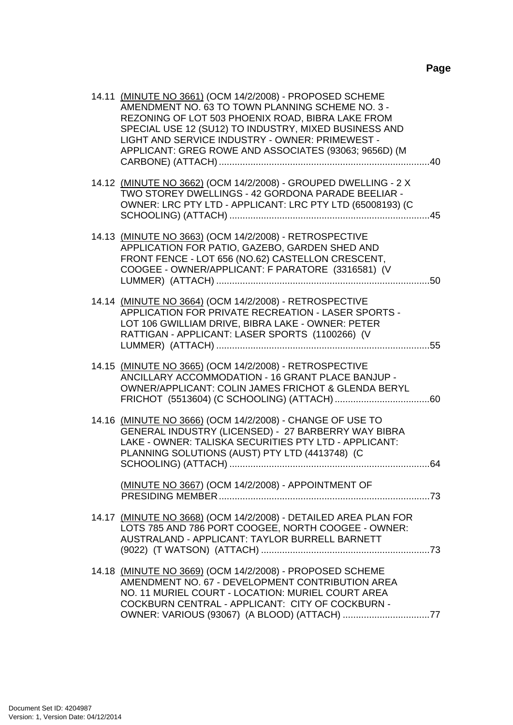| 14.11 (MINUTE NO 3661) (OCM 14/2/2008) - PROPOSED SCHEME<br>AMENDMENT NO. 63 TO TOWN PLANNING SCHEME NO. 3 -<br>REZONING OF LOT 503 PHOENIX ROAD, BIBRA LAKE FROM<br>SPECIAL USE 12 (SU12) TO INDUSTRY, MIXED BUSINESS AND<br>LIGHT AND SERVICE INDUSTRY - OWNER: PRIMEWEST -<br>APPLICANT: GREG ROWE AND ASSOCIATES (93063; 9656D) (M |  |
|----------------------------------------------------------------------------------------------------------------------------------------------------------------------------------------------------------------------------------------------------------------------------------------------------------------------------------------|--|
| 14.12 (MINUTE NO 3662) (OCM 14/2/2008) - GROUPED DWELLING - 2 X<br>TWO STOREY DWELLINGS - 42 GORDONA PARADE BEELIAR -<br>OWNER: LRC PTY LTD - APPLICANT: LRC PTY LTD (65008193) (C                                                                                                                                                     |  |
| 14.13 (MINUTE NO 3663) (OCM 14/2/2008) - RETROSPECTIVE<br>APPLICATION FOR PATIO, GAZEBO, GARDEN SHED AND<br>FRONT FENCE - LOT 656 (NO.62) CASTELLON CRESCENT,<br>COOGEE - OWNER/APPLICANT: F PARATORE (3316581) (V                                                                                                                     |  |
| 14.14 (MINUTE NO 3664) (OCM 14/2/2008) - RETROSPECTIVE<br>APPLICATION FOR PRIVATE RECREATION - LASER SPORTS -<br>LOT 106 GWILLIAM DRIVE, BIBRA LAKE - OWNER: PETER<br>RATTIGAN - APPLICANT: LASER SPORTS (1100266) (V                                                                                                                  |  |
| 14.15 (MINUTE NO 3665) (OCM 14/2/2008) - RETROSPECTIVE<br>ANCILLARY ACCOMMODATION - 16 GRANT PLACE BANJUP -<br>OWNER/APPLICANT: COLIN JAMES FRICHOT & GLENDA BERYL                                                                                                                                                                     |  |
| 14.16 (MINUTE NO 3666) (OCM 14/2/2008) - CHANGE OF USE TO<br>GENERAL INDUSTRY (LICENSED) - 27 BARBERRY WAY BIBRA<br>LAKE - OWNER: TALISKA SECURITIES PTY LTD - APPLICANT:<br>PLANNING SOLUTIONS (AUST) PTY LTD (4413748) (C                                                                                                            |  |
| (MINUTE NO 3667) (OCM 14/2/2008) - APPOINTMENT OF                                                                                                                                                                                                                                                                                      |  |
| 14.17 (MINUTE NO 3668) (OCM 14/2/2008) - DETAILED AREA PLAN FOR<br>LOTS 785 AND 786 PORT COOGEE, NORTH COOGEE - OWNER:<br>AUSTRALAND - APPLICANT: TAYLOR BURRELL BARNETT                                                                                                                                                               |  |
| 14.18 (MINUTE NO 3669) (OCM 14/2/2008) - PROPOSED SCHEME<br>AMENDMENT NO. 67 - DEVELOPMENT CONTRIBUTION AREA<br>NO. 11 MURIEL COURT - LOCATION: MURIEL COURT AREA<br>COCKBURN CENTRAL - APPLICANT: CITY OF COCKBURN -<br>OWNER: VARIOUS (93067) (A BLOOD) (ATTACH) 77                                                                  |  |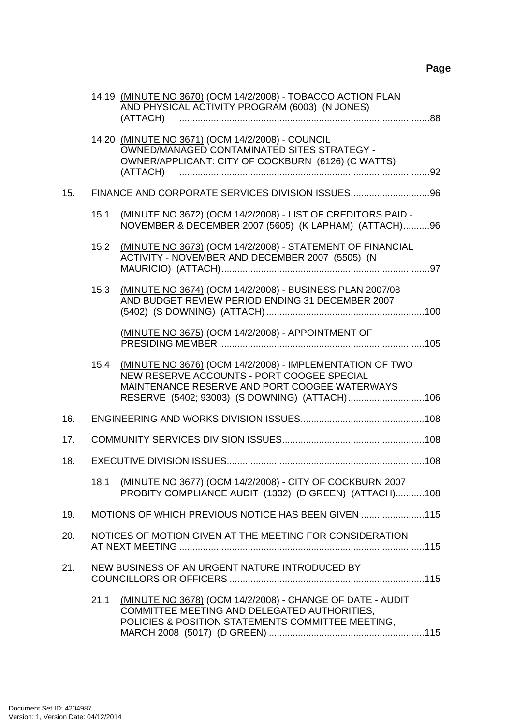|     |      | 14.19 (MINUTE NO 3670) (OCM 14/2/2008) - TOBACCO ACTION PLAN<br>AND PHYSICAL ACTIVITY PROGRAM (6003) (N JONES)                                                                                           |  |
|-----|------|----------------------------------------------------------------------------------------------------------------------------------------------------------------------------------------------------------|--|
|     |      | 14.20 (MINUTE NO 3671) (OCM 14/2/2008) - COUNCIL<br>OWNED/MANAGED CONTAMINATED SITES STRATEGY -<br>OWNER/APPLICANT: CITY OF COCKBURN (6126) (C WATTS)<br>(ATTACH)                                        |  |
| 15. |      |                                                                                                                                                                                                          |  |
|     | 15.1 | (MINUTE NO 3672) (OCM 14/2/2008) - LIST OF CREDITORS PAID -<br>NOVEMBER & DECEMBER 2007 (5605) (K LAPHAM) (ATTACH)96                                                                                     |  |
|     | 15.2 | (MINUTE NO 3673) (OCM 14/2/2008) - STATEMENT OF FINANCIAL<br>ACTIVITY - NOVEMBER AND DECEMBER 2007 (5505) (N                                                                                             |  |
|     | 15.3 | (MINUTE NO 3674) (OCM 14/2/2008) - BUSINESS PLAN 2007/08<br>AND BUDGET REVIEW PERIOD ENDING 31 DECEMBER 2007                                                                                             |  |
|     |      | (MINUTE NO 3675) (OCM 14/2/2008) - APPOINTMENT OF                                                                                                                                                        |  |
|     | 15.4 | (MINUTE NO 3676) (OCM 14/2/2008) - IMPLEMENTATION OF TWO<br>NEW RESERVE ACCOUNTS - PORT COOGEE SPECIAL<br>MAINTENANCE RESERVE AND PORT COOGEE WATERWAYS<br>RESERVE (5402; 93003) (S DOWNING) (ATTACH)106 |  |
| 16. |      |                                                                                                                                                                                                          |  |
| 17. |      |                                                                                                                                                                                                          |  |
| 18. |      |                                                                                                                                                                                                          |  |
|     | 18.1 | (MINUTE NO 3677) (OCM 14/2/2008) - CITY OF COCKBURN 2007<br>PROBITY COMPLIANCE AUDIT (1332) (D GREEN) (ATTACH)108                                                                                        |  |
| 19. |      | MOTIONS OF WHICH PREVIOUS NOTICE HAS BEEN GIVEN 115                                                                                                                                                      |  |
| 20. |      | NOTICES OF MOTION GIVEN AT THE MEETING FOR CONSIDERATION                                                                                                                                                 |  |
| 21. |      | NEW BUSINESS OF AN URGENT NATURE INTRODUCED BY                                                                                                                                                           |  |
|     | 21.1 | (MINUTE NO 3678) (OCM 14/2/2008) - CHANGE OF DATE - AUDIT<br>COMMITTEE MEETING AND DELEGATED AUTHORITIES,<br>POLICIES & POSITION STATEMENTS COMMITTEE MEETING,                                           |  |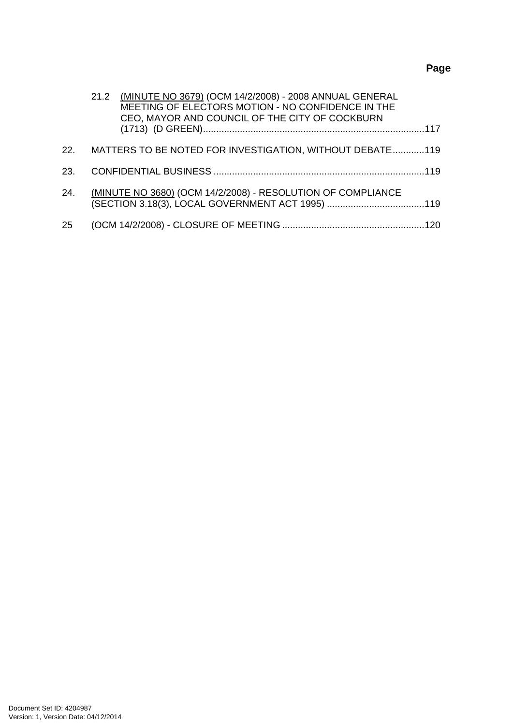|                 | 21.2 (MINUTE NO 3679) (OCM 14/2/2008) - 2008 ANNUAL GENERAL<br>MEETING OF ELECTORS MOTION - NO CONFIDENCE IN THE<br>CEO, MAYOR AND COUNCIL OF THE CITY OF COCKBURN |  |
|-----------------|--------------------------------------------------------------------------------------------------------------------------------------------------------------------|--|
|                 | 22. MATTERS TO BE NOTED FOR INVESTIGATION, WITHOUT DEBATE119                                                                                                       |  |
| 23.             |                                                                                                                                                                    |  |
| 24.             | (MINUTE NO 3680) (OCM 14/2/2008) - RESOLUTION OF COMPLIANCE                                                                                                        |  |
| 25 <sub>2</sub> |                                                                                                                                                                    |  |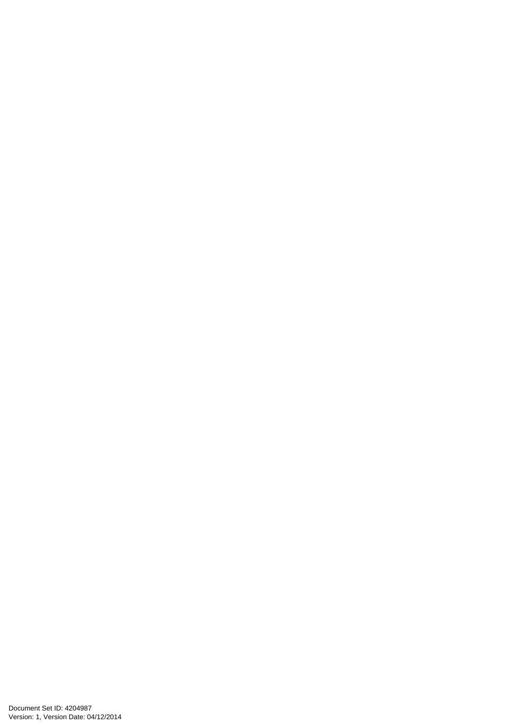Document Set ID: 4204987<br>Version: 1, Version Date: 04/12/2014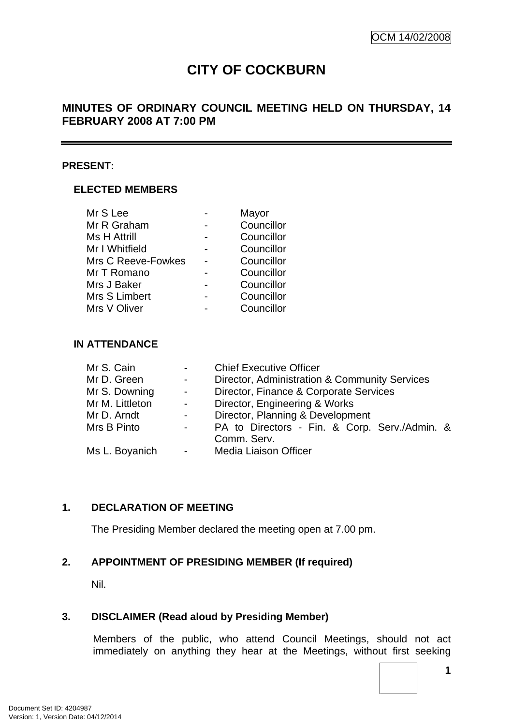# **CITY OF COCKBURN**

### <span id="page-6-0"></span>**MINUTES OF ORDINARY COUNCIL MEETING HELD ON THURSDAY, 14 FEBRUARY 2008 AT 7:00 PM**

#### **PRESENT:**

### **ELECTED MEMBERS**

| Mr S Lee            | Mayor      |
|---------------------|------------|
| Mr R Graham         | Councillor |
| <b>Ms H Attrill</b> | Councillor |
| Mr I Whitfield      | Councillor |
| Mrs C Reeve-Fowkes  | Councillor |
| Mr T Romano         | Councillor |
| Mrs J Baker         | Councillor |
| Mrs S Limbert       | Councillor |
| Mrs V Oliver        | Councillor |

### **IN ATTENDANCE**

| <b>Chief Executive Officer</b>                |
|-----------------------------------------------|
| Director, Administration & Community Services |
| Director, Finance & Corporate Services        |
| Director, Engineering & Works                 |
| Director, Planning & Development              |
| PA to Directors - Fin. & Corp. Serv./Admin. & |
| Comm. Serv.                                   |
| <b>Media Liaison Officer</b>                  |
|                                               |

### **1. DECLARATION OF MEETING**

The Presiding Member declared the meeting open at 7.00 pm.

#### **2. APPOINTMENT OF PRESIDING MEMBER (If required)**

Nil.

#### **3. DISCLAIMER (Read aloud by Presiding Member)**

Members of the public, who attend Council Meetings, should not act immediately on anything they hear at the Meetings, without first seeking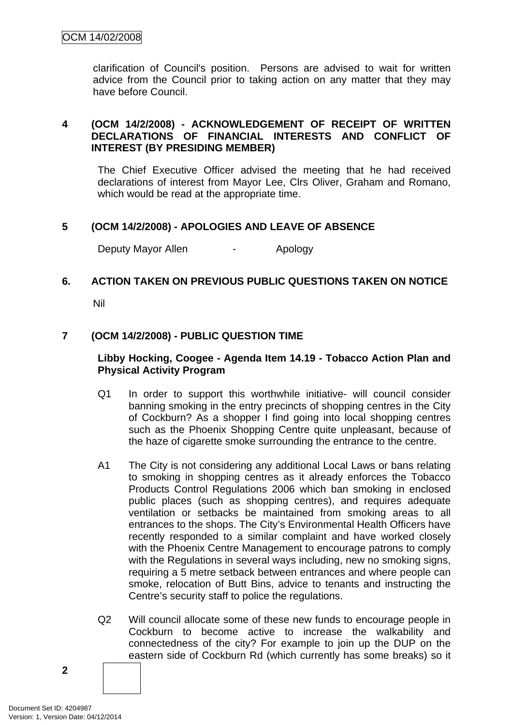<span id="page-7-0"></span>clarification of Council's position. Persons are advised to wait for written advice from the Council prior to taking action on any matter that they may have before Council.

### **4 (OCM 14/2/2008) - ACKNOWLEDGEMENT OF RECEIPT OF WRITTEN DECLARATIONS OF FINANCIAL INTERESTS AND CONFLICT OF INTEREST (BY PRESIDING MEMBER)**

The Chief Executive Officer advised the meeting that he had received declarations of interest from Mayor Lee, Clrs Oliver, Graham and Romano, which would be read at the appropriate time.

### **5 (OCM 14/2/2008) - APOLOGIES AND LEAVE OF ABSENCE**

Deputy Mayor Allen **- Apology** 

### **6. ACTION TAKEN ON PREVIOUS PUBLIC QUESTIONS TAKEN ON NOTICE**

Nil

### **7 (OCM 14/2/2008) - PUBLIC QUESTION TIME**

#### **Libby Hocking, Coogee - Agenda Item 14.19 - Tobacco Action Plan and Physical Activity Program**

- Q1 In order to support this worthwhile initiative- will council consider banning smoking in the entry precincts of shopping centres in the City of Cockburn? As a shopper I find going into local shopping centres such as the Phoenix Shopping Centre quite unpleasant, because of the haze of cigarette smoke surrounding the entrance to the centre.
- A1 The City is not considering any additional Local Laws or bans relating to smoking in shopping centres as it already enforces the Tobacco Products Control Regulations 2006 which ban smoking in enclosed public places (such as shopping centres), and requires adequate ventilation or setbacks be maintained from smoking areas to all entrances to the shops. The City's Environmental Health Officers have recently responded to a similar complaint and have worked closely with the Phoenix Centre Management to encourage patrons to comply with the Regulations in several ways including, new no smoking signs, requiring a 5 metre setback between entrances and where people can smoke, relocation of Butt Bins, advice to tenants and instructing the Centre's security staff to police the regulations.
- Q2 Will council allocate some of these new funds to encourage people in Cockburn to become active to increase the walkability and connectedness of the city? For example to join up the DUP on the eastern side of Cockburn Rd (which currently has some breaks) so it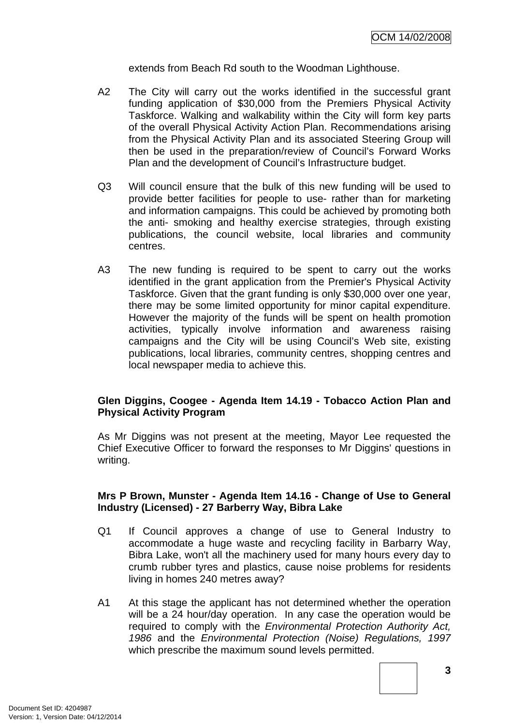extends from Beach Rd south to the Woodman Lighthouse.

- A2 The City will carry out the works identified in the successful grant funding application of \$30,000 from the Premiers Physical Activity Taskforce. Walking and walkability within the City will form key parts of the overall Physical Activity Action Plan. Recommendations arising from the Physical Activity Plan and its associated Steering Group will then be used in the preparation/review of Council's Forward Works Plan and the development of Council's Infrastructure budget.
- Q3 Will council ensure that the bulk of this new funding will be used to provide better facilities for people to use- rather than for marketing and information campaigns. This could be achieved by promoting both the anti- smoking and healthy exercise strategies, through existing publications, the council website, local libraries and community centres.
- A3 The new funding is required to be spent to carry out the works identified in the grant application from the Premier's Physical Activity Taskforce. Given that the grant funding is only \$30,000 over one year, there may be some limited opportunity for minor capital expenditure. However the majority of the funds will be spent on health promotion activities, typically involve information and awareness raising campaigns and the City will be using Council's Web site, existing publications, local libraries, community centres, shopping centres and local newspaper media to achieve this.

### **Glen Diggins, Coogee - Agenda Item 14.19 - Tobacco Action Plan and Physical Activity Program**

As Mr Diggins was not present at the meeting, Mayor Lee requested the Chief Executive Officer to forward the responses to Mr Diggins' questions in writing.

#### **Mrs P Brown, Munster - Agenda Item 14.16 - Change of Use to General Industry (Licensed) - 27 Barberry Way, Bibra Lake**

- Q1 If Council approves a change of use to General Industry to accommodate a huge waste and recycling facility in Barbarry Way, Bibra Lake, won't all the machinery used for many hours every day to crumb rubber tyres and plastics, cause noise problems for residents living in homes 240 metres away?
- A1 At this stage the applicant has not determined whether the operation will be a 24 hour/day operation. In any case the operation would be required to comply with the *Environmental Protection Authority Act, 1986* and the *Environmental Protection (Noise) Regulations, 1997* which prescribe the maximum sound levels permitted.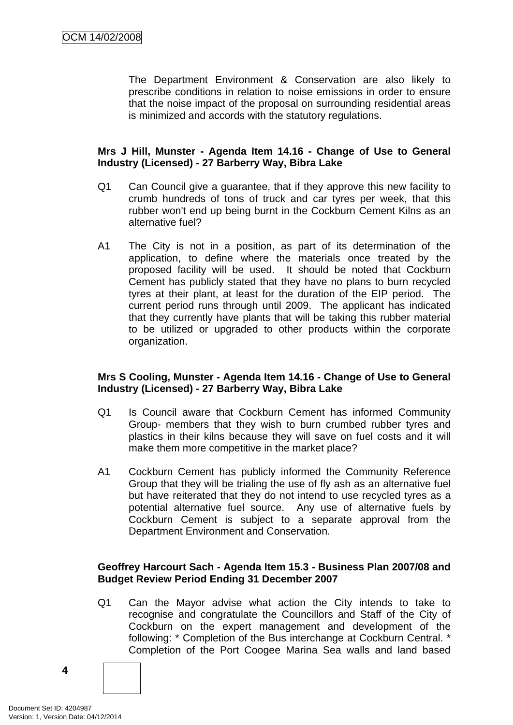<span id="page-9-0"></span>The Department Environment & Conservation are also likely to prescribe conditions in relation to noise emissions in order to ensure that the noise impact of the proposal on surrounding residential areas is minimized and accords with the statutory regulations.

### **Mrs J Hill, Munster - Agenda Item 14.16 - Change of Use to General Industry (Licensed) - 27 Barberry Way, Bibra Lake**

- Q1 Can Council give a guarantee, that if they approve this new facility to crumb hundreds of tons of truck and car tyres per week, that this rubber won't end up being burnt in the Cockburn Cement Kilns as an alternative fuel?
- A1 The City is not in a position, as part of its determination of the application, to define where the materials once treated by the proposed facility will be used. It should be noted that Cockburn Cement has publicly stated that they have no plans to burn recycled tyres at their plant, at least for the duration of the EIP period. The current period runs through until 2009. The applicant has indicated that they currently have plants that will be taking this rubber material to be utilized or upgraded to other products within the corporate organization.

### **Mrs S Cooling, Munster - Agenda Item 14.16 - Change of Use to General Industry (Licensed) - 27 Barberry Way, Bibra Lake**

- Q1 Is Council aware that Cockburn Cement has informed Community Group- members that they wish to burn crumbed rubber tyres and plastics in their kilns because they will save on fuel costs and it will make them more competitive in the market place?
- A1 Cockburn Cement has publicly informed the Community Reference Group that they will be trialing the use of fly ash as an alternative fuel but have reiterated that they do not intend to use recycled tyres as a potential alternative fuel source. Any use of alternative fuels by Cockburn Cement is subject to a separate approval from the Department Environment and Conservation.

### **Geoffrey Harcourt Sach - Agenda Item 15.3 - Business Plan 2007/08 and Budget Review Period Ending 31 December 2007**

Q1 Can the Mayor advise what action the City intends to take to recognise and congratulate the Councillors and Staff of the City of Cockburn on the expert management and development of the following: \* Completion of the Bus interchange at Cockburn Central. \* Completion of the Port Coogee Marina Sea walls and land based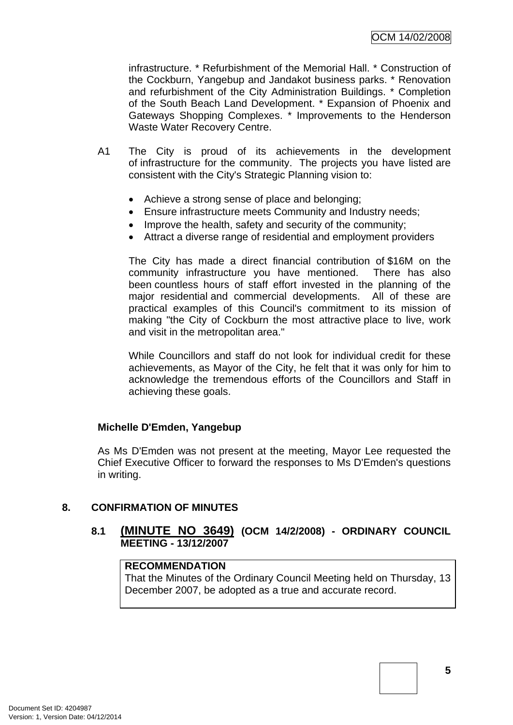infrastructure. \* Refurbishment of the Memorial Hall. \* Construction of the Cockburn, Yangebup and Jandakot business parks. \* Renovation and refurbishment of the City Administration Buildings. \* Completion of the South Beach Land Development. \* Expansion of Phoenix and Gateways Shopping Complexes. \* Improvements to the Henderson Waste Water Recovery Centre.

- A1 The City is proud of its achievements in the development of infrastructure for the community. The projects you have listed are consistent with the City's Strategic Planning vision to:
	- Achieve a strong sense of place and belonging;
	- Ensure infrastructure meets Community and Industry needs;
	- Improve the health, safety and security of the community;
	- Attract a diverse range of residential and employment providers

The City has made a direct financial contribution of \$16M on the community infrastructure you have mentioned. There has also been countless hours of staff effort invested in the planning of the major residential and commercial developments. All of these are practical examples of this Council's commitment to its mission of making "the City of Cockburn the most attractive place to live, work and visit in the metropolitan area."

While Councillors and staff do not look for individual credit for these achievements, as Mayor of the City, he felt that it was only for him to acknowledge the tremendous efforts of the Councillors and Staff in achieving these goals.

#### **Michelle D'Emden, Yangebup**

As Ms D'Emden was not present at the meeting, Mayor Lee requested the Chief Executive Officer to forward the responses to Ms D'Emden's questions in writing.

#### **8. CONFIRMATION OF MINUTES**

**8.1 (MINUTE NO 3649) (OCM 14/2/2008) - ORDINARY COUNCIL MEETING - 13/12/2007** 

#### **RECOMMENDATION**

That the Minutes of the Ordinary Council Meeting held on Thursday, 13 December 2007, be adopted as a true and accurate record.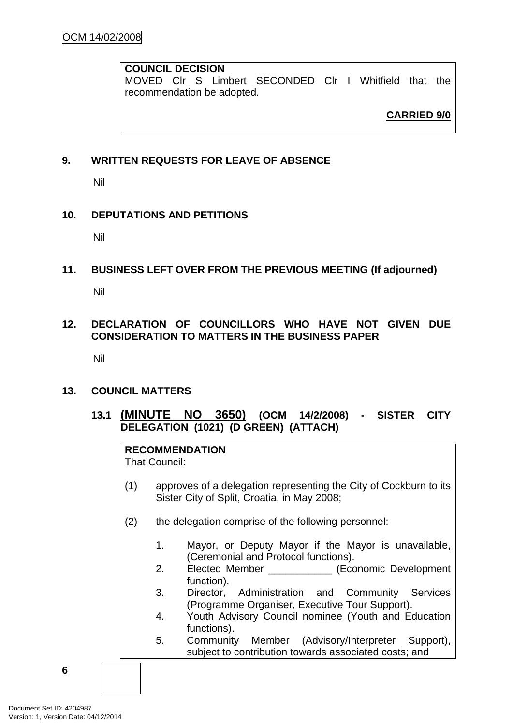### <span id="page-11-0"></span>**COUNCIL DECISION**

MOVED Clr S Limbert SECONDED Clr I Whitfield that the recommendation be adopted.

**CARRIED 9/0**

### **9. WRITTEN REQUESTS FOR LEAVE OF ABSENCE**

Nil

### **10. DEPUTATIONS AND PETITIONS**

Nil

### **11. BUSINESS LEFT OVER FROM THE PREVIOUS MEETING (If adjourned)**

Nil

### **12. DECLARATION OF COUNCILLORS WHO HAVE NOT GIVEN DUE CONSIDERATION TO MATTERS IN THE BUSINESS PAPER**

Nil

### **13. COUNCIL MATTERS**

### **13.1 (MINUTE NO 3650) (OCM 14/2/2008) - SISTER CITY DELEGATION (1021) (D GREEN) (ATTACH)**

### **RECOMMENDATION**

That Council:

- (1) approves of a delegation representing the City of Cockburn to its Sister City of Split, Croatia, in May 2008;
- (2) the delegation comprise of the following personnel:
	- 1. Mayor, or Deputy Mayor if the Mayor is unavailable, (Ceremonial and Protocol functions).
	- 2. Elected Member (Economic Development function).
	- 3. Director, Administration and Community Services (Programme Organiser, Executive Tour Support).
	- 4. Youth Advisory Council nominee (Youth and Education functions).
	- 5. Community Member (Advisory/Interpreter Support), subject to contribution towards associated costs; and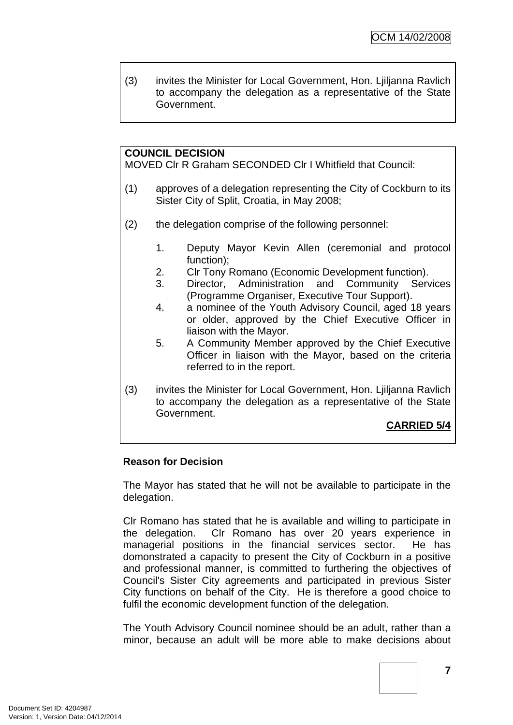(3) invites the Minister for Local Government, Hon. Ljiljanna Ravlich to accompany the delegation as a representative of the State Government.

### **COUNCIL DECISION**

MOVED Clr R Graham SECONDED Clr I Whitfield that Council:

- (1) approves of a delegation representing the City of Cockburn to its Sister City of Split, Croatia, in May 2008;
- (2) the delegation comprise of the following personnel:
	- 1. Deputy Mayor Kevin Allen (ceremonial and protocol function);
	- 2. Clr Tony Romano (Economic Development function).
	- 3. Director, Administration and Community Services (Programme Organiser, Executive Tour Support).
	- 4. a nominee of the Youth Advisory Council, aged 18 years or older, approved by the Chief Executive Officer in liaison with the Mayor.
	- 5. A Community Member approved by the Chief Executive Officer in liaison with the Mayor, based on the criteria referred to in the report.
- (3) invites the Minister for Local Government, Hon. Ljiljanna Ravlich to accompany the delegation as a representative of the State Government.

### **CARRIED 5/4**

#### **Reason for Decision**

The Mayor has stated that he will not be available to participate in the delegation.

Clr Romano has stated that he is available and willing to participate in the delegation. Clr Romano has over 20 years experience in managerial positions in the financial services sector. He has domonstrated a capacity to present the City of Cockburn in a positive and professional manner, is committed to furthering the objectives of Council's Sister City agreements and participated in previous Sister City functions on behalf of the City. He is therefore a good choice to fulfil the economic development function of the delegation.

The Youth Advisory Council nominee should be an adult, rather than a minor, because an adult will be more able to make decisions about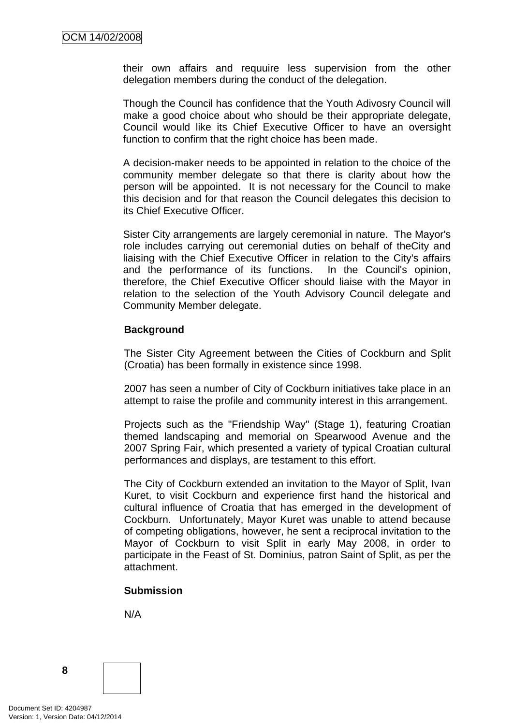their own affairs and requuire less supervision from the other delegation members during the conduct of the delegation.

Though the Council has confidence that the Youth Adivosry Council will make a good choice about who should be their appropriate delegate, Council would like its Chief Executive Officer to have an oversight function to confirm that the right choice has been made.

A decision-maker needs to be appointed in relation to the choice of the community member delegate so that there is clarity about how the person will be appointed. It is not necessary for the Council to make this decision and for that reason the Council delegates this decision to its Chief Executive Officer.

Sister City arrangements are largely ceremonial in nature. The Mayor's role includes carrying out ceremonial duties on behalf of theCity and liaising with the Chief Executive Officer in relation to the City's affairs and the performance of its functions. In the Council's opinion, therefore, the Chief Executive Officer should liaise with the Mayor in relation to the selection of the Youth Advisory Council delegate and Community Member delegate.

#### **Background**

The Sister City Agreement between the Cities of Cockburn and Split (Croatia) has been formally in existence since 1998.

2007 has seen a number of City of Cockburn initiatives take place in an attempt to raise the profile and community interest in this arrangement.

Projects such as the "Friendship Way" (Stage 1), featuring Croatian themed landscaping and memorial on Spearwood Avenue and the 2007 Spring Fair, which presented a variety of typical Croatian cultural performances and displays, are testament to this effort.

The City of Cockburn extended an invitation to the Mayor of Split, Ivan Kuret, to visit Cockburn and experience first hand the historical and cultural influence of Croatia that has emerged in the development of Cockburn. Unfortunately, Mayor Kuret was unable to attend because of competing obligations, however, he sent a reciprocal invitation to the Mayor of Cockburn to visit Split in early May 2008, in order to participate in the Feast of St. Dominius, patron Saint of Split, as per the attachment.

#### **Submission**

N/A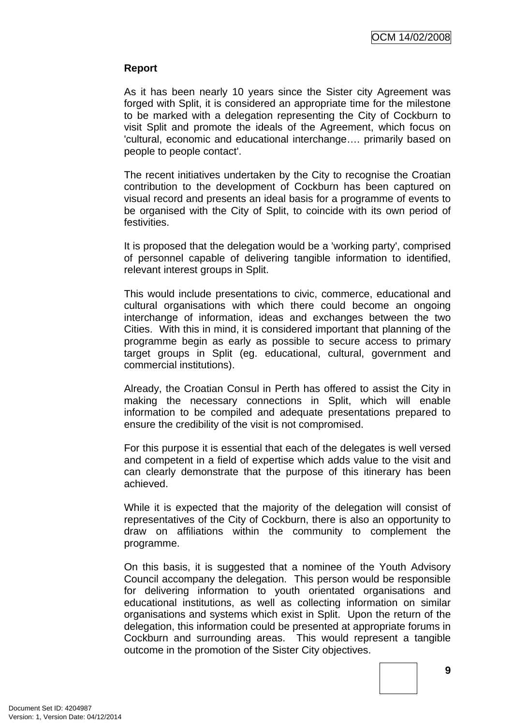### **Report**

As it has been nearly 10 years since the Sister city Agreement was forged with Split, it is considered an appropriate time for the milestone to be marked with a delegation representing the City of Cockburn to visit Split and promote the ideals of the Agreement, which focus on 'cultural, economic and educational interchange…. primarily based on people to people contact'.

The recent initiatives undertaken by the City to recognise the Croatian contribution to the development of Cockburn has been captured on visual record and presents an ideal basis for a programme of events to be organised with the City of Split, to coincide with its own period of festivities.

It is proposed that the delegation would be a 'working party', comprised of personnel capable of delivering tangible information to identified, relevant interest groups in Split.

This would include presentations to civic, commerce, educational and cultural organisations with which there could become an ongoing interchange of information, ideas and exchanges between the two Cities. With this in mind, it is considered important that planning of the programme begin as early as possible to secure access to primary target groups in Split (eg. educational, cultural, government and commercial institutions).

Already, the Croatian Consul in Perth has offered to assist the City in making the necessary connections in Split, which will enable information to be compiled and adequate presentations prepared to ensure the credibility of the visit is not compromised.

For this purpose it is essential that each of the delegates is well versed and competent in a field of expertise which adds value to the visit and can clearly demonstrate that the purpose of this itinerary has been achieved.

While it is expected that the majority of the delegation will consist of representatives of the City of Cockburn, there is also an opportunity to draw on affiliations within the community to complement the programme.

On this basis, it is suggested that a nominee of the Youth Advisory Council accompany the delegation. This person would be responsible for delivering information to youth orientated organisations and educational institutions, as well as collecting information on similar organisations and systems which exist in Split. Upon the return of the delegation, this information could be presented at appropriate forums in Cockburn and surrounding areas. This would represent a tangible outcome in the promotion of the Sister City objectives.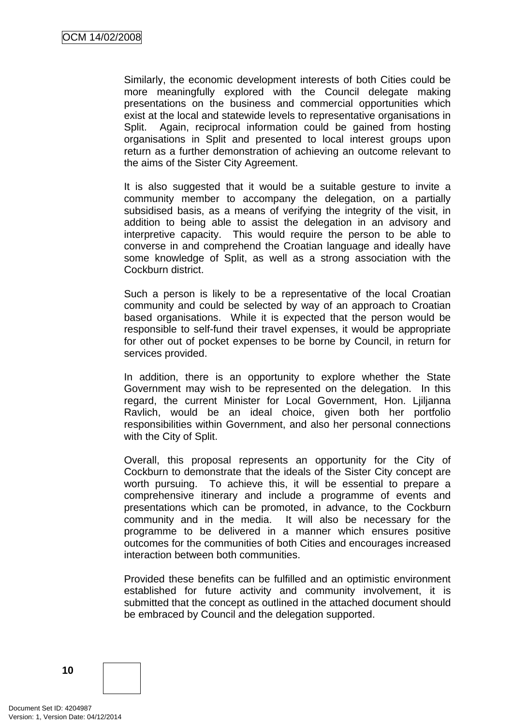Similarly, the economic development interests of both Cities could be more meaningfully explored with the Council delegate making presentations on the business and commercial opportunities which exist at the local and statewide levels to representative organisations in Split. Again, reciprocal information could be gained from hosting organisations in Split and presented to local interest groups upon return as a further demonstration of achieving an outcome relevant to the aims of the Sister City Agreement.

It is also suggested that it would be a suitable gesture to invite a community member to accompany the delegation, on a partially subsidised basis, as a means of verifying the integrity of the visit, in addition to being able to assist the delegation in an advisory and interpretive capacity. This would require the person to be able to converse in and comprehend the Croatian language and ideally have some knowledge of Split, as well as a strong association with the Cockburn district.

Such a person is likely to be a representative of the local Croatian community and could be selected by way of an approach to Croatian based organisations. While it is expected that the person would be responsible to self-fund their travel expenses, it would be appropriate for other out of pocket expenses to be borne by Council, in return for services provided.

In addition, there is an opportunity to explore whether the State Government may wish to be represented on the delegation. In this regard, the current Minister for Local Government, Hon. Ljiljanna Ravlich, would be an ideal choice, given both her portfolio responsibilities within Government, and also her personal connections with the City of Split.

Overall, this proposal represents an opportunity for the City of Cockburn to demonstrate that the ideals of the Sister City concept are worth pursuing. To achieve this, it will be essential to prepare a comprehensive itinerary and include a programme of events and presentations which can be promoted, in advance, to the Cockburn community and in the media. It will also be necessary for the programme to be delivered in a manner which ensures positive outcomes for the communities of both Cities and encourages increased interaction between both communities.

Provided these benefits can be fulfilled and an optimistic environment established for future activity and community involvement, it is submitted that the concept as outlined in the attached document should be embraced by Council and the delegation supported.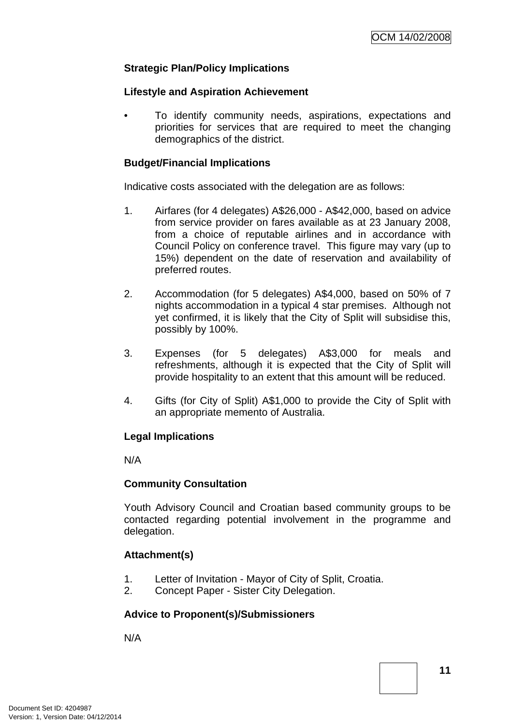### **Strategic Plan/Policy Implications**

#### **Lifestyle and Aspiration Achievement**

• To identify community needs, aspirations, expectations and priorities for services that are required to meet the changing demographics of the district.

#### **Budget/Financial Implications**

Indicative costs associated with the delegation are as follows:

- 1. Airfares (for 4 delegates) A\$26,000 A\$42,000, based on advice from service provider on fares available as at 23 January 2008, from a choice of reputable airlines and in accordance with Council Policy on conference travel. This figure may vary (up to 15%) dependent on the date of reservation and availability of preferred routes.
- 2. Accommodation (for 5 delegates) A\$4,000, based on 50% of 7 nights accommodation in a typical 4 star premises. Although not yet confirmed, it is likely that the City of Split will subsidise this, possibly by 100%.
- 3. Expenses (for 5 delegates) A\$3,000 for meals and refreshments, although it is expected that the City of Split will provide hospitality to an extent that this amount will be reduced.
- 4. Gifts (for City of Split) A\$1,000 to provide the City of Split with an appropriate memento of Australia.

#### **Legal Implications**

N/A

#### **Community Consultation**

Youth Advisory Council and Croatian based community groups to be contacted regarding potential involvement in the programme and delegation.

### **Attachment(s)**

- 1. Letter of Invitation Mayor of City of Split, Croatia.
- 2. Concept Paper Sister City Delegation.

#### **Advice to Proponent(s)/Submissioners**

N/A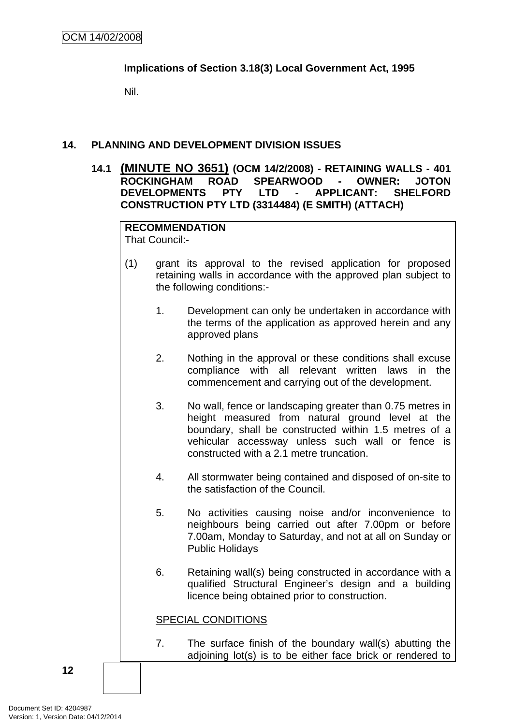### <span id="page-17-0"></span>**Implications of Section 3.18(3) Local Government Act, 1995**

Nil.

### **14. PLANNING AND DEVELOPMENT DIVISION ISSUES**

**14.1 (MINUTE NO 3651) (OCM 14/2/2008) - RETAINING WALLS - 401 ROCKINGHAM ROAD SPEARWOOD - OWNER: JOTON DEVELOPMENTS PTY LTD - APPLICANT: SHELFORD CONSTRUCTION PTY LTD (3314484) (E SMITH) (ATTACH)** 

# **RECOMMENDATION**

That Council:-

- (1) grant its approval to the revised application for proposed retaining walls in accordance with the approved plan subject to the following conditions:-
	- 1. Development can only be undertaken in accordance with the terms of the application as approved herein and any approved plans
	- 2. Nothing in the approval or these conditions shall excuse compliance with all relevant written laws in the commencement and carrying out of the development.
	- 3. No wall, fence or landscaping greater than 0.75 metres in height measured from natural ground level at the boundary, shall be constructed within 1.5 metres of a vehicular accessway unless such wall or fence is constructed with a 2.1 metre truncation.
	- 4. All stormwater being contained and disposed of on-site to the satisfaction of the Council.
	- 5. No activities causing noise and/or inconvenience to neighbours being carried out after 7.00pm or before 7.00am, Monday to Saturday, and not at all on Sunday or Public Holidays
	- 6. Retaining wall(s) being constructed in accordance with a qualified Structural Engineer's design and a building licence being obtained prior to construction.

#### SPECIAL CONDITIONS

7. The surface finish of the boundary wall(s) abutting the adjoining lot(s) is to be either face brick or rendered to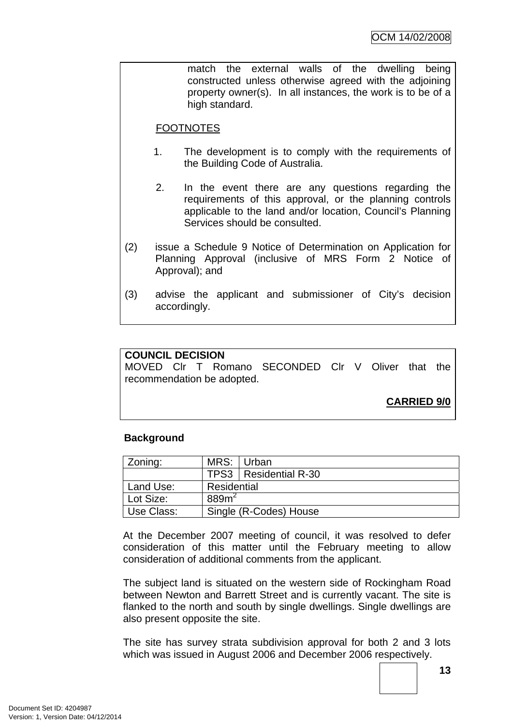match the external walls of the dwelling being constructed unless otherwise agreed with the adjoining property owner(s). In all instances, the work is to be of a high standard.

### FOOTNOTES

- 1. The development is to comply with the requirements of the Building Code of Australia.
- 2. In the event there are any questions regarding the requirements of this approval, or the planning controls applicable to the land and/or location, Council's Planning Services should be consulted.
- (2) issue a Schedule 9 Notice of Determination on Application for Planning Approval (inclusive of MRS Form 2 Notice of Approval); and
- (3) advise the applicant and submissioner of City's decision accordingly.

### **COUNCIL DECISION**

MOVED Clr T Romano SECONDED Clr V Oliver that the recommendation be adopted.

### **CARRIED 9/0**

#### **Background**

| Zoning:               |                        | MRS: Urban              |  |
|-----------------------|------------------------|-------------------------|--|
|                       |                        | TPS3   Residential R-30 |  |
| Land Use:             | Residential            |                         |  |
| $889m^2$<br>Lot Size: |                        |                         |  |
| Use Class:            | Single (R-Codes) House |                         |  |

At the December 2007 meeting of council, it was resolved to defer consideration of this matter until the February meeting to allow consideration of additional comments from the applicant.

The subject land is situated on the western side of Rockingham Road between Newton and Barrett Street and is currently vacant. The site is flanked to the north and south by single dwellings. Single dwellings are also present opposite the site.

The site has survey strata subdivision approval for both 2 and 3 lots which was issued in August 2006 and December 2006 respectively.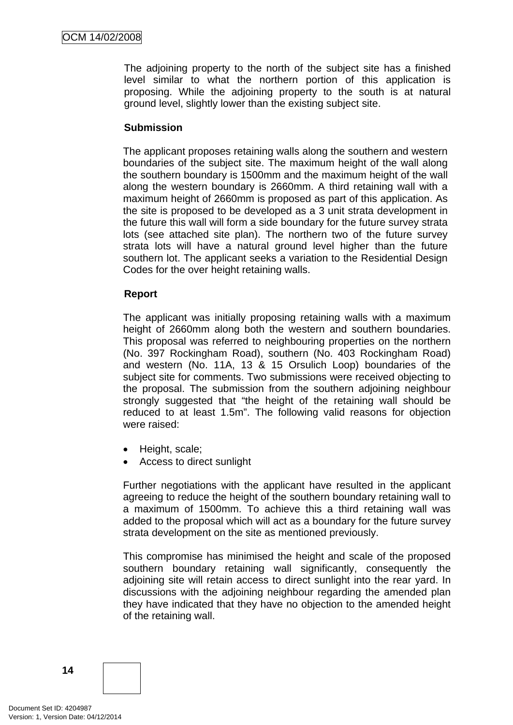The adjoining property to the north of the subject site has a finished level similar to what the northern portion of this application is proposing. While the adjoining property to the south is at natural ground level, slightly lower than the existing subject site.

### **Submission**

The applicant proposes retaining walls along the southern and western boundaries of the subject site. The maximum height of the wall along the southern boundary is 1500mm and the maximum height of the wall along the western boundary is 2660mm. A third retaining wall with a maximum height of 2660mm is proposed as part of this application. As the site is proposed to be developed as a 3 unit strata development in the future this wall will form a side boundary for the future survey strata lots (see attached site plan). The northern two of the future survey strata lots will have a natural ground level higher than the future southern lot. The applicant seeks a variation to the Residential Design Codes for the over height retaining walls.

#### **Report**

The applicant was initially proposing retaining walls with a maximum height of 2660mm along both the western and southern boundaries. This proposal was referred to neighbouring properties on the northern (No. 397 Rockingham Road), southern (No. 403 Rockingham Road) and western (No. 11A, 13 & 15 Orsulich Loop) boundaries of the subject site for comments. Two submissions were received objecting to the proposal. The submission from the southern adjoining neighbour strongly suggested that "the height of the retaining wall should be reduced to at least 1.5m". The following valid reasons for objection were raised:

- Height, scale;
- Access to direct sunlight

Further negotiations with the applicant have resulted in the applicant agreeing to reduce the height of the southern boundary retaining wall to a maximum of 1500mm. To achieve this a third retaining wall was added to the proposal which will act as a boundary for the future survey strata development on the site as mentioned previously.

This compromise has minimised the height and scale of the proposed southern boundary retaining wall significantly, consequently the adjoining site will retain access to direct sunlight into the rear yard. In discussions with the adjoining neighbour regarding the amended plan they have indicated that they have no objection to the amended height of the retaining wall.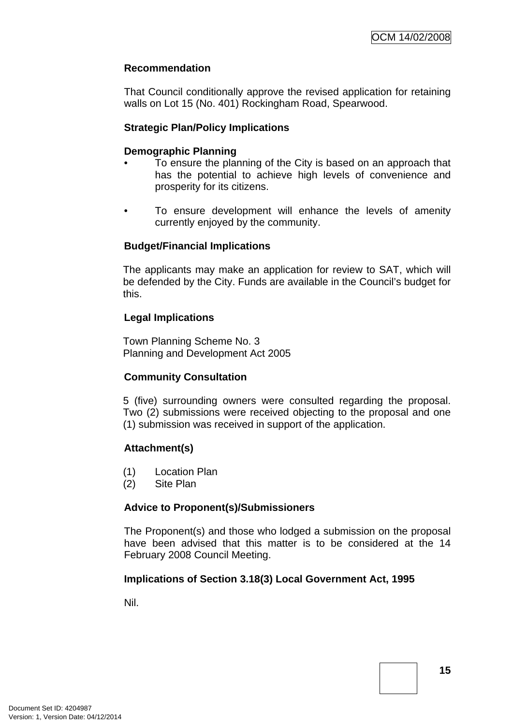### **Recommendation**

That Council conditionally approve the revised application for retaining walls on Lot 15 (No. 401) Rockingham Road, Spearwood.

### **Strategic Plan/Policy Implications**

### **Demographic Planning**

- To ensure the planning of the City is based on an approach that has the potential to achieve high levels of convenience and prosperity for its citizens.
- To ensure development will enhance the levels of amenity currently enjoyed by the community.

### **Budget/Financial Implications**

The applicants may make an application for review to SAT, which will be defended by the City. Funds are available in the Council's budget for this.

### **Legal Implications**

Town Planning Scheme No. 3 Planning and Development Act 2005

### **Community Consultation**

5 (five) surrounding owners were consulted regarding the proposal. Two (2) submissions were received objecting to the proposal and one (1) submission was received in support of the application.

### **Attachment(s)**

- (1) Location Plan
- (2) Site Plan

### **Advice to Proponent(s)/Submissioners**

The Proponent(s) and those who lodged a submission on the proposal have been advised that this matter is to be considered at the 14 February 2008 Council Meeting.

### **Implications of Section 3.18(3) Local Government Act, 1995**

Nil.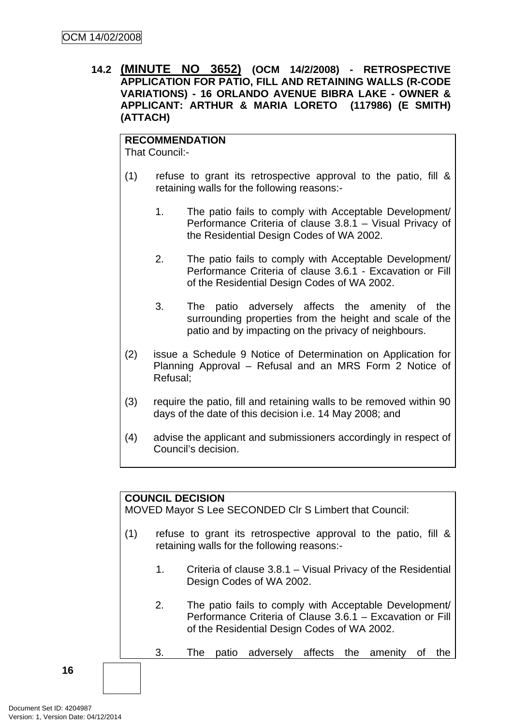<span id="page-21-0"></span>**14.2 (MINUTE NO 3652) (OCM 14/2/2008) - RETROSPECTIVE APPLICATION FOR PATIO, FILL AND RETAINING WALLS (R-CODE VARIATIONS) - 16 ORLANDO AVENUE BIBRA LAKE - OWNER & APPLICANT: ARTHUR & MARIA LORETO (117986) (E SMITH) (ATTACH)** 

# **RECOMMENDATION**

That Council:-

- (1) refuse to grant its retrospective approval to the patio, fill & retaining walls for the following reasons:-
	- 1. The patio fails to comply with Acceptable Development/ Performance Criteria of clause 3.8.1 – Visual Privacy of the Residential Design Codes of WA 2002.
	- 2. The patio fails to comply with Acceptable Development/ Performance Criteria of clause 3.6.1 - Excavation or Fill of the Residential Design Codes of WA 2002.
	- 3. The patio adversely affects the amenity of the surrounding properties from the height and scale of the patio and by impacting on the privacy of neighbours.
- (2) issue a Schedule 9 Notice of Determination on Application for Planning Approval – Refusal and an MRS Form 2 Notice of Refusal;
- (3) require the patio, fill and retaining walls to be removed within 90 days of the date of this decision i.e. 14 May 2008; and
- (4) advise the applicant and submissioners accordingly in respect of Council's decision.

### **COUNCIL DECISION**

MOVED Mayor S Lee SECONDED Clr S Limbert that Council:

- (1) refuse to grant its retrospective approval to the patio, fill & retaining walls for the following reasons:-
	- 1. Criteria of clause 3.8.1 Visual Privacy of the Residential Design Codes of WA 2002.
	- 2. The patio fails to comply with Acceptable Development/ Performance Criteria of Clause 3.6.1 – Excavation or Fill of the Residential Design Codes of WA 2002.
	- 3. The patio adversely affects the amenity of the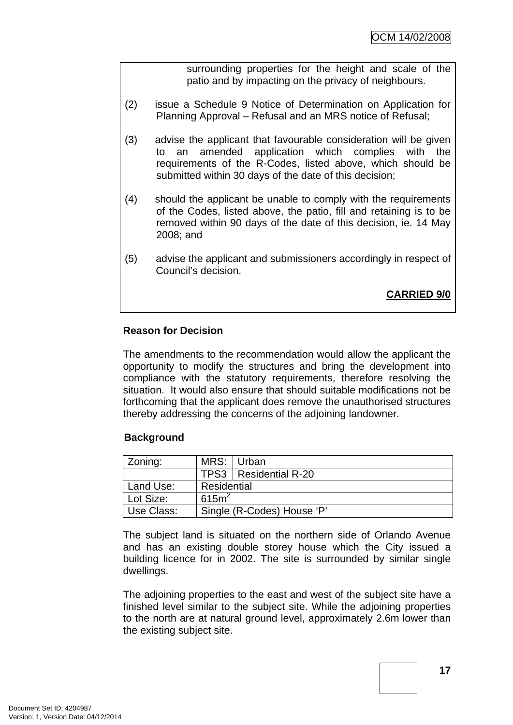surrounding properties for the height and scale of the patio and by impacting on the privacy of neighbours.

- (2) issue a Schedule 9 Notice of Determination on Application for Planning Approval – Refusal and an MRS notice of Refusal;
- (3) advise the applicant that favourable consideration will be given to an amended application which complies with the requirements of the R-Codes, listed above, which should be submitted within 30 days of the date of this decision;
- (4) should the applicant be unable to comply with the requirements of the Codes, listed above, the patio, fill and retaining is to be removed within 90 days of the date of this decision, ie. 14 May 2008; and
- (5) advise the applicant and submissioners accordingly in respect of Council's decision.

**CARRIED 9/0**

#### **Reason for Decision**

The amendments to the recommendation would allow the applicant the opportunity to modify the structures and bring the development into compliance with the statutory requirements, therefore resolving the situation. It would also ensure that should suitable modifications not be forthcoming that the applicant does remove the unauthorised structures thereby addressing the concerns of the adjoining landowner.

#### **Background**

| Zoning:                                  |             | MRS: Urban              |  |
|------------------------------------------|-------------|-------------------------|--|
|                                          |             | TPS3   Residential R-20 |  |
| Land Use:                                | Residential |                         |  |
| 615m <sup>2</sup><br>Lot Size:           |             |                         |  |
| Single (R-Codes) House 'P'<br>Use Class: |             |                         |  |

The subject land is situated on the northern side of Orlando Avenue and has an existing double storey house which the City issued a building licence for in 2002. The site is surrounded by similar single dwellings.

The adjoining properties to the east and west of the subject site have a finished level similar to the subject site. While the adjoining properties to the north are at natural ground level, approximately 2.6m lower than the existing subject site.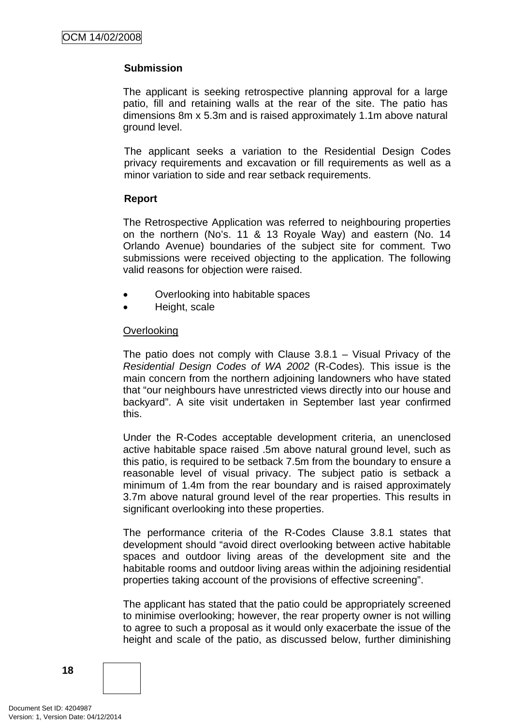### **Submission**

The applicant is seeking retrospective planning approval for a large patio, fill and retaining walls at the rear of the site. The patio has dimensions 8m x 5.3m and is raised approximately 1.1m above natural ground level.

The applicant seeks a variation to the Residential Design Codes privacy requirements and excavation or fill requirements as well as a minor variation to side and rear setback requirements.

#### **Report**

The Retrospective Application was referred to neighbouring properties on the northern (No's. 11 & 13 Royale Way) and eastern (No. 14 Orlando Avenue) boundaries of the subject site for comment. Two submissions were received objecting to the application. The following valid reasons for objection were raised.

- Overlooking into habitable spaces
- Height, scale

#### **Overlooking**

The patio does not comply with Clause 3.8.1 – Visual Privacy of the *Residential Design Codes of WA 2002* (R-Codes)*.* This issue is the main concern from the northern adjoining landowners who have stated that "our neighbours have unrestricted views directly into our house and backyard". A site visit undertaken in September last year confirmed this.

Under the R-Codes acceptable development criteria, an unenclosed active habitable space raised .5m above natural ground level, such as this patio, is required to be setback 7.5m from the boundary to ensure a reasonable level of visual privacy. The subject patio is setback a minimum of 1.4m from the rear boundary and is raised approximately 3.7m above natural ground level of the rear properties. This results in significant overlooking into these properties.

The performance criteria of the R-Codes Clause 3.8.1 states that development should "avoid direct overlooking between active habitable spaces and outdoor living areas of the development site and the habitable rooms and outdoor living areas within the adjoining residential properties taking account of the provisions of effective screening".

The applicant has stated that the patio could be appropriately screened to minimise overlooking; however, the rear property owner is not willing to agree to such a proposal as it would only exacerbate the issue of the height and scale of the patio, as discussed below, further diminishing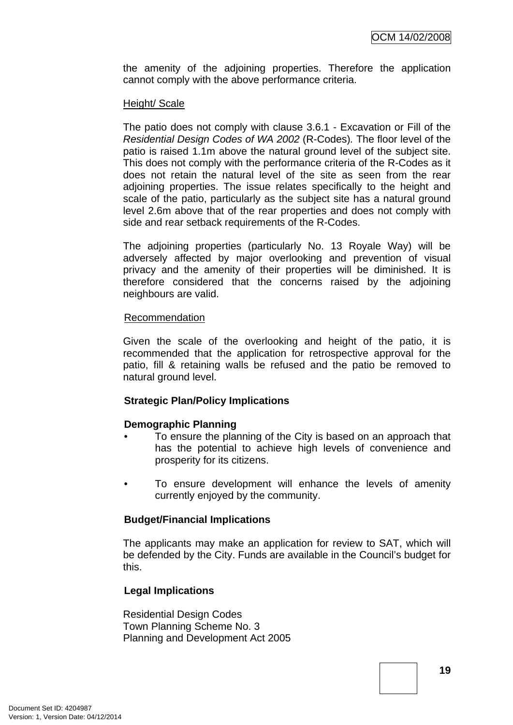the amenity of the adjoining properties. Therefore the application cannot comply with the above performance criteria.

#### Height/ Scale

The patio does not comply with clause 3.6.1 - Excavation or Fill of the *Residential Design Codes of WA 2002* (R-Codes)*.* The floor level of the patio is raised 1.1m above the natural ground level of the subject site. This does not comply with the performance criteria of the R-Codes as it does not retain the natural level of the site as seen from the rear adjoining properties. The issue relates specifically to the height and scale of the patio, particularly as the subject site has a natural ground level 2.6m above that of the rear properties and does not comply with side and rear setback requirements of the R-Codes.

The adjoining properties (particularly No. 13 Royale Way) will be adversely affected by major overlooking and prevention of visual privacy and the amenity of their properties will be diminished. It is therefore considered that the concerns raised by the adjoining neighbours are valid.

#### Recommendation

Given the scale of the overlooking and height of the patio, it is recommended that the application for retrospective approval for the patio, fill & retaining walls be refused and the patio be removed to natural ground level.

#### **Strategic Plan/Policy Implications**

#### **Demographic Planning**

- To ensure the planning of the City is based on an approach that has the potential to achieve high levels of convenience and prosperity for its citizens.
- To ensure development will enhance the levels of amenity currently enjoyed by the community.

#### **Budget/Financial Implications**

The applicants may make an application for review to SAT, which will be defended by the City. Funds are available in the Council's budget for this.

#### **Legal Implications**

Residential Design Codes Town Planning Scheme No. 3 Planning and Development Act 2005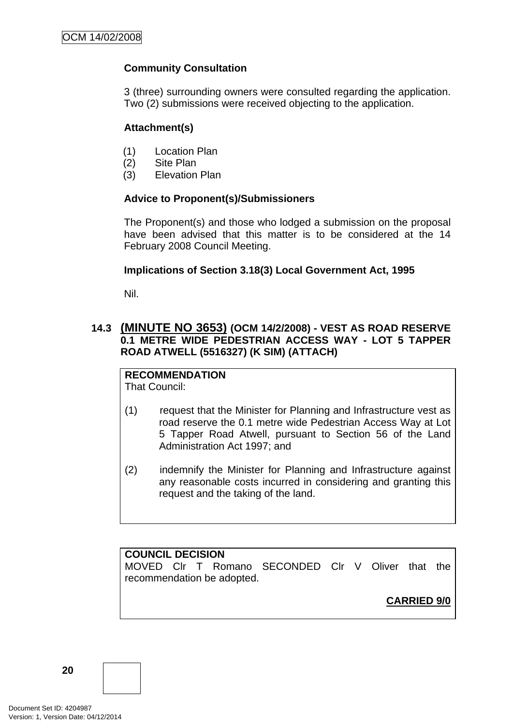### <span id="page-25-0"></span>**Community Consultation**

3 (three) surrounding owners were consulted regarding the application. Two (2) submissions were received objecting to the application.

### **Attachment(s)**

- (1) Location Plan
- (2) Site Plan
- (3) Elevation Plan

### **Advice to Proponent(s)/Submissioners**

The Proponent(s) and those who lodged a submission on the proposal have been advised that this matter is to be considered at the 14 February 2008 Council Meeting.

### **Implications of Section 3.18(3) Local Government Act, 1995**

Nil.

### **14.3 (MINUTE NO 3653) (OCM 14/2/2008) - VEST AS ROAD RESERVE 0.1 METRE WIDE PEDESTRIAN ACCESS WAY - LOT 5 TAPPER ROAD ATWELL (5516327) (K SIM) (ATTACH)**

# **RECOMMENDATION**

That Council:

- (1) request that the Minister for Planning and Infrastructure vest as road reserve the 0.1 metre wide Pedestrian Access Way at Lot 5 Tapper Road Atwell, pursuant to Section 56 of the Land Administration Act 1997; and
- (2) indemnify the Minister for Planning and Infrastructure against any reasonable costs incurred in considering and granting this request and the taking of the land.

### **COUNCIL DECISION**

MOVED Clr T Romano SECONDED Clr V Oliver that the recommendation be adopted.

**CARRIED 9/0**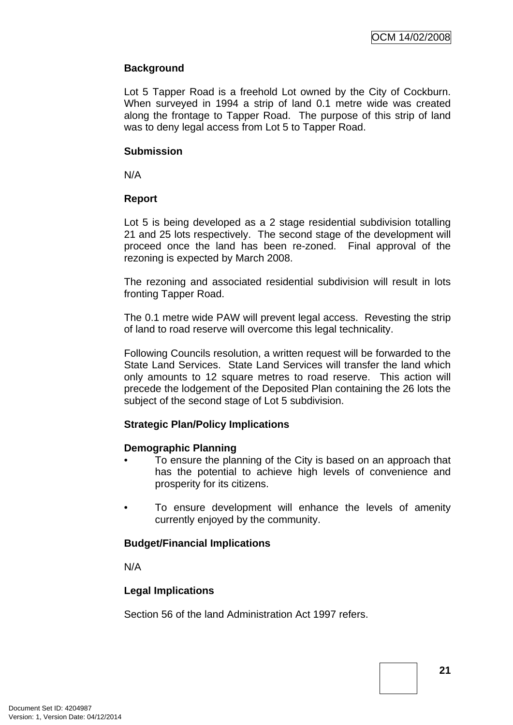### **Background**

Lot 5 Tapper Road is a freehold Lot owned by the City of Cockburn. When surveyed in 1994 a strip of land 0.1 metre wide was created along the frontage to Tapper Road. The purpose of this strip of land was to deny legal access from Lot 5 to Tapper Road.

#### **Submission**

N/A

#### **Report**

Lot 5 is being developed as a 2 stage residential subdivision totalling 21 and 25 lots respectively. The second stage of the development will proceed once the land has been re-zoned. Final approval of the rezoning is expected by March 2008.

The rezoning and associated residential subdivision will result in lots fronting Tapper Road.

The 0.1 metre wide PAW will prevent legal access. Revesting the strip of land to road reserve will overcome this legal technicality.

Following Councils resolution, a written request will be forwarded to the State Land Services. State Land Services will transfer the land which only amounts to 12 square metres to road reserve. This action will precede the lodgement of the Deposited Plan containing the 26 lots the subject of the second stage of Lot 5 subdivision.

### **Strategic Plan/Policy Implications**

### **Demographic Planning**

- To ensure the planning of the City is based on an approach that has the potential to achieve high levels of convenience and prosperity for its citizens.
- To ensure development will enhance the levels of amenity currently enjoyed by the community.

#### **Budget/Financial Implications**

N/A

#### **Legal Implications**

Section 56 of the land Administration Act 1997 refers.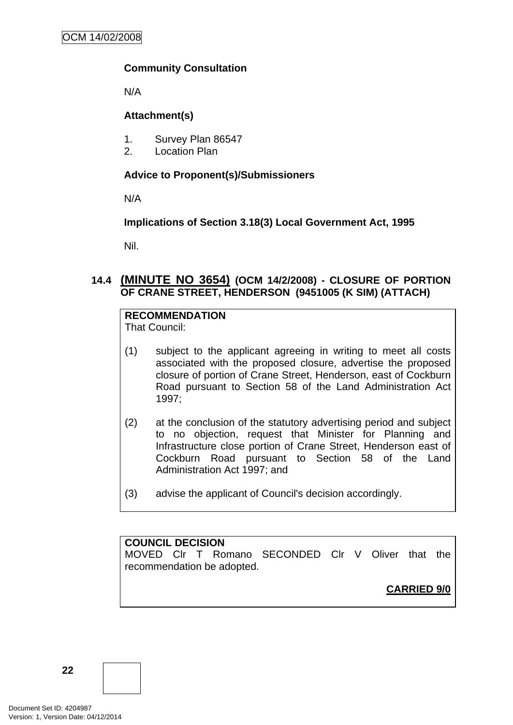### <span id="page-27-0"></span>**Community Consultation**

N/A

### **Attachment(s)**

- 1. Survey Plan 86547
- 2. Location Plan

### **Advice to Proponent(s)/Submissioners**

N/A

**Implications of Section 3.18(3) Local Government Act, 1995**

Nil.

### **14.4 (MINUTE NO 3654) (OCM 14/2/2008) - CLOSURE OF PORTION OF CRANE STREET, HENDERSON (9451005 (K SIM) (ATTACH)**

### **RECOMMENDATION**

That Council:

- (1) subject to the applicant agreeing in writing to meet all costs associated with the proposed closure, advertise the proposed closure of portion of Crane Street, Henderson, east of Cockburn Road pursuant to Section 58 of the Land Administration Act 1997;
- (2) at the conclusion of the statutory advertising period and subject to no objection, request that Minister for Planning and Infrastructure close portion of Crane Street, Henderson east of Cockburn Road pursuant to Section 58 of the Land Administration Act 1997; and
- (3) advise the applicant of Council's decision accordingly.

#### **COUNCIL DECISION**

MOVED Clr T Romano SECONDED Clr V Oliver that the recommendation be adopted.

**CARRIED 9/0**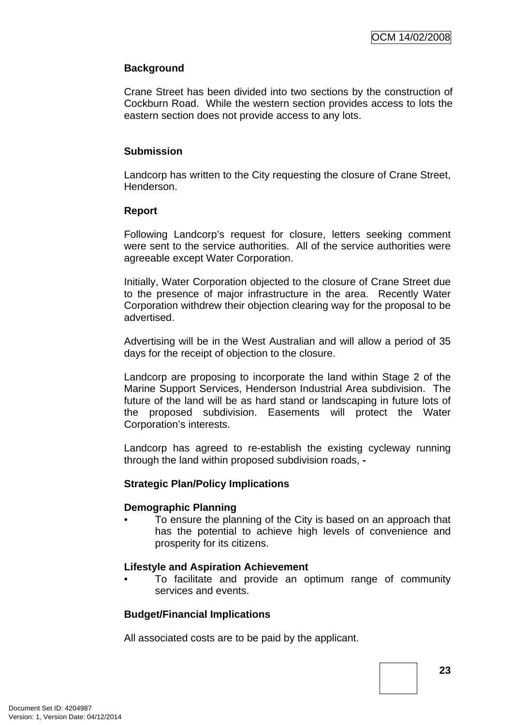### **Background**

Crane Street has been divided into two sections by the construction of Cockburn Road. While the western section provides access to lots the eastern section does not provide access to any lots.

#### **Submission**

Landcorp has written to the City requesting the closure of Crane Street, Henderson.

#### **Report**

Following Landcorp's request for closure, letters seeking comment were sent to the service authorities. All of the service authorities were agreeable except Water Corporation.

Initially, Water Corporation objected to the closure of Crane Street due to the presence of major infrastructure in the area. Recently Water Corporation withdrew their objection clearing way for the proposal to be advertised.

Advertising will be in the West Australian and will allow a period of 35 days for the receipt of objection to the closure.

Landcorp are proposing to incorporate the land within Stage 2 of the Marine Support Services, Henderson Industrial Area subdivision. The future of the land will be as hard stand or landscaping in future lots of the proposed subdivision. Easements will protect the Water Corporation's interests.

Landcorp has agreed to re-establish the existing cycleway running through the land within proposed subdivision roads, **-**

#### **Strategic Plan/Policy Implications**

#### **Demographic Planning**

• To ensure the planning of the City is based on an approach that has the potential to achieve high levels of convenience and prosperity for its citizens.

### **Lifestyle and Aspiration Achievement**

• To facilitate and provide an optimum range of community services and events.

### **Budget/Financial Implications**

All associated costs are to be paid by the applicant.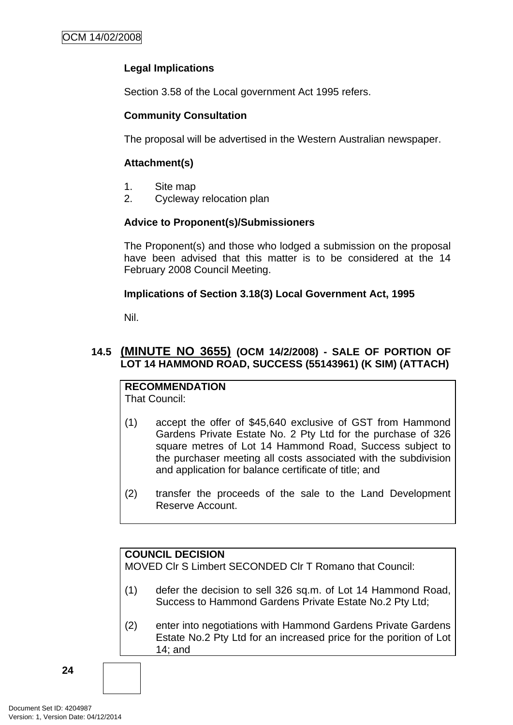### <span id="page-29-0"></span>**Legal Implications**

Section 3.58 of the Local government Act 1995 refers.

### **Community Consultation**

The proposal will be advertised in the Western Australian newspaper.

### **Attachment(s)**

- 1. Site map
- 2. Cycleway relocation plan

### **Advice to Proponent(s)/Submissioners**

The Proponent(s) and those who lodged a submission on the proposal have been advised that this matter is to be considered at the 14 February 2008 Council Meeting.

### **Implications of Section 3.18(3) Local Government Act, 1995**

Nil.

### **14.5 (MINUTE NO 3655) (OCM 14/2/2008) - SALE OF PORTION OF LOT 14 HAMMOND ROAD, SUCCESS (55143961) (K SIM) (ATTACH)**

**RECOMMENDATION** That Council:

- (1) accept the offer of \$45,640 exclusive of GST from Hammond Gardens Private Estate No. 2 Pty Ltd for the purchase of 326 square metres of Lot 14 Hammond Road, Success subject to the purchaser meeting all costs associated with the subdivision and application for balance certificate of title; and
- (2) transfer the proceeds of the sale to the Land Development Reserve Account.

**COUNCIL DECISION**

MOVED Clr S Limbert SECONDED Clr T Romano that Council:

- (1) defer the decision to sell 326 sq.m. of Lot 14 Hammond Road, Success to Hammond Gardens Private Estate No.2 Pty Ltd;
- (2) enter into negotiations with Hammond Gardens Private Gardens Estate No.2 Pty Ltd for an increased price for the porition of Lot 14; and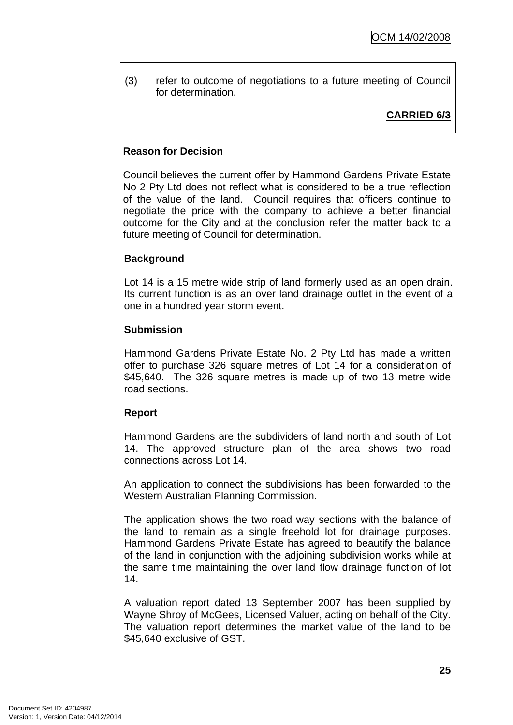(3) refer to outcome of negotiations to a future meeting of Council for determination.

### **CARRIED 6/3**

### **Reason for Decision**

Council believes the current offer by Hammond Gardens Private Estate No 2 Pty Ltd does not reflect what is considered to be a true reflection of the value of the land. Council requires that officers continue to negotiate the price with the company to achieve a better financial outcome for the City and at the conclusion refer the matter back to a future meeting of Council for determination.

#### **Background**

Lot 14 is a 15 metre wide strip of land formerly used as an open drain. Its current function is as an over land drainage outlet in the event of a one in a hundred year storm event.

#### **Submission**

Hammond Gardens Private Estate No. 2 Pty Ltd has made a written offer to purchase 326 square metres of Lot 14 for a consideration of \$45,640. The 326 square metres is made up of two 13 metre wide road sections.

#### **Report**

Hammond Gardens are the subdividers of land north and south of Lot 14. The approved structure plan of the area shows two road connections across Lot 14.

An application to connect the subdivisions has been forwarded to the Western Australian Planning Commission.

The application shows the two road way sections with the balance of the land to remain as a single freehold lot for drainage purposes. Hammond Gardens Private Estate has agreed to beautify the balance of the land in conjunction with the adjoining subdivision works while at the same time maintaining the over land flow drainage function of lot 14.

A valuation report dated 13 September 2007 has been supplied by Wayne Shroy of McGees, Licensed Valuer, acting on behalf of the City. The valuation report determines the market value of the land to be \$45,640 exclusive of GST.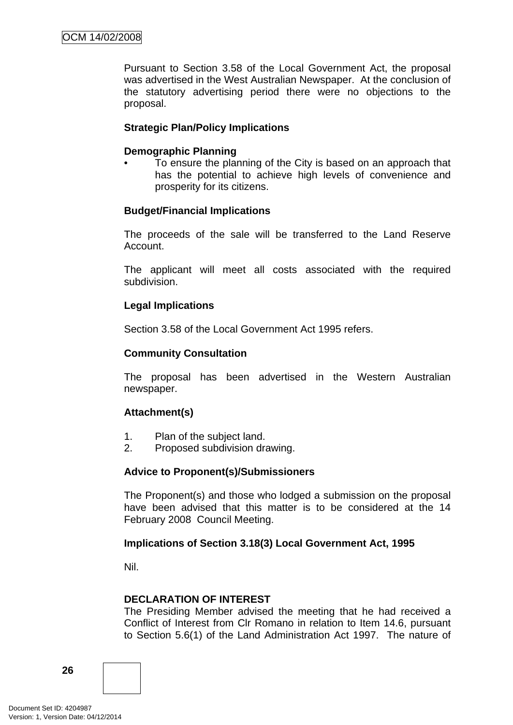Pursuant to Section 3.58 of the Local Government Act, the proposal was advertised in the West Australian Newspaper. At the conclusion of the statutory advertising period there were no objections to the proposal.

#### **Strategic Plan/Policy Implications**

#### **Demographic Planning**

• To ensure the planning of the City is based on an approach that has the potential to achieve high levels of convenience and prosperity for its citizens.

#### **Budget/Financial Implications**

The proceeds of the sale will be transferred to the Land Reserve Account.

The applicant will meet all costs associated with the required subdivision.

#### **Legal Implications**

Section 3.58 of the Local Government Act 1995 refers.

#### **Community Consultation**

The proposal has been advertised in the Western Australian newspaper.

#### **Attachment(s)**

- 1. Plan of the subject land.
- 2. Proposed subdivision drawing.

#### **Advice to Proponent(s)/Submissioners**

The Proponent(s) and those who lodged a submission on the proposal have been advised that this matter is to be considered at the 14 February 2008 Council Meeting.

#### **Implications of Section 3.18(3) Local Government Act, 1995**

Nil.

#### **DECLARATION OF INTEREST**

The Presiding Member advised the meeting that he had received a Conflict of Interest from Clr Romano in relation to Item 14.6, pursuant to Section 5.6(1) of the Land Administration Act 1997. The nature of

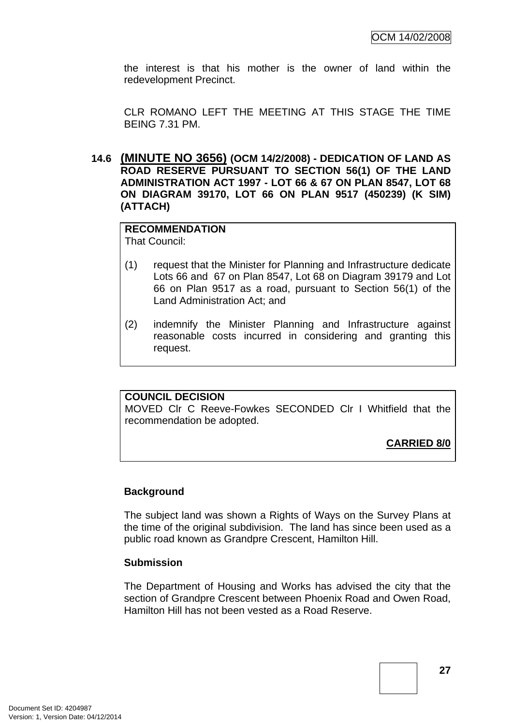<span id="page-32-0"></span>the interest is that his mother is the owner of land within the redevelopment Precinct.

CLR ROMANO LEFT THE MEETING AT THIS STAGE THE TIME BEING 7.31 PM.

**14.6 (MINUTE NO 3656) (OCM 14/2/2008) - DEDICATION OF LAND AS ROAD RESERVE PURSUANT TO SECTION 56(1) OF THE LAND ADMINISTRATION ACT 1997 - LOT 66 & 67 ON PLAN 8547, LOT 68 ON DIAGRAM 39170, LOT 66 ON PLAN 9517 (450239) (K SIM) (ATTACH)** 

**RECOMMENDATION** That Council:

- (1) request that the Minister for Planning and Infrastructure dedicate Lots 66 and 67 on Plan 8547, Lot 68 on Diagram 39179 and Lot 66 on Plan 9517 as a road, pursuant to Section 56(1) of the Land Administration Act; and
- (2) indemnify the Minister Planning and Infrastructure against reasonable costs incurred in considering and granting this request.

#### **COUNCIL DECISION**

MOVED Clr C Reeve-Fowkes SECONDED Clr I Whitfield that the recommendation be adopted.

**CARRIED 8/0**

#### **Background**

The subject land was shown a Rights of Ways on the Survey Plans at the time of the original subdivision. The land has since been used as a public road known as Grandpre Crescent, Hamilton Hill.

#### **Submission**

The Department of Housing and Works has advised the city that the section of Grandpre Crescent between Phoenix Road and Owen Road, Hamilton Hill has not been vested as a Road Reserve.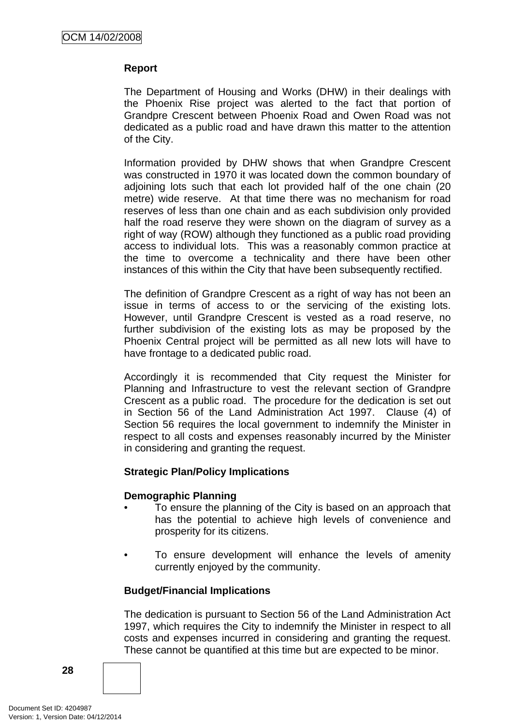#### **Report**

The Department of Housing and Works (DHW) in their dealings with the Phoenix Rise project was alerted to the fact that portion of Grandpre Crescent between Phoenix Road and Owen Road was not dedicated as a public road and have drawn this matter to the attention of the City.

Information provided by DHW shows that when Grandpre Crescent was constructed in 1970 it was located down the common boundary of adjoining lots such that each lot provided half of the one chain (20 metre) wide reserve. At that time there was no mechanism for road reserves of less than one chain and as each subdivision only provided half the road reserve they were shown on the diagram of survey as a right of way (ROW) although they functioned as a public road providing access to individual lots. This was a reasonably common practice at the time to overcome a technicality and there have been other instances of this within the City that have been subsequently rectified.

The definition of Grandpre Crescent as a right of way has not been an issue in terms of access to or the servicing of the existing lots. However, until Grandpre Crescent is vested as a road reserve, no further subdivision of the existing lots as may be proposed by the Phoenix Central project will be permitted as all new lots will have to have frontage to a dedicated public road.

Accordingly it is recommended that City request the Minister for Planning and Infrastructure to vest the relevant section of Grandpre Crescent as a public road. The procedure for the dedication is set out in Section 56 of the Land Administration Act 1997. Clause (4) of Section 56 requires the local government to indemnify the Minister in respect to all costs and expenses reasonably incurred by the Minister in considering and granting the request.

#### **Strategic Plan/Policy Implications**

#### **Demographic Planning**

- To ensure the planning of the City is based on an approach that has the potential to achieve high levels of convenience and prosperity for its citizens.
- To ensure development will enhance the levels of amenity currently enjoyed by the community.

#### **Budget/Financial Implications**

The dedication is pursuant to Section 56 of the Land Administration Act 1997, which requires the City to indemnify the Minister in respect to all costs and expenses incurred in considering and granting the request. These cannot be quantified at this time but are expected to be minor.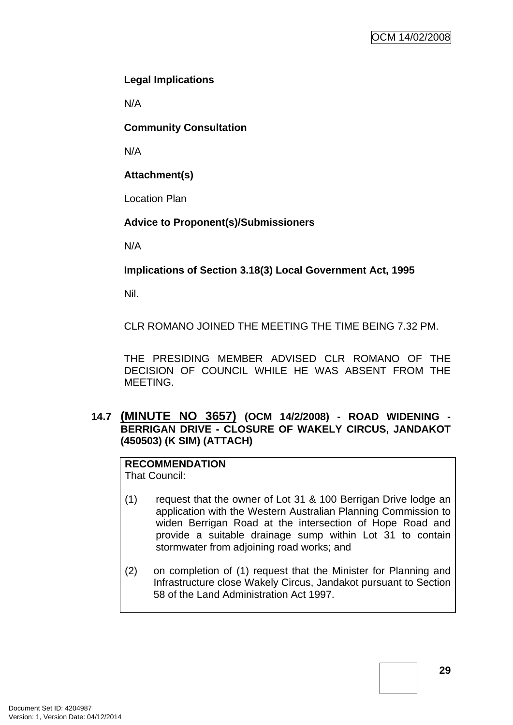### <span id="page-34-0"></span>**Legal Implications**

N/A

### **Community Consultation**

N/A

### **Attachment(s)**

Location Plan

### **Advice to Proponent(s)/Submissioners**

N/A

**Implications of Section 3.18(3) Local Government Act, 1995**

Nil.

CLR ROMANO JOINED THE MEETING THE TIME BEING 7.32 PM.

THE PRESIDING MEMBER ADVISED CLR ROMANO OF THE DECISION OF COUNCIL WHILE HE WAS ABSENT FROM THE MEETING.

### **14.7 (MINUTE NO 3657) (OCM 14/2/2008) - ROAD WIDENING - BERRIGAN DRIVE - CLOSURE OF WAKELY CIRCUS, JANDAKOT (450503) (K SIM) (ATTACH)**

# **RECOMMENDATION**

That Council:

- (1) request that the owner of Lot 31 & 100 Berrigan Drive lodge an application with the Western Australian Planning Commission to widen Berrigan Road at the intersection of Hope Road and provide a suitable drainage sump within Lot 31 to contain stormwater from adjoining road works; and
- (2) on completion of (1) request that the Minister for Planning and Infrastructure close Wakely Circus, Jandakot pursuant to Section 58 of the Land Administration Act 1997.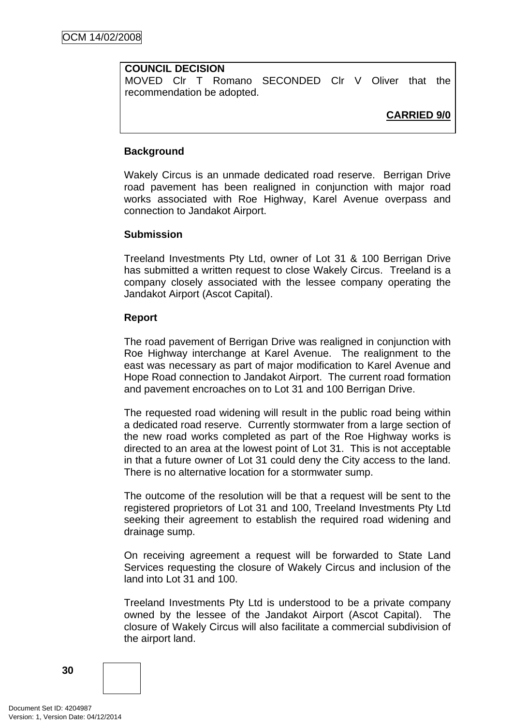# **COUNCIL DECISION** MOVED Clr T Romano SECONDED Clr V Oliver that the recommendation be adopted.

### **CARRIED 9/0**

### **Background**

Wakely Circus is an unmade dedicated road reserve. Berrigan Drive road pavement has been realigned in conjunction with major road works associated with Roe Highway, Karel Avenue overpass and connection to Jandakot Airport.

#### **Submission**

Treeland Investments Pty Ltd, owner of Lot 31 & 100 Berrigan Drive has submitted a written request to close Wakely Circus. Treeland is a company closely associated with the lessee company operating the Jandakot Airport (Ascot Capital).

#### **Report**

The road pavement of Berrigan Drive was realigned in conjunction with Roe Highway interchange at Karel Avenue. The realignment to the east was necessary as part of major modification to Karel Avenue and Hope Road connection to Jandakot Airport. The current road formation and pavement encroaches on to Lot 31 and 100 Berrigan Drive.

The requested road widening will result in the public road being within a dedicated road reserve. Currently stormwater from a large section of the new road works completed as part of the Roe Highway works is directed to an area at the lowest point of Lot 31. This is not acceptable in that a future owner of Lot 31 could deny the City access to the land. There is no alternative location for a stormwater sump.

The outcome of the resolution will be that a request will be sent to the registered proprietors of Lot 31 and 100, Treeland Investments Pty Ltd seeking their agreement to establish the required road widening and drainage sump.

On receiving agreement a request will be forwarded to State Land Services requesting the closure of Wakely Circus and inclusion of the land into Lot 31 and 100.

Treeland Investments Pty Ltd is understood to be a private company owned by the lessee of the Jandakot Airport (Ascot Capital). The closure of Wakely Circus will also facilitate a commercial subdivision of the airport land.

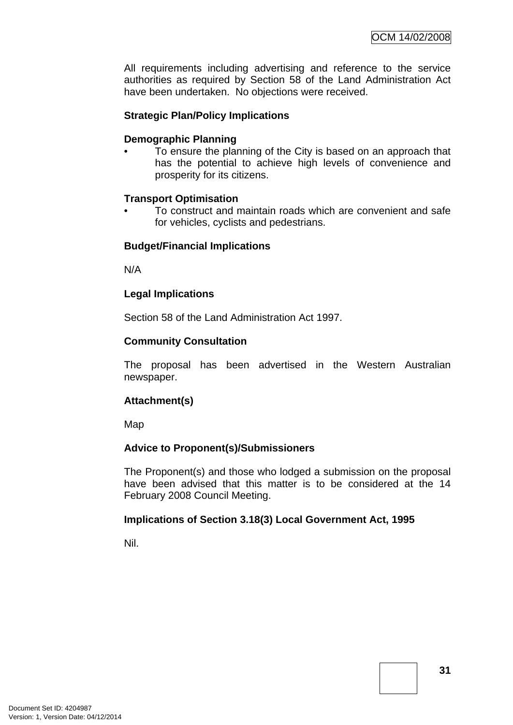All requirements including advertising and reference to the service authorities as required by Section 58 of the Land Administration Act have been undertaken. No objections were received.

### **Strategic Plan/Policy Implications**

#### **Demographic Planning**

• To ensure the planning of the City is based on an approach that has the potential to achieve high levels of convenience and prosperity for its citizens.

#### **Transport Optimisation**

• To construct and maintain roads which are convenient and safe for vehicles, cyclists and pedestrians.

#### **Budget/Financial Implications**

N/A

#### **Legal Implications**

Section 58 of the Land Administration Act 1997.

#### **Community Consultation**

The proposal has been advertised in the Western Australian newspaper.

#### **Attachment(s)**

Map

#### **Advice to Proponent(s)/Submissioners**

The Proponent(s) and those who lodged a submission on the proposal have been advised that this matter is to be considered at the 14 February 2008 Council Meeting.

#### **Implications of Section 3.18(3) Local Government Act, 1995**

Nil.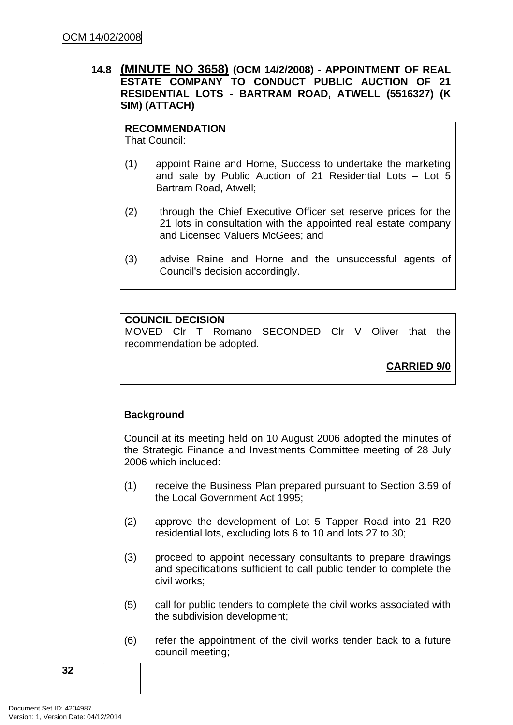## **14.8 (MINUTE NO 3658) (OCM 14/2/2008) - APPOINTMENT OF REAL ESTATE COMPANY TO CONDUCT PUBLIC AUCTION OF 21 RESIDENTIAL LOTS - BARTRAM ROAD, ATWELL (5516327) (K SIM) (ATTACH)**

## **RECOMMENDATION**

That Council:

- (1) appoint Raine and Horne, Success to undertake the marketing and sale by Public Auction of 21 Residential Lots – Lot 5 Bartram Road, Atwell;
- (2) through the Chief Executive Officer set reserve prices for the 21 lots in consultation with the appointed real estate company and Licensed Valuers McGees; and
- (3) advise Raine and Horne and the unsuccessful agents of Council's decision accordingly.

## **COUNCIL DECISION**

MOVED Clr T Romano SECONDED Clr V Oliver that the recommendation be adopted.

## **CARRIED 9/0**

## **Background**

Council at its meeting held on 10 August 2006 adopted the minutes of the Strategic Finance and Investments Committee meeting of 28 July 2006 which included:

- (1) receive the Business Plan prepared pursuant to Section 3.59 of the Local Government Act 1995;
- (2) approve the development of Lot 5 Tapper Road into 21 R20 residential lots, excluding lots 6 to 10 and lots 27 to 30;
- (3) proceed to appoint necessary consultants to prepare drawings and specifications sufficient to call public tender to complete the civil works;
- (5) call for public tenders to complete the civil works associated with the subdivision development;
- (6) refer the appointment of the civil works tender back to a future council meeting;

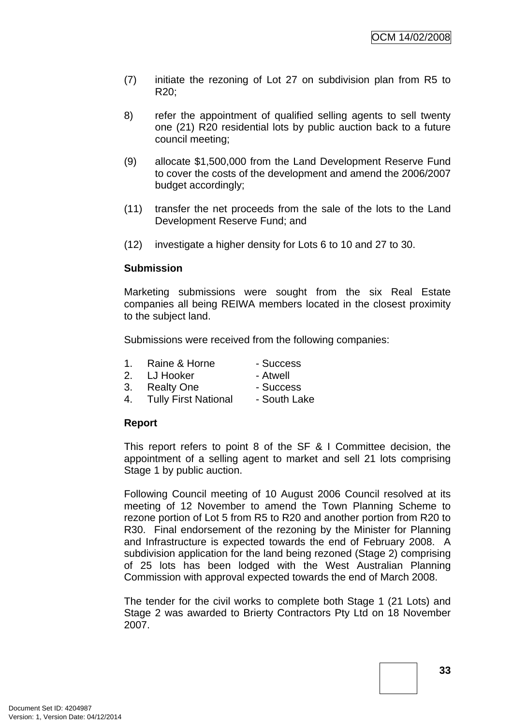- (7) initiate the rezoning of Lot 27 on subdivision plan from R5 to R20;
- 8) refer the appointment of qualified selling agents to sell twenty one (21) R20 residential lots by public auction back to a future council meeting;
- (9) allocate \$1,500,000 from the Land Development Reserve Fund to cover the costs of the development and amend the 2006/2007 budget accordingly;
- (11) transfer the net proceeds from the sale of the lots to the Land Development Reserve Fund; and
- (12) investigate a higher density for Lots 6 to 10 and 27 to 30.

#### **Submission**

Marketing submissions were sought from the six Real Estate companies all being REIWA members located in the closest proximity to the subject land.

Submissions were received from the following companies:

- 1. Raine & Horne Success
	-
- 2. LJ Hooker Atwell
	-
- 3. Realty One Success
- 4. Tully First National South Lake

#### **Report**

This report refers to point 8 of the SF & I Committee decision, the appointment of a selling agent to market and sell 21 lots comprising Stage 1 by public auction.

Following Council meeting of 10 August 2006 Council resolved at its meeting of 12 November to amend the Town Planning Scheme to rezone portion of Lot 5 from R5 to R20 and another portion from R20 to R30. Final endorsement of the rezoning by the Minister for Planning and Infrastructure is expected towards the end of February 2008. A subdivision application for the land being rezoned (Stage 2) comprising of 25 lots has been lodged with the West Australian Planning Commission with approval expected towards the end of March 2008.

The tender for the civil works to complete both Stage 1 (21 Lots) and Stage 2 was awarded to Brierty Contractors Pty Ltd on 18 November 2007.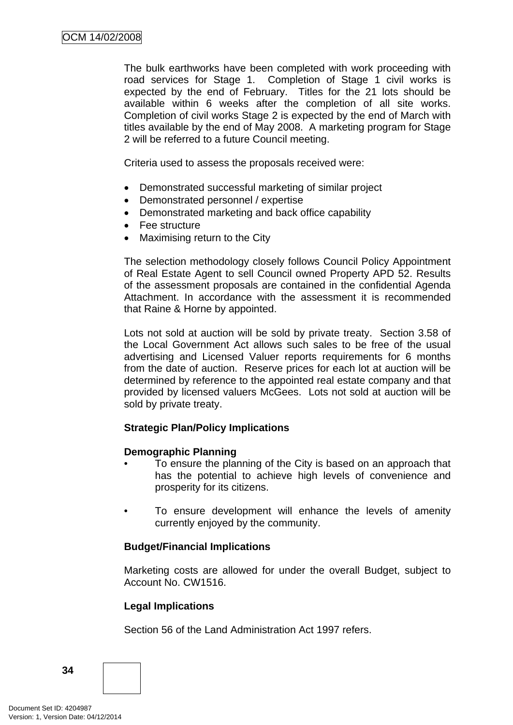The bulk earthworks have been completed with work proceeding with road services for Stage 1. Completion of Stage 1 civil works is expected by the end of February. Titles for the 21 lots should be available within 6 weeks after the completion of all site works. Completion of civil works Stage 2 is expected by the end of March with titles available by the end of May 2008. A marketing program for Stage 2 will be referred to a future Council meeting.

Criteria used to assess the proposals received were:

- Demonstrated successful marketing of similar project
- Demonstrated personnel / expertise
- Demonstrated marketing and back office capability
- Fee structure
- Maximising return to the City

The selection methodology closely follows Council Policy Appointment of Real Estate Agent to sell Council owned Property APD 52. Results of the assessment proposals are contained in the confidential Agenda Attachment. In accordance with the assessment it is recommended that Raine & Horne by appointed.

Lots not sold at auction will be sold by private treaty. Section 3.58 of the Local Government Act allows such sales to be free of the usual advertising and Licensed Valuer reports requirements for 6 months from the date of auction. Reserve prices for each lot at auction will be determined by reference to the appointed real estate company and that provided by licensed valuers McGees. Lots not sold at auction will be sold by private treaty.

#### **Strategic Plan/Policy Implications**

#### **Demographic Planning**

- To ensure the planning of the City is based on an approach that has the potential to achieve high levels of convenience and prosperity for its citizens.
- To ensure development will enhance the levels of amenity currently enjoyed by the community.

#### **Budget/Financial Implications**

Marketing costs are allowed for under the overall Budget, subject to Account No. CW1516.

#### **Legal Implications**

Section 56 of the Land Administration Act 1997 refers.

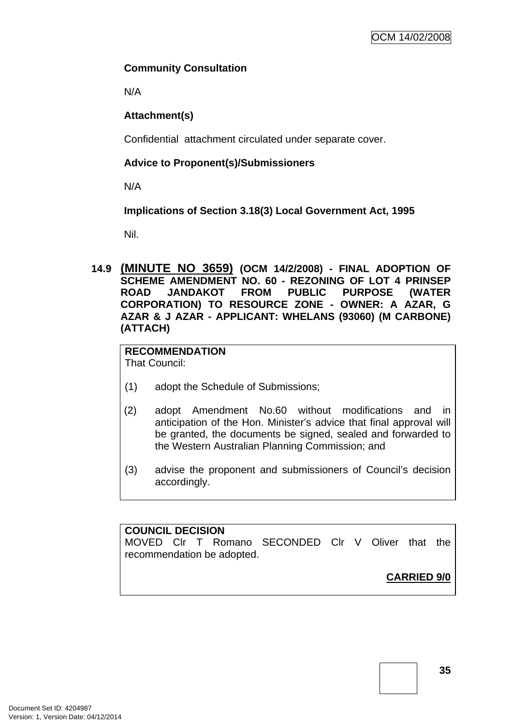## **Community Consultation**

N/A

## **Attachment(s)**

Confidential attachment circulated under separate cover.

## **Advice to Proponent(s)/Submissioners**

N/A

## **Implications of Section 3.18(3) Local Government Act, 1995**

Nil.

**14.9 (MINUTE NO 3659) (OCM 14/2/2008) - FINAL ADOPTION OF SCHEME AMENDMENT NO. 60 - REZONING OF LOT 4 PRINSEP ROAD JANDAKOT FROM PUBLIC PURPOSE (WATER CORPORATION) TO RESOURCE ZONE - OWNER: A AZAR, G AZAR & J AZAR - APPLICANT: WHELANS (93060) (M CARBONE) (ATTACH)** 

#### **RECOMMENDATION** That Council:

(1) adopt the Schedule of Submissions;

- (2) adopt Amendment No.60 without modifications and in anticipation of the Hon. Minister's advice that final approval will be granted, the documents be signed, sealed and forwarded to the Western Australian Planning Commission; and
- (3) advise the proponent and submissioners of Council's decision accordingly.

**COUNCIL DECISION** MOVED Clr T Romano SECONDED Clr V Oliver that the recommendation be adopted.

**CARRIED 9/0**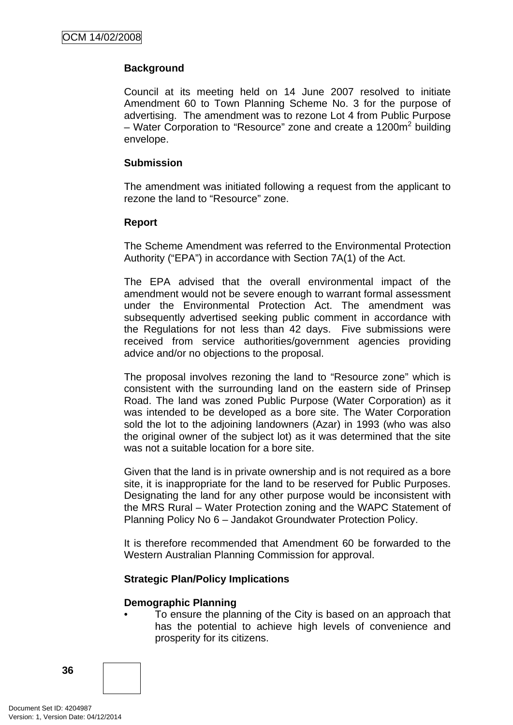## **Background**

Council at its meeting held on 14 June 2007 resolved to initiate Amendment 60 to Town Planning Scheme No. 3 for the purpose of advertising. The amendment was to rezone Lot 4 from Public Purpose  $-$  Water Corporation to "Resource" zone and create a 1200m<sup>2</sup> building envelope.

#### **Submission**

The amendment was initiated following a request from the applicant to rezone the land to "Resource" zone.

#### **Report**

The Scheme Amendment was referred to the Environmental Protection Authority ("EPA") in accordance with Section 7A(1) of the Act.

The EPA advised that the overall environmental impact of the amendment would not be severe enough to warrant formal assessment under the Environmental Protection Act. The amendment was subsequently advertised seeking public comment in accordance with the Regulations for not less than 42 days. Five submissions were received from service authorities/government agencies providing advice and/or no objections to the proposal.

The proposal involves rezoning the land to "Resource zone" which is consistent with the surrounding land on the eastern side of Prinsep Road. The land was zoned Public Purpose (Water Corporation) as it was intended to be developed as a bore site. The Water Corporation sold the lot to the adjoining landowners (Azar) in 1993 (who was also the original owner of the subject lot) as it was determined that the site was not a suitable location for a bore site.

Given that the land is in private ownership and is not required as a bore site, it is inappropriate for the land to be reserved for Public Purposes. Designating the land for any other purpose would be inconsistent with the MRS Rural – Water Protection zoning and the WAPC Statement of Planning Policy No 6 – Jandakot Groundwater Protection Policy.

It is therefore recommended that Amendment 60 be forwarded to the Western Australian Planning Commission for approval.

#### **Strategic Plan/Policy Implications**

#### **Demographic Planning**

• To ensure the planning of the City is based on an approach that has the potential to achieve high levels of convenience and prosperity for its citizens.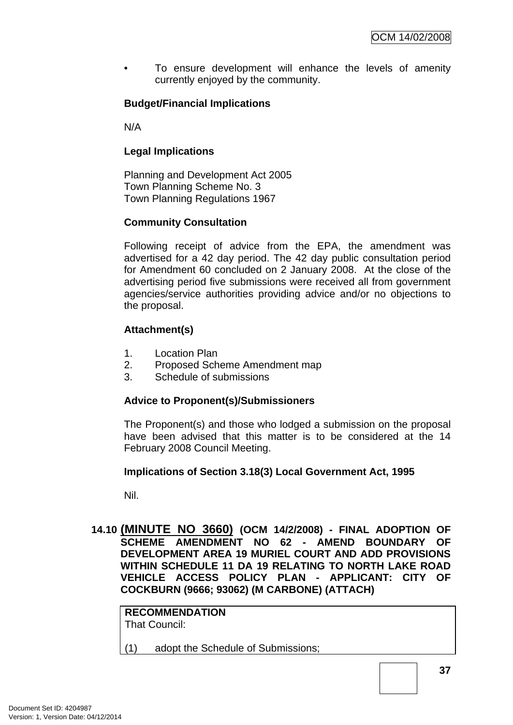To ensure development will enhance the levels of amenity currently enjoyed by the community.

## **Budget/Financial Implications**

N/A

### **Legal Implications**

Planning and Development Act 2005 Town Planning Scheme No. 3 Town Planning Regulations 1967

## **Community Consultation**

Following receipt of advice from the EPA, the amendment was advertised for a 42 day period. The 42 day public consultation period for Amendment 60 concluded on 2 January 2008. At the close of the advertising period five submissions were received all from government agencies/service authorities providing advice and/or no objections to the proposal.

## **Attachment(s)**

- 1. Location Plan
- 2. Proposed Scheme Amendment map
- 3. Schedule of submissions

#### **Advice to Proponent(s)/Submissioners**

The Proponent(s) and those who lodged a submission on the proposal have been advised that this matter is to be considered at the 14 February 2008 Council Meeting.

#### **Implications of Section 3.18(3) Local Government Act, 1995**

Nil.

#### **14.10 (MINUTE NO 3660) (OCM 14/2/2008) - FINAL ADOPTION OF SCHEME AMENDMENT NO 62 - AMEND BOUNDARY OF DEVELOPMENT AREA 19 MURIEL COURT AND ADD PROVISIONS WITHIN SCHEDULE 11 DA 19 RELATING TO NORTH LAKE ROAD VEHICLE ACCESS POLICY PLAN - APPLICANT: CITY OF COCKBURN (9666; 93062) (M CARBONE) (ATTACH)**

| <b>RECOMMENDATION</b><br>That Council: |                                    |  |
|----------------------------------------|------------------------------------|--|
| (1)                                    | adopt the Schedule of Submissions; |  |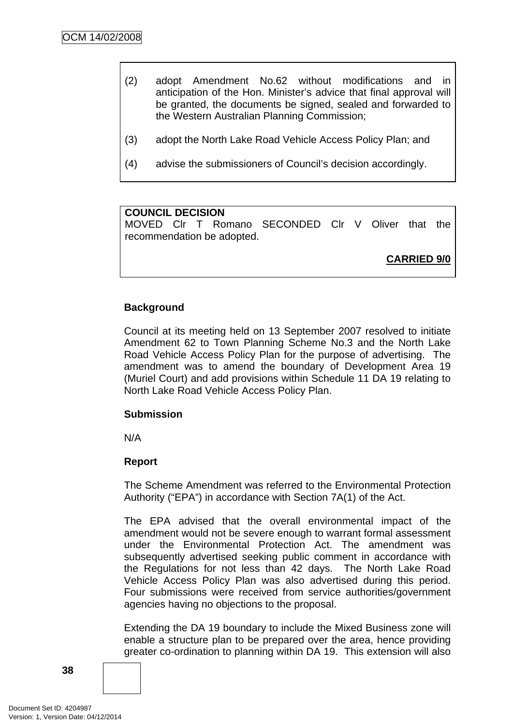- (2) adopt Amendment No.62 without modifications and in anticipation of the Hon. Minister's advice that final approval will be granted, the documents be signed, sealed and forwarded to the Western Australian Planning Commission;
- (3) adopt the North Lake Road Vehicle Access Policy Plan; and
- (4) advise the submissioners of Council's decision accordingly.

#### **COUNCIL DECISION**

MOVED Clr T Romano SECONDED Clr V Oliver that the recommendation be adopted.

**CARRIED 9/0**

## **Background**

Council at its meeting held on 13 September 2007 resolved to initiate Amendment 62 to Town Planning Scheme No.3 and the North Lake Road Vehicle Access Policy Plan for the purpose of advertising. The amendment was to amend the boundary of Development Area 19 (Muriel Court) and add provisions within Schedule 11 DA 19 relating to North Lake Road Vehicle Access Policy Plan.

#### **Submission**

N/A

#### **Report**

The Scheme Amendment was referred to the Environmental Protection Authority ("EPA") in accordance with Section 7A(1) of the Act.

The EPA advised that the overall environmental impact of the amendment would not be severe enough to warrant formal assessment under the Environmental Protection Act. The amendment was subsequently advertised seeking public comment in accordance with the Regulations for not less than 42 days. The North Lake Road Vehicle Access Policy Plan was also advertised during this period. Four submissions were received from service authorities/government agencies having no objections to the proposal.

Extending the DA 19 boundary to include the Mixed Business zone will enable a structure plan to be prepared over the area, hence providing greater co-ordination to planning within DA 19. This extension will also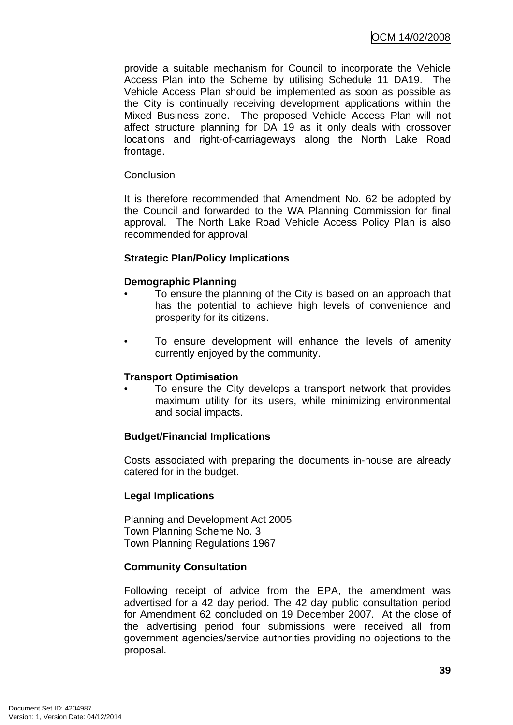provide a suitable mechanism for Council to incorporate the Vehicle Access Plan into the Scheme by utilising Schedule 11 DA19. The Vehicle Access Plan should be implemented as soon as possible as the City is continually receiving development applications within the Mixed Business zone. The proposed Vehicle Access Plan will not affect structure planning for DA 19 as it only deals with crossover locations and right-of-carriageways along the North Lake Road frontage.

#### **Conclusion**

It is therefore recommended that Amendment No. 62 be adopted by the Council and forwarded to the WA Planning Commission for final approval. The North Lake Road Vehicle Access Policy Plan is also recommended for approval.

#### **Strategic Plan/Policy Implications**

#### **Demographic Planning**

- To ensure the planning of the City is based on an approach that has the potential to achieve high levels of convenience and prosperity for its citizens.
- To ensure development will enhance the levels of amenity currently enjoyed by the community.

#### **Transport Optimisation**

• To ensure the City develops a transport network that provides maximum utility for its users, while minimizing environmental and social impacts.

#### **Budget/Financial Implications**

Costs associated with preparing the documents in-house are already catered for in the budget.

#### **Legal Implications**

Planning and Development Act 2005 Town Planning Scheme No. 3 Town Planning Regulations 1967

#### **Community Consultation**

Following receipt of advice from the EPA, the amendment was advertised for a 42 day period. The 42 day public consultation period for Amendment 62 concluded on 19 December 2007. At the close of the advertising period four submissions were received all from government agencies/service authorities providing no objections to the proposal.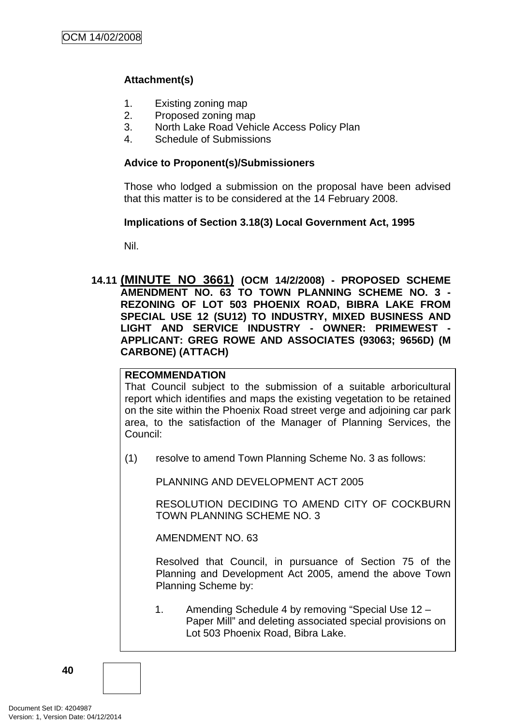## **Attachment(s)**

- 1. Existing zoning map
- 2. Proposed zoning map
- 3. North Lake Road Vehicle Access Policy Plan
- 4. Schedule of Submissions

## **Advice to Proponent(s)/Submissioners**

Those who lodged a submission on the proposal have been advised that this matter is to be considered at the 14 February 2008.

## **Implications of Section 3.18(3) Local Government Act, 1995**

Nil.

**14.11 (MINUTE NO 3661) (OCM 14/2/2008) - PROPOSED SCHEME AMENDMENT NO. 63 TO TOWN PLANNING SCHEME NO. 3 - REZONING OF LOT 503 PHOENIX ROAD, BIBRA LAKE FROM SPECIAL USE 12 (SU12) TO INDUSTRY, MIXED BUSINESS AND LIGHT AND SERVICE INDUSTRY - OWNER: PRIMEWEST - APPLICANT: GREG ROWE AND ASSOCIATES (93063; 9656D) (M CARBONE) (ATTACH)** 

#### **RECOMMENDATION**

That Council subject to the submission of a suitable arboricultural report which identifies and maps the existing vegetation to be retained on the site within the Phoenix Road street verge and adjoining car park area, to the satisfaction of the Manager of Planning Services, the Council:

(1) resolve to amend Town Planning Scheme No. 3 as follows:

PLANNING AND DEVELOPMENT ACT 2005

RESOLUTION DECIDING TO AMEND CITY OF COCKBURN TOWN PLANNING SCHEME NO. 3

AMENDMENT NO. 63

Resolved that Council, in pursuance of Section 75 of the Planning and Development Act 2005, amend the above Town Planning Scheme by:

1. Amending Schedule 4 by removing "Special Use 12 – Paper Mill" and deleting associated special provisions on Lot 503 Phoenix Road, Bibra Lake.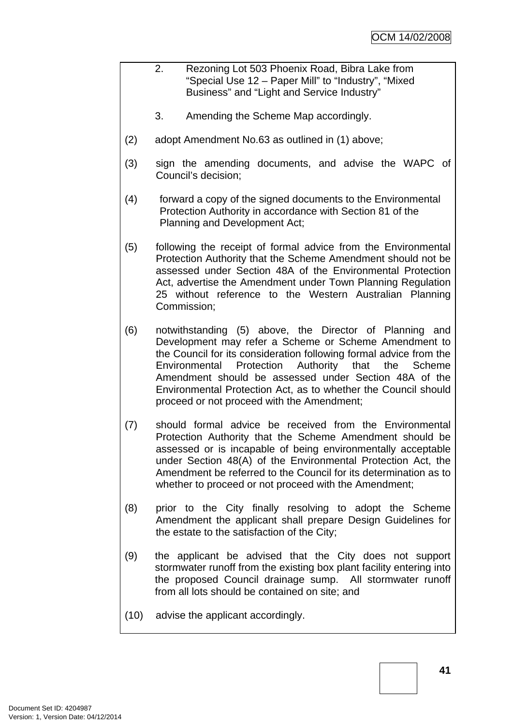- 2. Rezoning Lot 503 Phoenix Road, Bibra Lake from "Special Use 12 – Paper Mill" to "Industry", "Mixed Business" and "Light and Service Industry"
	- 3. Amending the Scheme Map accordingly.
- (2) adopt Amendment No.63 as outlined in (1) above;
- (3) sign the amending documents, and advise the WAPC of Council's decision;
- (4) forward a copy of the signed documents to the Environmental Protection Authority in accordance with Section 81 of the Planning and Development Act;
- (5) following the receipt of formal advice from the Environmental Protection Authority that the Scheme Amendment should not be assessed under Section 48A of the Environmental Protection Act, advertise the Amendment under Town Planning Regulation 25 without reference to the Western Australian Planning Commission;
- (6) notwithstanding (5) above, the Director of Planning and Development may refer a Scheme or Scheme Amendment to the Council for its consideration following formal advice from the Environmental Protection Authority that the Scheme Amendment should be assessed under Section 48A of the Environmental Protection Act, as to whether the Council should proceed or not proceed with the Amendment;
- (7) should formal advice be received from the Environmental Protection Authority that the Scheme Amendment should be assessed or is incapable of being environmentally acceptable under Section 48(A) of the Environmental Protection Act, the Amendment be referred to the Council for its determination as to whether to proceed or not proceed with the Amendment;
- (8) prior to the City finally resolving to adopt the Scheme Amendment the applicant shall prepare Design Guidelines for the estate to the satisfaction of the City;
- (9) the applicant be advised that the City does not support stormwater runoff from the existing box plant facility entering into the proposed Council drainage sump. All stormwater runoff from all lots should be contained on site; and
- (10) advise the applicant accordingly.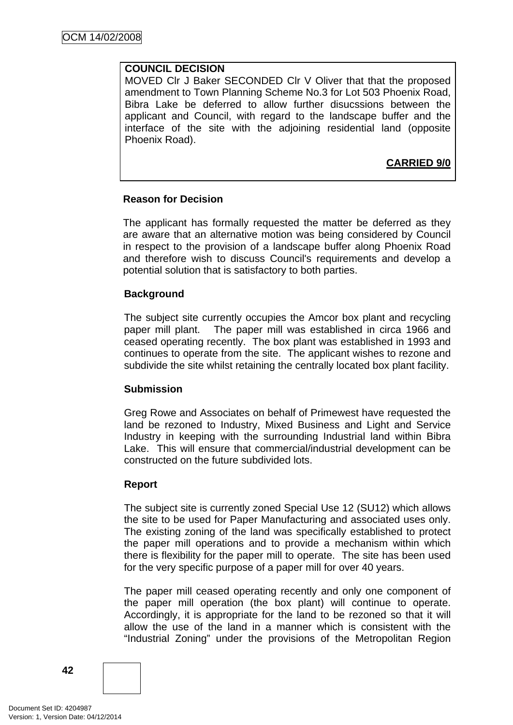#### **COUNCIL DECISION**

MOVED Clr J Baker SECONDED Clr V Oliver that that the proposed amendment to Town Planning Scheme No.3 for Lot 503 Phoenix Road, Bibra Lake be deferred to allow further disucssions between the applicant and Council, with regard to the landscape buffer and the interface of the site with the adjoining residential land (opposite Phoenix Road).

**CARRIED 9/0**

#### **Reason for Decision**

The applicant has formally requested the matter be deferred as they are aware that an alternative motion was being considered by Council in respect to the provision of a landscape buffer along Phoenix Road and therefore wish to discuss Council's requirements and develop a potential solution that is satisfactory to both parties.

#### **Background**

The subject site currently occupies the Amcor box plant and recycling paper mill plant. The paper mill was established in circa 1966 and ceased operating recently. The box plant was established in 1993 and continues to operate from the site. The applicant wishes to rezone and subdivide the site whilst retaining the centrally located box plant facility.

#### **Submission**

Greg Rowe and Associates on behalf of Primewest have requested the land be rezoned to Industry, Mixed Business and Light and Service Industry in keeping with the surrounding Industrial land within Bibra Lake. This will ensure that commercial/industrial development can be constructed on the future subdivided lots.

#### **Report**

The subject site is currently zoned Special Use 12 (SU12) which allows the site to be used for Paper Manufacturing and associated uses only. The existing zoning of the land was specifically established to protect the paper mill operations and to provide a mechanism within which there is flexibility for the paper mill to operate. The site has been used for the very specific purpose of a paper mill for over 40 years.

The paper mill ceased operating recently and only one component of the paper mill operation (the box plant) will continue to operate. Accordingly, it is appropriate for the land to be rezoned so that it will allow the use of the land in a manner which is consistent with the "Industrial Zoning" under the provisions of the Metropolitan Region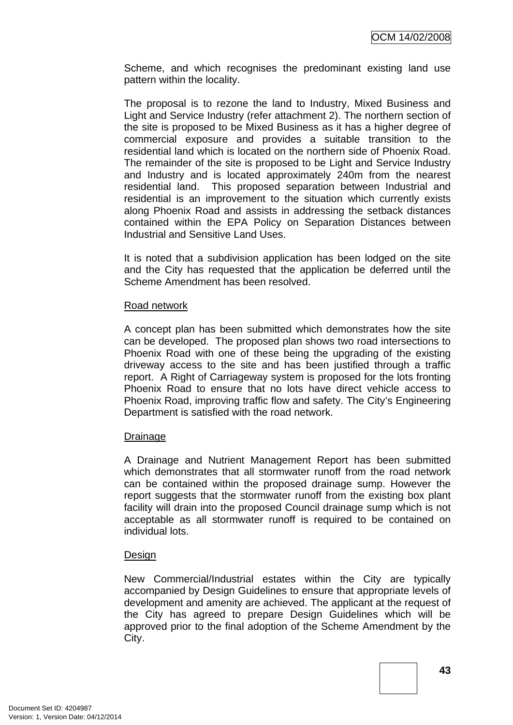Scheme, and which recognises the predominant existing land use pattern within the locality.

The proposal is to rezone the land to Industry, Mixed Business and Light and Service Industry (refer attachment 2). The northern section of the site is proposed to be Mixed Business as it has a higher degree of commercial exposure and provides a suitable transition to the residential land which is located on the northern side of Phoenix Road. The remainder of the site is proposed to be Light and Service Industry and Industry and is located approximately 240m from the nearest residential land. This proposed separation between Industrial and residential is an improvement to the situation which currently exists along Phoenix Road and assists in addressing the setback distances contained within the EPA Policy on Separation Distances between Industrial and Sensitive Land Uses.

It is noted that a subdivision application has been lodged on the site and the City has requested that the application be deferred until the Scheme Amendment has been resolved.

#### Road network

A concept plan has been submitted which demonstrates how the site can be developed. The proposed plan shows two road intersections to Phoenix Road with one of these being the upgrading of the existing driveway access to the site and has been justified through a traffic report. A Right of Carriageway system is proposed for the lots fronting Phoenix Road to ensure that no lots have direct vehicle access to Phoenix Road, improving traffic flow and safety. The City's Engineering Department is satisfied with the road network.

#### Drainage

A Drainage and Nutrient Management Report has been submitted which demonstrates that all stormwater runoff from the road network can be contained within the proposed drainage sump. However the report suggests that the stormwater runoff from the existing box plant facility will drain into the proposed Council drainage sump which is not acceptable as all stormwater runoff is required to be contained on individual lots.

#### **Design**

New Commercial/Industrial estates within the City are typically accompanied by Design Guidelines to ensure that appropriate levels of development and amenity are achieved. The applicant at the request of the City has agreed to prepare Design Guidelines which will be approved prior to the final adoption of the Scheme Amendment by the City.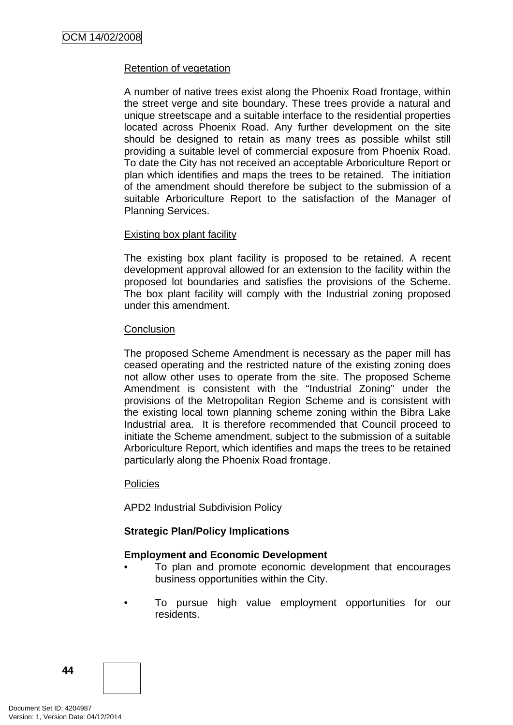#### Retention of vegetation

A number of native trees exist along the Phoenix Road frontage, within the street verge and site boundary. These trees provide a natural and unique streetscape and a suitable interface to the residential properties located across Phoenix Road. Any further development on the site should be designed to retain as many trees as possible whilst still providing a suitable level of commercial exposure from Phoenix Road. To date the City has not received an acceptable Arboriculture Report or plan which identifies and maps the trees to be retained. The initiation of the amendment should therefore be subject to the submission of a suitable Arboriculture Report to the satisfaction of the Manager of Planning Services.

#### Existing box plant facility

The existing box plant facility is proposed to be retained. A recent development approval allowed for an extension to the facility within the proposed lot boundaries and satisfies the provisions of the Scheme. The box plant facility will comply with the Industrial zoning proposed under this amendment.

#### **Conclusion**

The proposed Scheme Amendment is necessary as the paper mill has ceased operating and the restricted nature of the existing zoning does not allow other uses to operate from the site. The proposed Scheme Amendment is consistent with the "Industrial Zoning" under the provisions of the Metropolitan Region Scheme and is consistent with the existing local town planning scheme zoning within the Bibra Lake Industrial area. It is therefore recommended that Council proceed to initiate the Scheme amendment, subject to the submission of a suitable Arboriculture Report, which identifies and maps the trees to be retained particularly along the Phoenix Road frontage.

#### **Policies**

APD2 Industrial Subdivision Policy

#### **Strategic Plan/Policy Implications**

#### **Employment and Economic Development**

- To plan and promote economic development that encourages business opportunities within the City.
- To pursue high value employment opportunities for our residents.

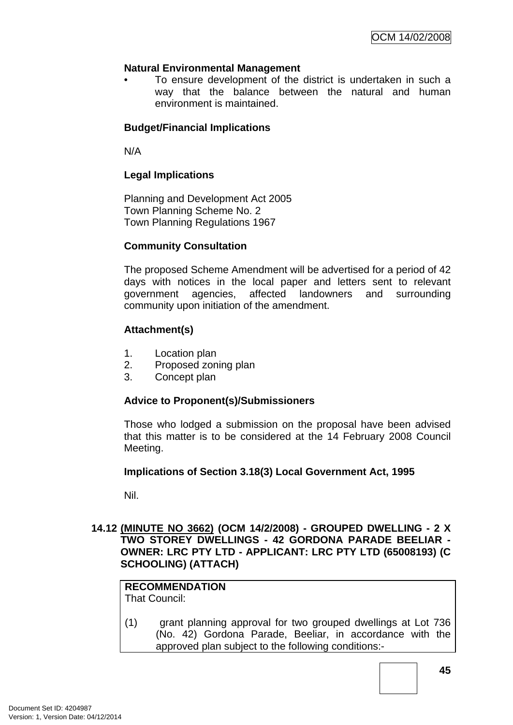## **Natural Environmental Management**

To ensure development of the district is undertaken in such a way that the balance between the natural and human environment is maintained.

### **Budget/Financial Implications**

N/A

## **Legal Implications**

Planning and Development Act 2005 Town Planning Scheme No. 2 Town Planning Regulations 1967

## **Community Consultation**

The proposed Scheme Amendment will be advertised for a period of 42 days with notices in the local paper and letters sent to relevant government agencies, affected landowners and surrounding community upon initiation of the amendment.

## **Attachment(s)**

- 1. Location plan
- 2. Proposed zoning plan
- 3. Concept plan

#### **Advice to Proponent(s)/Submissioners**

Those who lodged a submission on the proposal have been advised that this matter is to be considered at the 14 February 2008 Council Meeting.

#### **Implications of Section 3.18(3) Local Government Act, 1995**

Nil.

#### **14.12 (MINUTE NO 3662) (OCM 14/2/2008) - GROUPED DWELLING - 2 X TWO STOREY DWELLINGS - 42 GORDONA PARADE BEELIAR - OWNER: LRC PTY LTD - APPLICANT: LRC PTY LTD (65008193) (C SCHOOLING) (ATTACH)**

## **RECOMMENDATION**

That Council:

(1) grant planning approval for two grouped dwellings at Lot 736 (No. 42) Gordona Parade, Beeliar, in accordance with the approved plan subject to the following conditions:-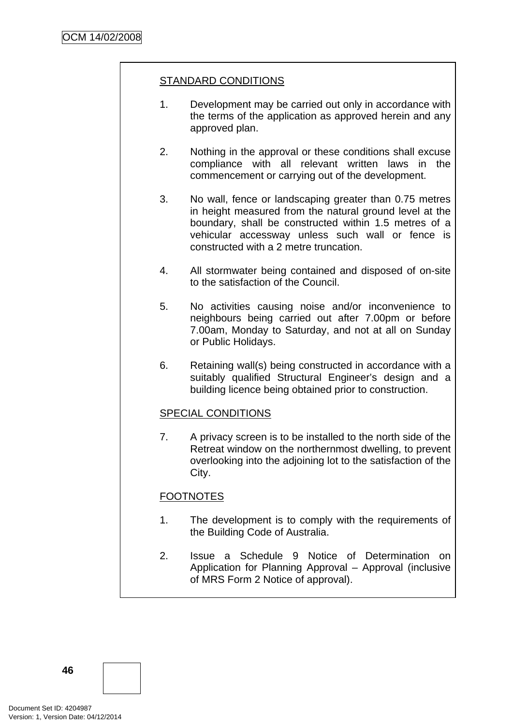## STANDARD CONDITIONS

- 1. Development may be carried out only in accordance with the terms of the application as approved herein and any approved plan.
- 2. Nothing in the approval or these conditions shall excuse compliance with all relevant written laws in the commencement or carrying out of the development.
- 3. No wall, fence or landscaping greater than 0.75 metres in height measured from the natural ground level at the boundary, shall be constructed within 1.5 metres of a vehicular accessway unless such wall or fence is constructed with a 2 metre truncation.
- 4. All stormwater being contained and disposed of on-site to the satisfaction of the Council.
- 5. No activities causing noise and/or inconvenience to neighbours being carried out after 7.00pm or before 7.00am, Monday to Saturday, and not at all on Sunday or Public Holidays.
- 6. Retaining wall(s) being constructed in accordance with a suitably qualified Structural Engineer's design and a building licence being obtained prior to construction.

#### SPECIAL CONDITIONS

7. A privacy screen is to be installed to the north side of the Retreat window on the northernmost dwelling, to prevent overlooking into the adjoining lot to the satisfaction of the City.

#### FOOTNOTES

- 1. The development is to comply with the requirements of the Building Code of Australia.
- 2. Issue a Schedule 9 Notice of Determination on Application for Planning Approval – Approval (inclusive of MRS Form 2 Notice of approval).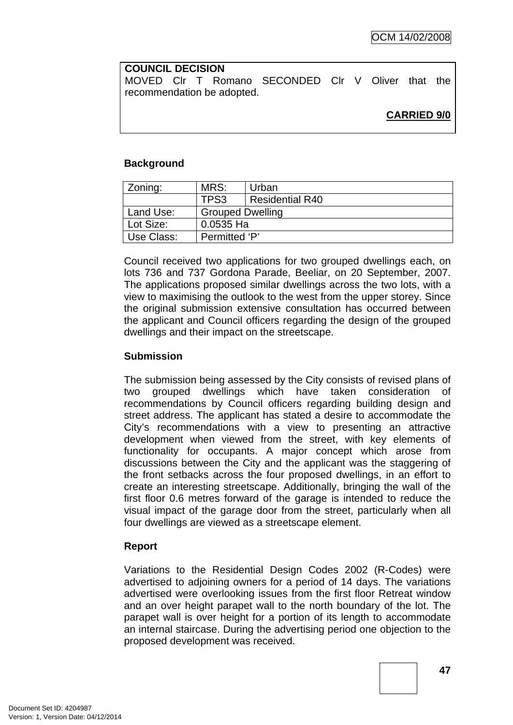#### **COUNCIL DECISION**

MOVED Clr T Romano SECONDED Clr V Oliver that the recommendation be adopted.

## **CARRIED 9/0**

#### **Background**

| Zoning:                     | MRS:                    | Urban                  |
|-----------------------------|-------------------------|------------------------|
|                             | TPS3                    | <b>Residential R40</b> |
| Land Use:                   | <b>Grouped Dwelling</b> |                        |
| Lot Size:<br>$0.0535$ Ha    |                         |                        |
| Use Class:<br>Permitted 'P' |                         |                        |

Council received two applications for two grouped dwellings each, on lots 736 and 737 Gordona Parade, Beeliar, on 20 September, 2007. The applications proposed similar dwellings across the two lots, with a view to maximising the outlook to the west from the upper storey. Since the original submission extensive consultation has occurred between the applicant and Council officers regarding the design of the grouped dwellings and their impact on the streetscape.

#### **Submission**

The submission being assessed by the City consists of revised plans of two grouped dwellings which have taken consideration of recommendations by Council officers regarding building design and street address. The applicant has stated a desire to accommodate the City's recommendations with a view to presenting an attractive development when viewed from the street, with key elements of functionality for occupants. A major concept which arose from discussions between the City and the applicant was the staggering of the front setbacks across the four proposed dwellings, in an effort to create an interesting streetscape. Additionally, bringing the wall of the first floor 0.6 metres forward of the garage is intended to reduce the visual impact of the garage door from the street, particularly when all four dwellings are viewed as a streetscape element.

#### **Report**

Variations to the Residential Design Codes 2002 (R-Codes) were advertised to adjoining owners for a period of 14 days. The variations advertised were overlooking issues from the first floor Retreat window and an over height parapet wall to the north boundary of the lot. The parapet wall is over height for a portion of its length to accommodate an internal staircase. During the advertising period one objection to the proposed development was received.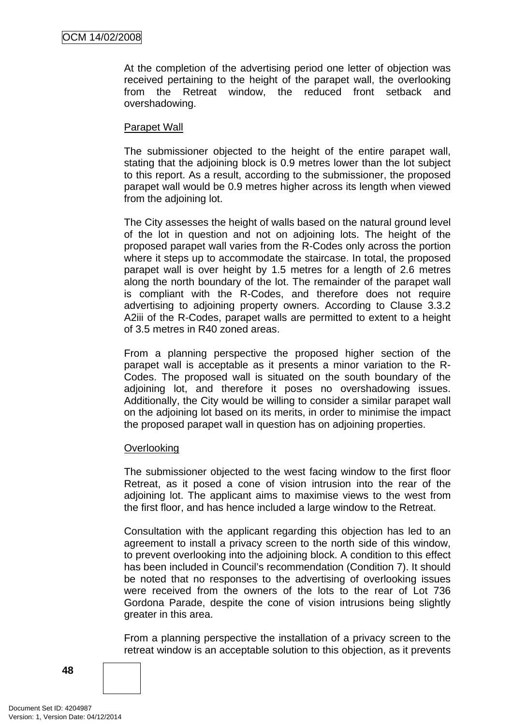At the completion of the advertising period one letter of objection was received pertaining to the height of the parapet wall, the overlooking from the Retreat window, the reduced front setback and overshadowing.

#### Parapet Wall

The submissioner objected to the height of the entire parapet wall, stating that the adjoining block is 0.9 metres lower than the lot subject to this report. As a result, according to the submissioner, the proposed parapet wall would be 0.9 metres higher across its length when viewed from the adjoining lot.

The City assesses the height of walls based on the natural ground level of the lot in question and not on adjoining lots. The height of the proposed parapet wall varies from the R-Codes only across the portion where it steps up to accommodate the staircase. In total, the proposed parapet wall is over height by 1.5 metres for a length of 2.6 metres along the north boundary of the lot. The remainder of the parapet wall is compliant with the R-Codes, and therefore does not require advertising to adjoining property owners. According to Clause 3.3.2 A2iii of the R-Codes, parapet walls are permitted to extent to a height of 3.5 metres in R40 zoned areas.

From a planning perspective the proposed higher section of the parapet wall is acceptable as it presents a minor variation to the R-Codes. The proposed wall is situated on the south boundary of the adjoining lot, and therefore it poses no overshadowing issues. Additionally, the City would be willing to consider a similar parapet wall on the adjoining lot based on its merits, in order to minimise the impact the proposed parapet wall in question has on adjoining properties.

#### **Overlooking**

The submissioner objected to the west facing window to the first floor Retreat, as it posed a cone of vision intrusion into the rear of the adjoining lot. The applicant aims to maximise views to the west from the first floor, and has hence included a large window to the Retreat.

Consultation with the applicant regarding this objection has led to an agreement to install a privacy screen to the north side of this window, to prevent overlooking into the adjoining block. A condition to this effect has been included in Council's recommendation (Condition 7). It should be noted that no responses to the advertising of overlooking issues were received from the owners of the lots to the rear of Lot 736 Gordona Parade, despite the cone of vision intrusions being slightly greater in this area.

From a planning perspective the installation of a privacy screen to the retreat window is an acceptable solution to this objection, as it prevents

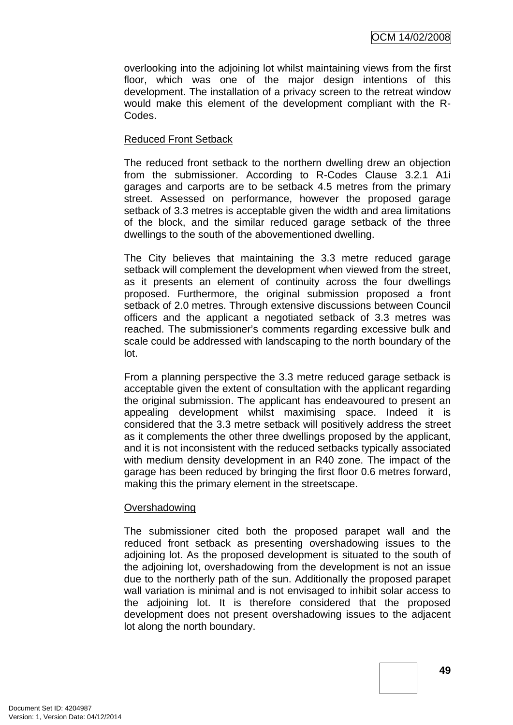overlooking into the adjoining lot whilst maintaining views from the first floor, which was one of the major design intentions of this development. The installation of a privacy screen to the retreat window would make this element of the development compliant with the R-Codes.

#### Reduced Front Setback

The reduced front setback to the northern dwelling drew an objection from the submissioner. According to R-Codes Clause 3.2.1 A1i garages and carports are to be setback 4.5 metres from the primary street. Assessed on performance, however the proposed garage setback of 3.3 metres is acceptable given the width and area limitations of the block, and the similar reduced garage setback of the three dwellings to the south of the abovementioned dwelling.

The City believes that maintaining the 3.3 metre reduced garage setback will complement the development when viewed from the street, as it presents an element of continuity across the four dwellings proposed. Furthermore, the original submission proposed a front setback of 2.0 metres. Through extensive discussions between Council officers and the applicant a negotiated setback of 3.3 metres was reached. The submissioner's comments regarding excessive bulk and scale could be addressed with landscaping to the north boundary of the lot.

From a planning perspective the 3.3 metre reduced garage setback is acceptable given the extent of consultation with the applicant regarding the original submission. The applicant has endeavoured to present an appealing development whilst maximising space. Indeed it is considered that the 3.3 metre setback will positively address the street as it complements the other three dwellings proposed by the applicant, and it is not inconsistent with the reduced setbacks typically associated with medium density development in an R40 zone. The impact of the garage has been reduced by bringing the first floor 0.6 metres forward, making this the primary element in the streetscape.

#### **Overshadowing**

The submissioner cited both the proposed parapet wall and the reduced front setback as presenting overshadowing issues to the adjoining lot. As the proposed development is situated to the south of the adjoining lot, overshadowing from the development is not an issue due to the northerly path of the sun. Additionally the proposed parapet wall variation is minimal and is not envisaged to inhibit solar access to the adjoining lot. It is therefore considered that the proposed development does not present overshadowing issues to the adjacent lot along the north boundary.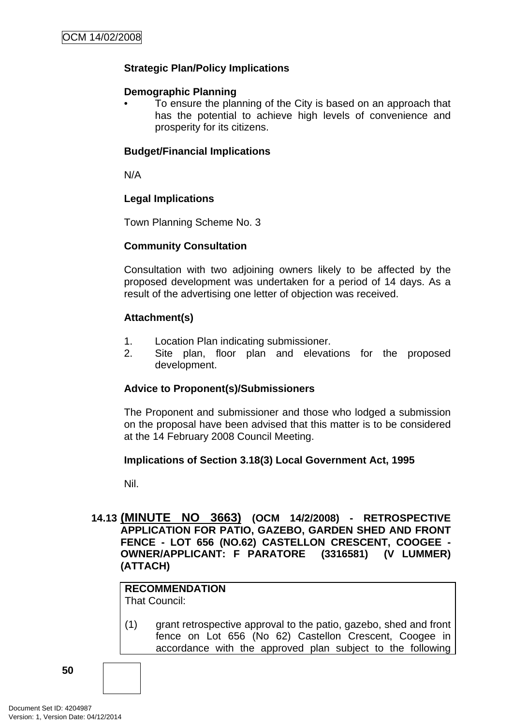## **Strategic Plan/Policy Implications**

### **Demographic Planning**

• To ensure the planning of the City is based on an approach that has the potential to achieve high levels of convenience and prosperity for its citizens.

## **Budget/Financial Implications**

N/A

## **Legal Implications**

Town Planning Scheme No. 3

## **Community Consultation**

Consultation with two adjoining owners likely to be affected by the proposed development was undertaken for a period of 14 days. As a result of the advertising one letter of objection was received.

## **Attachment(s)**

- 1. Location Plan indicating submissioner.
- 2. Site plan, floor plan and elevations for the proposed development.

## **Advice to Proponent(s)/Submissioners**

The Proponent and submissioner and those who lodged a submission on the proposal have been advised that this matter is to be considered at the 14 February 2008 Council Meeting.

## **Implications of Section 3.18(3) Local Government Act, 1995**

Nil.

**14.13 (MINUTE NO 3663) (OCM 14/2/2008) - RETROSPECTIVE APPLICATION FOR PATIO, GAZEBO, GARDEN SHED AND FRONT FENCE - LOT 656 (NO.62) CASTELLON CRESCENT, COOGEE - OWNER/APPLICANT: F PARATORE (3316581) (V LUMMER) (ATTACH)** 

#### **RECOMMENDATION** That Council:

(1) grant retrospective approval to the patio, gazebo, shed and front fence on Lot 656 (No 62) Castellon Crescent, Coogee in accordance with the approved plan subject to the following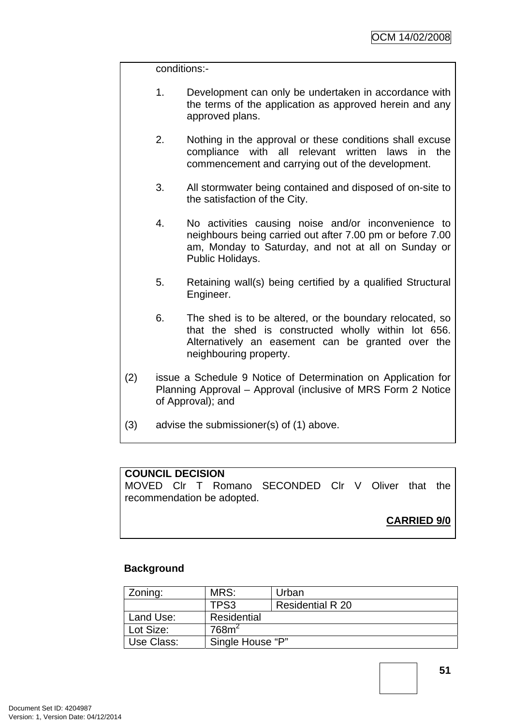conditions:-

- 1. Development can only be undertaken in accordance with the terms of the application as approved herein and any approved plans.
- 2. Nothing in the approval or these conditions shall excuse compliance with all relevant written laws in the commencement and carrying out of the development.
- 3. All stormwater being contained and disposed of on-site to the satisfaction of the City.
- 4. No activities causing noise and/or inconvenience to neighbours being carried out after 7.00 pm or before 7.00 am, Monday to Saturday, and not at all on Sunday or Public Holidays.
- 5. Retaining wall(s) being certified by a qualified Structural Engineer.
- 6. The shed is to be altered, or the boundary relocated, so that the shed is constructed wholly within lot 656. Alternatively an easement can be granted over the neighbouring property.
- (2) issue a Schedule 9 Notice of Determination on Application for Planning Approval – Approval (inclusive of MRS Form 2 Notice of Approval); and
- (3) advise the submissioner(s) of (1) above.

#### **COUNCIL DECISION**

MOVED Clr T Romano SECONDED Clr V Oliver that the recommendation be adopted.

**CARRIED 9/0**

#### **Background**

| Zoning:                        | MRS:             | Urban                   |  |
|--------------------------------|------------------|-------------------------|--|
|                                | TPS3             | <b>Residential R 20</b> |  |
| Land Use:                      | Residential      |                         |  |
| 768m <sup>2</sup><br>Lot Size: |                  |                         |  |
| Use Class:                     | Single House "P" |                         |  |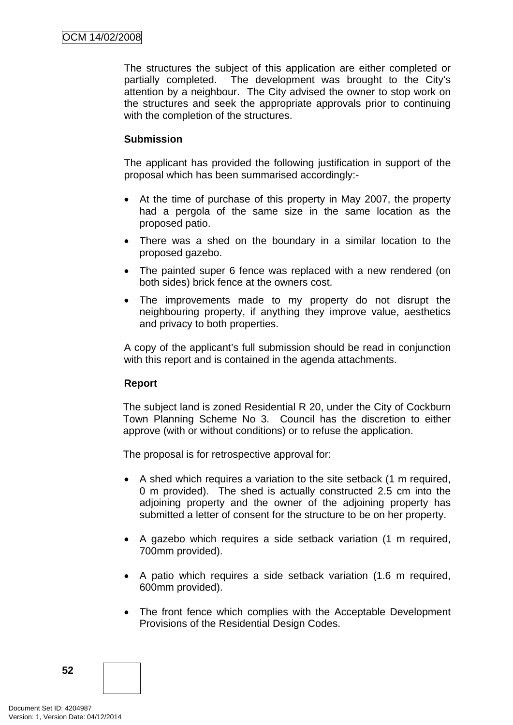The structures the subject of this application are either completed or partially completed. The development was brought to the City's attention by a neighbour. The City advised the owner to stop work on the structures and seek the appropriate approvals prior to continuing with the completion of the structures.

#### **Submission**

The applicant has provided the following justification in support of the proposal which has been summarised accordingly:-

- At the time of purchase of this property in May 2007, the property had a pergola of the same size in the same location as the proposed patio.
- There was a shed on the boundary in a similar location to the proposed gazebo.
- The painted super 6 fence was replaced with a new rendered (on both sides) brick fence at the owners cost.
- The improvements made to my property do not disrupt the neighbouring property, if anything they improve value, aesthetics and privacy to both properties.

A copy of the applicant's full submission should be read in conjunction with this report and is contained in the agenda attachments.

#### **Report**

The subject land is zoned Residential R 20, under the City of Cockburn Town Planning Scheme No 3. Council has the discretion to either approve (with or without conditions) or to refuse the application.

The proposal is for retrospective approval for:

- A shed which requires a variation to the site setback (1 m required, 0 m provided). The shed is actually constructed 2.5 cm into the adjoining property and the owner of the adjoining property has submitted a letter of consent for the structure to be on her property.
- A gazebo which requires a side setback variation (1 m required, 700mm provided).
- A patio which requires a side setback variation (1.6 m required, 600mm provided).
- The front fence which complies with the Acceptable Development Provisions of the Residential Design Codes.

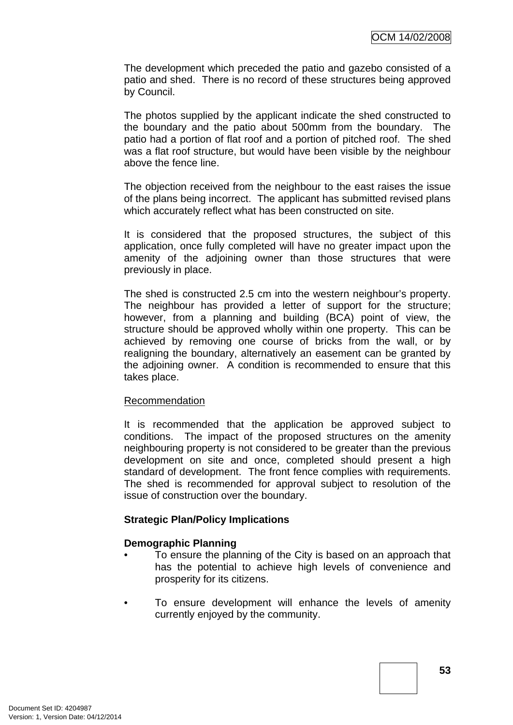The development which preceded the patio and gazebo consisted of a patio and shed. There is no record of these structures being approved by Council.

The photos supplied by the applicant indicate the shed constructed to the boundary and the patio about 500mm from the boundary. The patio had a portion of flat roof and a portion of pitched roof. The shed was a flat roof structure, but would have been visible by the neighbour above the fence line.

The objection received from the neighbour to the east raises the issue of the plans being incorrect. The applicant has submitted revised plans which accurately reflect what has been constructed on site.

It is considered that the proposed structures, the subject of this application, once fully completed will have no greater impact upon the amenity of the adjoining owner than those structures that were previously in place.

The shed is constructed 2.5 cm into the western neighbour's property. The neighbour has provided a letter of support for the structure; however, from a planning and building (BCA) point of view, the structure should be approved wholly within one property. This can be achieved by removing one course of bricks from the wall, or by realigning the boundary, alternatively an easement can be granted by the adjoining owner. A condition is recommended to ensure that this takes place.

#### Recommendation

It is recommended that the application be approved subject to conditions. The impact of the proposed structures on the amenity neighbouring property is not considered to be greater than the previous development on site and once, completed should present a high standard of development. The front fence complies with requirements. The shed is recommended for approval subject to resolution of the issue of construction over the boundary.

#### **Strategic Plan/Policy Implications**

#### **Demographic Planning**

- To ensure the planning of the City is based on an approach that has the potential to achieve high levels of convenience and prosperity for its citizens.
- To ensure development will enhance the levels of amenity currently enjoyed by the community.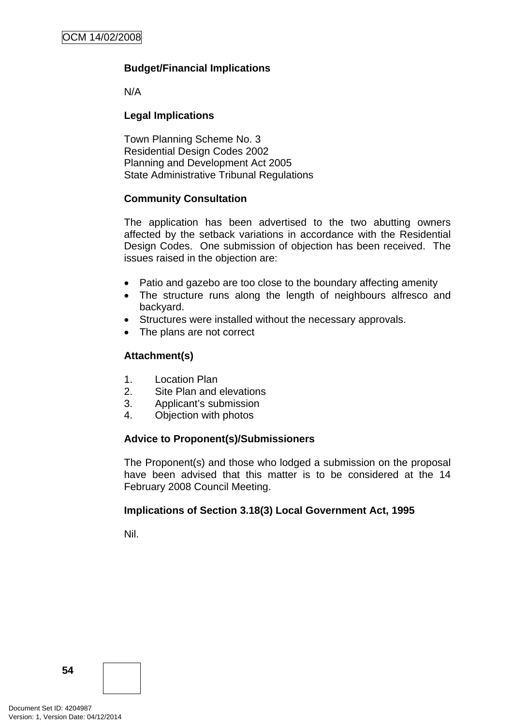## **Budget/Financial Implications**

N/A

## **Legal Implications**

Town Planning Scheme No. 3 Residential Design Codes 2002 Planning and Development Act 2005 State Administrative Tribunal Regulations

## **Community Consultation**

The application has been advertised to the two abutting owners affected by the setback variations in accordance with the Residential Design Codes. One submission of objection has been received. The issues raised in the objection are:

- Patio and gazebo are too close to the boundary affecting amenity
- The structure runs along the length of neighbours alfresco and backyard.
- Structures were installed without the necessary approvals.
- The plans are not correct

## **Attachment(s)**

- 1. Location Plan
- 2. Site Plan and elevations
- 3. Applicant's submission
- 4. Objection with photos

## **Advice to Proponent(s)/Submissioners**

The Proponent(s) and those who lodged a submission on the proposal have been advised that this matter is to be considered at the 14 February 2008 Council Meeting.

## **Implications of Section 3.18(3) Local Government Act, 1995**

Nil.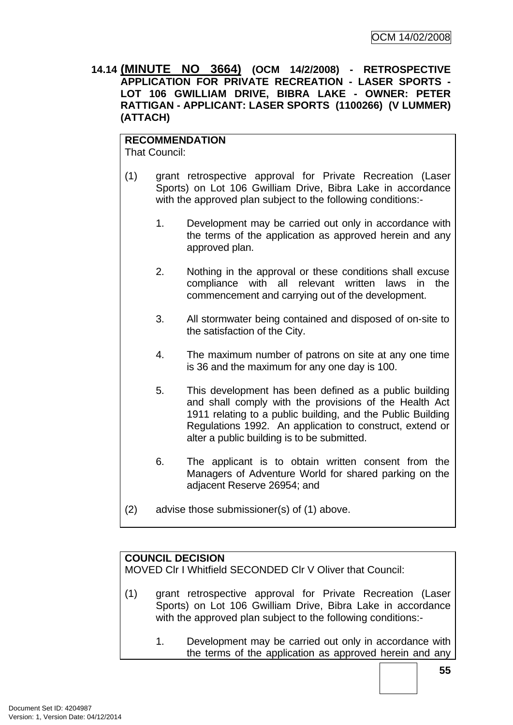**14.14 (MINUTE NO 3664) (OCM 14/2/2008) - RETROSPECTIVE APPLICATION FOR PRIVATE RECREATION - LASER SPORTS - LOT 106 GWILLIAM DRIVE, BIBRA LAKE - OWNER: PETER RATTIGAN - APPLICANT: LASER SPORTS (1100266) (V LUMMER) (ATTACH)** 

## **RECOMMENDATION**

That Council:

- (1) grant retrospective approval for Private Recreation (Laser Sports) on Lot 106 Gwilliam Drive, Bibra Lake in accordance with the approved plan subject to the following conditions:-
	- 1. Development may be carried out only in accordance with the terms of the application as approved herein and any approved plan.
	- 2. Nothing in the approval or these conditions shall excuse compliance with all relevant written laws in the commencement and carrying out of the development.
	- 3. All stormwater being contained and disposed of on-site to the satisfaction of the City.
	- 4. The maximum number of patrons on site at any one time is 36 and the maximum for any one day is 100.
	- 5. This development has been defined as a public building and shall comply with the provisions of the Health Act 1911 relating to a public building, and the Public Building Regulations 1992. An application to construct, extend or alter a public building is to be submitted.
	- 6. The applicant is to obtain written consent from the Managers of Adventure World for shared parking on the adjacent Reserve 26954; and
- (2) advise those submissioner(s) of (1) above.

## **COUNCIL DECISION**

MOVED Clr I Whitfield SECONDED Clr V Oliver that Council:

- (1) grant retrospective approval for Private Recreation (Laser Sports) on Lot 106 Gwilliam Drive, Bibra Lake in accordance with the approved plan subject to the following conditions:-
	- 1. Development may be carried out only in accordance with the terms of the application as approved herein and any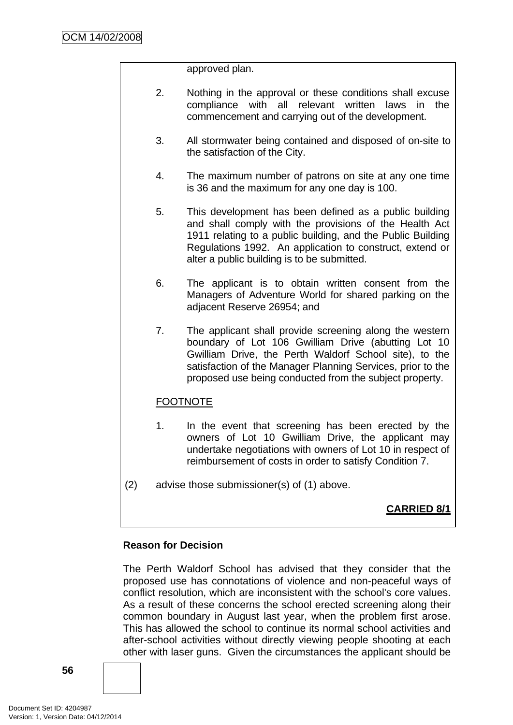approved plan.

- 2. Nothing in the approval or these conditions shall excuse compliance with all relevant written laws in the commencement and carrying out of the development.
- 3. All stormwater being contained and disposed of on-site to the satisfaction of the City.
- 4. The maximum number of patrons on site at any one time is 36 and the maximum for any one day is 100.
- 5. This development has been defined as a public building and shall comply with the provisions of the Health Act 1911 relating to a public building, and the Public Building Regulations 1992. An application to construct, extend or alter a public building is to be submitted.
- 6. The applicant is to obtain written consent from the Managers of Adventure World for shared parking on the adjacent Reserve 26954; and
- 7. The applicant shall provide screening along the western boundary of Lot 106 Gwilliam Drive (abutting Lot 10 Gwilliam Drive, the Perth Waldorf School site), to the satisfaction of the Manager Planning Services, prior to the proposed use being conducted from the subject property.

## FOOTNOTE

- 1. In the event that screening has been erected by the owners of Lot 10 Gwilliam Drive, the applicant may undertake negotiations with owners of Lot 10 in respect of reimbursement of costs in order to satisfy Condition 7.
- (2) advise those submissioner(s) of (1) above.

**CARRIED 8/1**

#### **Reason for Decision**

The Perth Waldorf School has advised that they consider that the proposed use has connotations of violence and non-peaceful ways of conflict resolution, which are inconsistent with the school's core values. As a result of these concerns the school erected screening along their common boundary in August last year, when the problem first arose. This has allowed the school to continue its normal school activities and after-school activities without directly viewing people shooting at each other with laser guns. Given the circumstances the applicant should be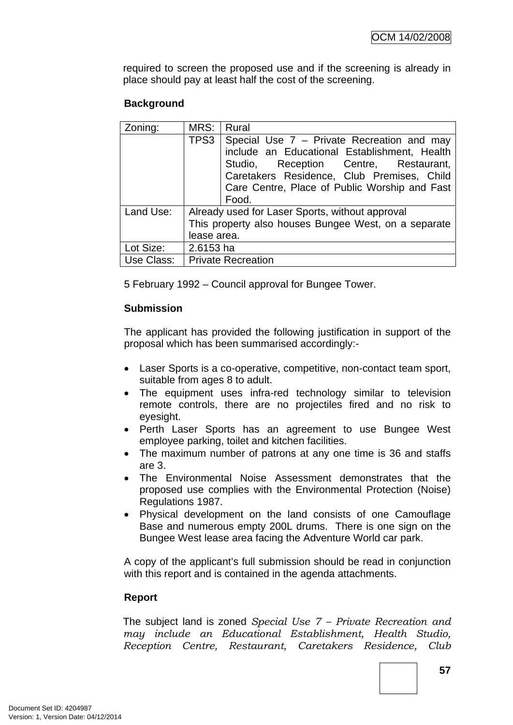required to screen the proposed use and if the screening is already in place should pay at least half the cost of the screening.

## **Background**

| Zoning:    | MRS:                                                 | Rural                                                                                                                                                                                                                                       |  |  |
|------------|------------------------------------------------------|---------------------------------------------------------------------------------------------------------------------------------------------------------------------------------------------------------------------------------------------|--|--|
|            | TPS3                                                 | Special Use 7 – Private Recreation and may<br>include an Educational Establishment, Health<br>Studio, Reception Centre, Restaurant,<br>Caretakers Residence, Club Premises, Child<br>Care Centre, Place of Public Worship and Fast<br>Food. |  |  |
| Land Use:  | Already used for Laser Sports, without approval      |                                                                                                                                                                                                                                             |  |  |
|            | This property also houses Bungee West, on a separate |                                                                                                                                                                                                                                             |  |  |
|            | lease area.                                          |                                                                                                                                                                                                                                             |  |  |
| Lot Size:  | 2.6153 ha                                            |                                                                                                                                                                                                                                             |  |  |
| Use Class: | Private Recreation                                   |                                                                                                                                                                                                                                             |  |  |

5 February 1992 – Council approval for Bungee Tower.

#### **Submission**

The applicant has provided the following justification in support of the proposal which has been summarised accordingly:-

- Laser Sports is a co-operative, competitive, non-contact team sport, suitable from ages 8 to adult.
- The equipment uses infra-red technology similar to television remote controls, there are no projectiles fired and no risk to eyesight.
- Perth Laser Sports has an agreement to use Bungee West employee parking, toilet and kitchen facilities.
- The maximum number of patrons at any one time is 36 and staffs are 3.
- The Environmental Noise Assessment demonstrates that the proposed use complies with the Environmental Protection (Noise) Regulations 1987.
- Physical development on the land consists of one Camouflage Base and numerous empty 200L drums. There is one sign on the Bungee West lease area facing the Adventure World car park.

A copy of the applicant's full submission should be read in conjunction with this report and is contained in the agenda attachments.

#### **Report**

The subject land is zoned *Special Use 7 – Private Recreation and may include an Educational Establishment, Health Studio, Reception Centre, Restaurant, Caretakers Residence, Club*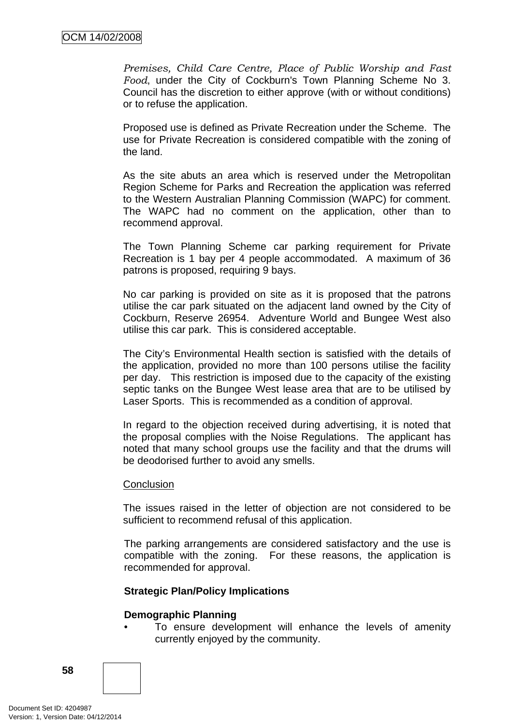*Premises, Child Care Centre, Place of Public Worship and Fast Food*, under the City of Cockburn's Town Planning Scheme No 3. Council has the discretion to either approve (with or without conditions) or to refuse the application.

Proposed use is defined as Private Recreation under the Scheme. The use for Private Recreation is considered compatible with the zoning of the land.

As the site abuts an area which is reserved under the Metropolitan Region Scheme for Parks and Recreation the application was referred to the Western Australian Planning Commission (WAPC) for comment. The WAPC had no comment on the application, other than to recommend approval.

The Town Planning Scheme car parking requirement for Private Recreation is 1 bay per 4 people accommodated. A maximum of 36 patrons is proposed, requiring 9 bays.

No car parking is provided on site as it is proposed that the patrons utilise the car park situated on the adjacent land owned by the City of Cockburn, Reserve 26954. Adventure World and Bungee West also utilise this car park. This is considered acceptable.

The City's Environmental Health section is satisfied with the details of the application, provided no more than 100 persons utilise the facility per day. This restriction is imposed due to the capacity of the existing septic tanks on the Bungee West lease area that are to be utilised by Laser Sports. This is recommended as a condition of approval.

In regard to the objection received during advertising, it is noted that the proposal complies with the Noise Regulations. The applicant has noted that many school groups use the facility and that the drums will be deodorised further to avoid any smells.

#### **Conclusion**

The issues raised in the letter of objection are not considered to be sufficient to recommend refusal of this application.

The parking arrangements are considered satisfactory and the use is compatible with the zoning. For these reasons, the application is recommended for approval.

#### **Strategic Plan/Policy Implications**

#### **Demographic Planning**

To ensure development will enhance the levels of amenity currently enjoyed by the community.

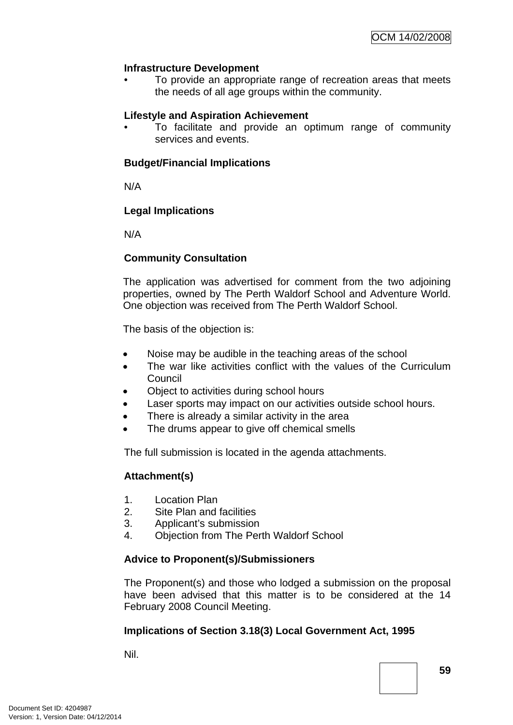## **Infrastructure Development**

• To provide an appropriate range of recreation areas that meets the needs of all age groups within the community.

## **Lifestyle and Aspiration Achievement**

• To facilitate and provide an optimum range of community services and events.

### **Budget/Financial Implications**

N/A

## **Legal Implications**

N/A

## **Community Consultation**

The application was advertised for comment from the two adjoining properties, owned by The Perth Waldorf School and Adventure World. One objection was received from The Perth Waldorf School.

The basis of the objection is:

- Noise may be audible in the teaching areas of the school
- The war like activities conflict with the values of the Curriculum Council
- Object to activities during school hours
- Laser sports may impact on our activities outside school hours.
- There is already a similar activity in the area
- The drums appear to give off chemical smells

The full submission is located in the agenda attachments.

#### **Attachment(s)**

- 1. Location Plan
- 2. Site Plan and facilities
- 3. Applicant's submission
- 4. Objection from The Perth Waldorf School

#### **Advice to Proponent(s)/Submissioners**

The Proponent(s) and those who lodged a submission on the proposal have been advised that this matter is to be considered at the 14 February 2008 Council Meeting.

## **Implications of Section 3.18(3) Local Government Act, 1995**

Nil.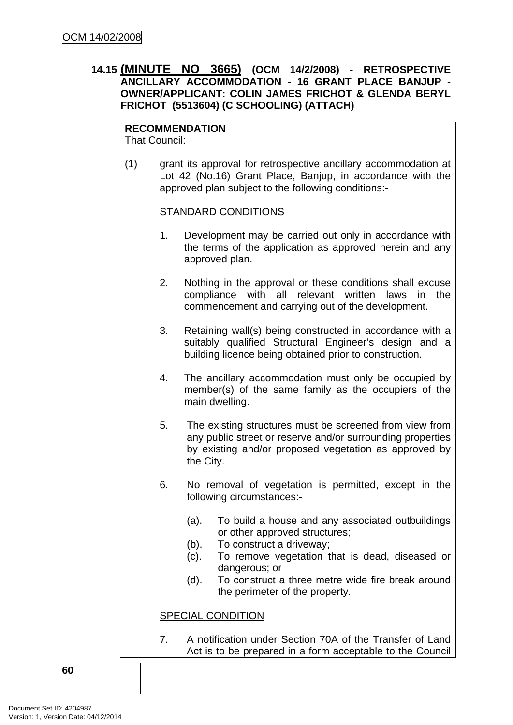## **14.15 (MINUTE NO 3665) (OCM 14/2/2008) - RETROSPECTIVE ANCILLARY ACCOMMODATION - 16 GRANT PLACE BANJUP - OWNER/APPLICANT: COLIN JAMES FRICHOT & GLENDA BERYL FRICHOT (5513604) (C SCHOOLING) (ATTACH)**

## **RECOMMENDATION**

That Council:

(1) grant its approval for retrospective ancillary accommodation at Lot 42 (No.16) Grant Place, Banjup, in accordance with the approved plan subject to the following conditions:-

#### STANDARD CONDITIONS

- 1. Development may be carried out only in accordance with the terms of the application as approved herein and any approved plan.
- 2. Nothing in the approval or these conditions shall excuse compliance with all relevant written laws in the commencement and carrying out of the development.
- 3. Retaining wall(s) being constructed in accordance with a suitably qualified Structural Engineer's design and a building licence being obtained prior to construction.
- 4. The ancillary accommodation must only be occupied by member(s) of the same family as the occupiers of the main dwelling.
- 5. The existing structures must be screened from view from any public street or reserve and/or surrounding properties by existing and/or proposed vegetation as approved by the City.
- 6. No removal of vegetation is permitted, except in the following circumstances:-
	- (a). To build a house and any associated outbuildings or other approved structures;
	- (b). To construct a driveway;
	- (c). To remove vegetation that is dead, diseased or dangerous; or
	- (d). To construct a three metre wide fire break around the perimeter of the property.

#### SPECIAL CONDITION

7. A notification under Section 70A of the Transfer of Land Act is to be prepared in a form acceptable to the Council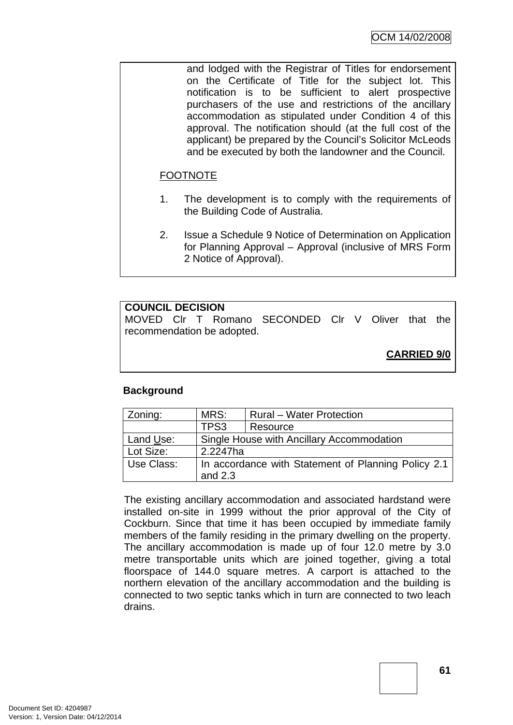and lodged with the Registrar of Titles for endorsement on the Certificate of Title for the subject lot. This notification is to be sufficient to alert prospective purchasers of the use and restrictions of the ancillary accommodation as stipulated under Condition 4 of this approval. The notification should (at the full cost of the applicant) be prepared by the Council's Solicitor McLeods and be executed by both the landowner and the Council.

## FOOTNOTE

- 1. The development is to comply with the requirements of the Building Code of Australia.
- 2. Issue a Schedule 9 Notice of Determination on Application for Planning Approval – Approval (inclusive of MRS Form 2 Notice of Approval).

## **COUNCIL DECISION**

MOVED Clr T Romano SECONDED Clr V Oliver that the recommendation be adopted.

**CARRIED 9/0**

#### **Background**

| Zoning:    | MRS:                                                             | <b>Rural – Water Protection</b> |
|------------|------------------------------------------------------------------|---------------------------------|
|            | TPS3                                                             | Resource                        |
| Land Use:  | Single House with Ancillary Accommodation                        |                                 |
| Lot Size:  | 2.2247ha                                                         |                                 |
| Use Class: | In accordance with Statement of Planning Policy 2.1<br>and $2.3$ |                                 |

The existing ancillary accommodation and associated hardstand were installed on-site in 1999 without the prior approval of the City of Cockburn. Since that time it has been occupied by immediate family members of the family residing in the primary dwelling on the property. The ancillary accommodation is made up of four 12.0 metre by 3.0 metre transportable units which are joined together, giving a total floorspace of 144.0 square metres. A carport is attached to the northern elevation of the ancillary accommodation and the building is connected to two septic tanks which in turn are connected to two leach drains.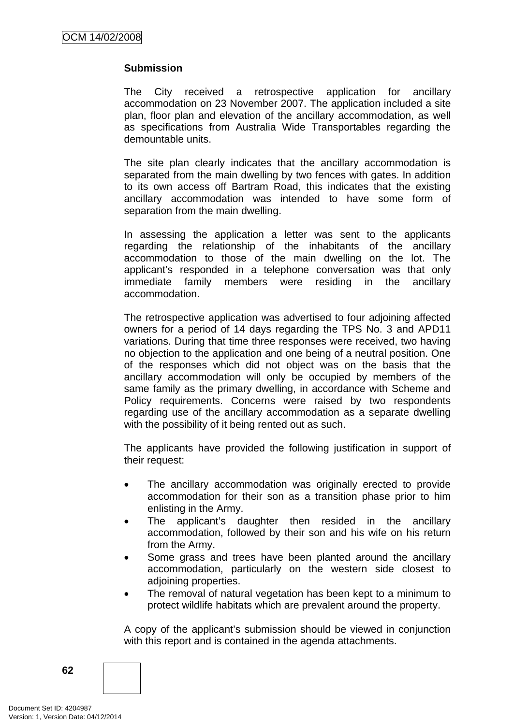### **Submission**

The City received a retrospective application for ancillary accommodation on 23 November 2007. The application included a site plan, floor plan and elevation of the ancillary accommodation, as well as specifications from Australia Wide Transportables regarding the demountable units.

The site plan clearly indicates that the ancillary accommodation is separated from the main dwelling by two fences with gates. In addition to its own access off Bartram Road, this indicates that the existing ancillary accommodation was intended to have some form of separation from the main dwelling.

In assessing the application a letter was sent to the applicants regarding the relationship of the inhabitants of the ancillary accommodation to those of the main dwelling on the lot. The applicant's responded in a telephone conversation was that only immediate family members were residing in the ancillary accommodation.

The retrospective application was advertised to four adjoining affected owners for a period of 14 days regarding the TPS No. 3 and APD11 variations. During that time three responses were received, two having no objection to the application and one being of a neutral position. One of the responses which did not object was on the basis that the ancillary accommodation will only be occupied by members of the same family as the primary dwelling, in accordance with Scheme and Policy requirements. Concerns were raised by two respondents regarding use of the ancillary accommodation as a separate dwelling with the possibility of it being rented out as such.

The applicants have provided the following justification in support of their request:

- The ancillary accommodation was originally erected to provide accommodation for their son as a transition phase prior to him enlisting in the Army.
- The applicant's daughter then resided in the ancillary accommodation, followed by their son and his wife on his return from the Army.
- Some grass and trees have been planted around the ancillary accommodation, particularly on the western side closest to adioining properties.
- The removal of natural vegetation has been kept to a minimum to protect wildlife habitats which are prevalent around the property.

A copy of the applicant's submission should be viewed in conjunction with this report and is contained in the agenda attachments.

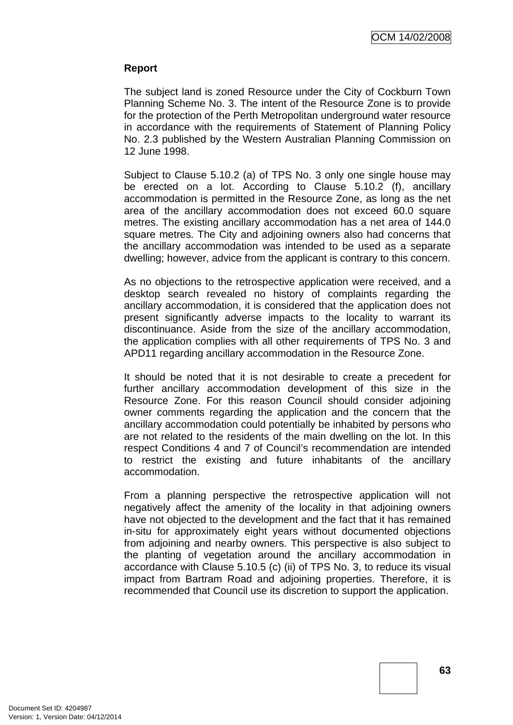## **Report**

The subject land is zoned Resource under the City of Cockburn Town Planning Scheme No. 3. The intent of the Resource Zone is to provide for the protection of the Perth Metropolitan underground water resource in accordance with the requirements of Statement of Planning Policy No. 2.3 published by the Western Australian Planning Commission on 12 June 1998.

Subject to Clause 5.10.2 (a) of TPS No. 3 only one single house may be erected on a lot. According to Clause 5.10.2 (f), ancillary accommodation is permitted in the Resource Zone, as long as the net area of the ancillary accommodation does not exceed 60.0 square metres. The existing ancillary accommodation has a net area of 144.0 square metres. The City and adjoining owners also had concerns that the ancillary accommodation was intended to be used as a separate dwelling; however, advice from the applicant is contrary to this concern.

As no objections to the retrospective application were received, and a desktop search revealed no history of complaints regarding the ancillary accommodation, it is considered that the application does not present significantly adverse impacts to the locality to warrant its discontinuance. Aside from the size of the ancillary accommodation, the application complies with all other requirements of TPS No. 3 and APD11 regarding ancillary accommodation in the Resource Zone.

It should be noted that it is not desirable to create a precedent for further ancillary accommodation development of this size in the Resource Zone. For this reason Council should consider adjoining owner comments regarding the application and the concern that the ancillary accommodation could potentially be inhabited by persons who are not related to the residents of the main dwelling on the lot. In this respect Conditions 4 and 7 of Council's recommendation are intended to restrict the existing and future inhabitants of the ancillary accommodation.

From a planning perspective the retrospective application will not negatively affect the amenity of the locality in that adjoining owners have not objected to the development and the fact that it has remained in-situ for approximately eight years without documented objections from adjoining and nearby owners. This perspective is also subject to the planting of vegetation around the ancillary accommodation in accordance with Clause 5.10.5 (c) (ii) of TPS No. 3, to reduce its visual impact from Bartram Road and adjoining properties. Therefore, it is recommended that Council use its discretion to support the application.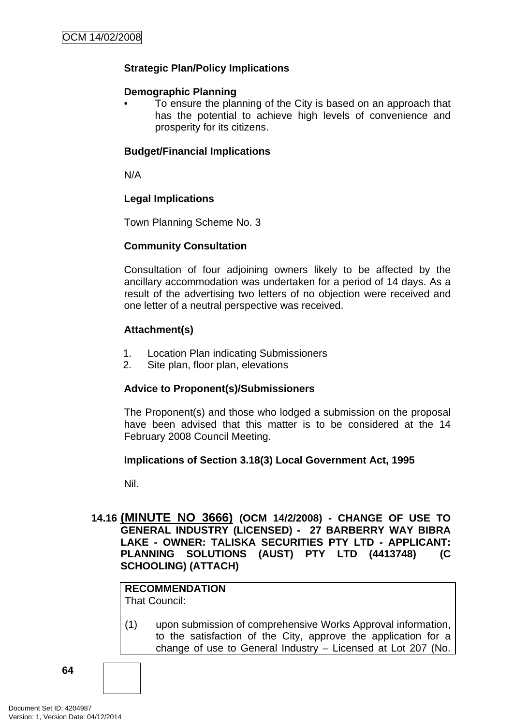## **Strategic Plan/Policy Implications**

### **Demographic Planning**

• To ensure the planning of the City is based on an approach that has the potential to achieve high levels of convenience and prosperity for its citizens.

## **Budget/Financial Implications**

N/A

## **Legal Implications**

Town Planning Scheme No. 3

## **Community Consultation**

Consultation of four adjoining owners likely to be affected by the ancillary accommodation was undertaken for a period of 14 days. As a result of the advertising two letters of no objection were received and one letter of a neutral perspective was received.

## **Attachment(s)**

- 1. Location Plan indicating Submissioners
- 2. Site plan, floor plan, elevations

## **Advice to Proponent(s)/Submissioners**

The Proponent(s) and those who lodged a submission on the proposal have been advised that this matter is to be considered at the 14 February 2008 Council Meeting.

## **Implications of Section 3.18(3) Local Government Act, 1995**

Nil.

#### **14.16 (MINUTE NO 3666) (OCM 14/2/2008) - CHANGE OF USE TO GENERAL INDUSTRY (LICENSED) - 27 BARBERRY WAY BIBRA LAKE - OWNER: TALISKA SECURITIES PTY LTD - APPLICANT: PLANNING SOLUTIONS (AUST) PTY LTD (4413748) (C SCHOOLING) (ATTACH)**

# **RECOMMENDATION**

That Council:

(1) upon submission of comprehensive Works Approval information, to the satisfaction of the City, approve the application for a change of use to General Industry – Licensed at Lot 207 (No.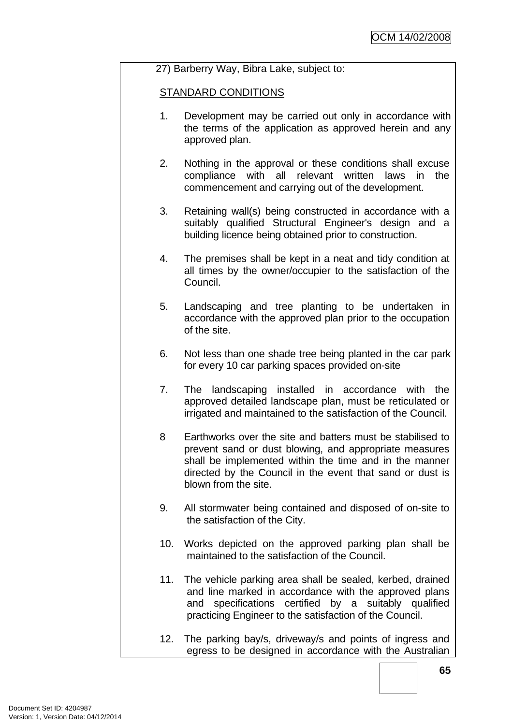### 27) Barberry Way, Bibra Lake, subject to:

#### STANDARD CONDITIONS

- 1. Development may be carried out only in accordance with the terms of the application as approved herein and any approved plan.
- 2. Nothing in the approval or these conditions shall excuse compliance with all relevant written laws in the commencement and carrying out of the development.
- 3. Retaining wall(s) being constructed in accordance with a suitably qualified Structural Engineer's design and a building licence being obtained prior to construction.
- 4. The premises shall be kept in a neat and tidy condition at all times by the owner/occupier to the satisfaction of the Council.
- 5. Landscaping and tree planting to be undertaken in accordance with the approved plan prior to the occupation of the site.
- 6. Not less than one shade tree being planted in the car park for every 10 car parking spaces provided on-site
- 7. The landscaping installed in accordance with the approved detailed landscape plan, must be reticulated or irrigated and maintained to the satisfaction of the Council.
- 8 Earthworks over the site and batters must be stabilised to prevent sand or dust blowing, and appropriate measures shall be implemented within the time and in the manner directed by the Council in the event that sand or dust is blown from the site.
- 9. All stormwater being contained and disposed of on-site to the satisfaction of the City.
- 10. Works depicted on the approved parking plan shall be maintained to the satisfaction of the Council.
- 11. The vehicle parking area shall be sealed, kerbed, drained and line marked in accordance with the approved plans and specifications certified by a suitably qualified practicing Engineer to the satisfaction of the Council.
- 12. The parking bay/s, driveway/s and points of ingress and egress to be designed in accordance with the Australian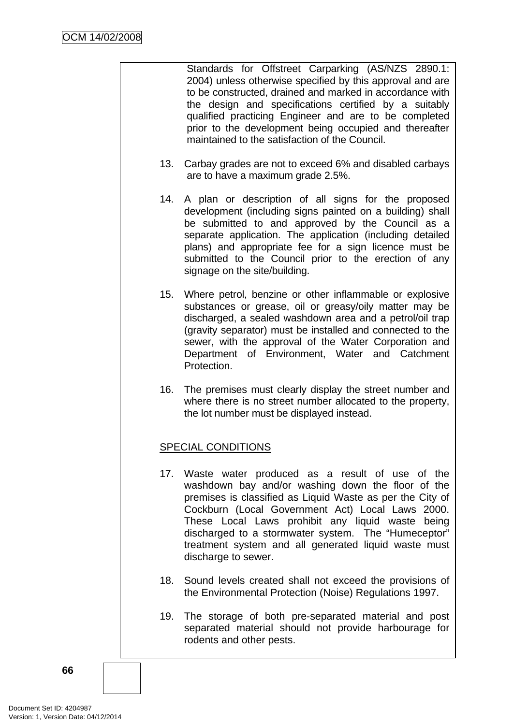Standards for Offstreet Carparking (AS/NZS 2890.1: 2004) unless otherwise specified by this approval and are to be constructed, drained and marked in accordance with the design and specifications certified by a suitably qualified practicing Engineer and are to be completed prior to the development being occupied and thereafter maintained to the satisfaction of the Council.

- 13. Carbay grades are not to exceed 6% and disabled carbays are to have a maximum grade 2.5%.
- 14. A plan or description of all signs for the proposed development (including signs painted on a building) shall be submitted to and approved by the Council as a separate application. The application (including detailed plans) and appropriate fee for a sign licence must be submitted to the Council prior to the erection of any signage on the site/building.
- 15. Where petrol, benzine or other inflammable or explosive substances or grease, oil or greasy/oily matter may be discharged, a sealed washdown area and a petrol/oil trap (gravity separator) must be installed and connected to the sewer, with the approval of the Water Corporation and Department of Environment, Water and Catchment Protection.
- 16. The premises must clearly display the street number and where there is no street number allocated to the property, the lot number must be displayed instead.

## SPECIAL CONDITIONS

- 17. Waste water produced as a result of use of the washdown bay and/or washing down the floor of the premises is classified as Liquid Waste as per the City of Cockburn (Local Government Act) Local Laws 2000. These Local Laws prohibit any liquid waste being discharged to a stormwater system. The "Humeceptor" treatment system and all generated liquid waste must discharge to sewer.
- 18. Sound levels created shall not exceed the provisions of the Environmental Protection (Noise) Regulations 1997.
- 19. The storage of both pre-separated material and post separated material should not provide harbourage for rodents and other pests.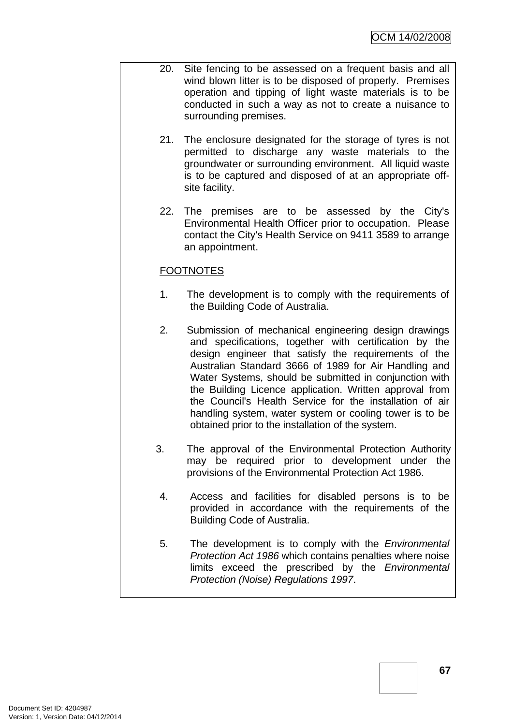- 20. Site fencing to be assessed on a frequent basis and all wind blown litter is to be disposed of properly. Premises operation and tipping of light waste materials is to be conducted in such a way as not to create a nuisance to surrounding premises.
	- 21. The enclosure designated for the storage of tyres is not permitted to discharge any waste materials to the groundwater or surrounding environment. All liquid waste is to be captured and disposed of at an appropriate offsite facility.
	- 22. The premises are to be assessed by the City's Environmental Health Officer prior to occupation. Please contact the City's Health Service on 9411 3589 to arrange an appointment.

# FOOTNOTES

- 1. The development is to comply with the requirements of the Building Code of Australia.
- 2. Submission of mechanical engineering design drawings and specifications, together with certification by the design engineer that satisfy the requirements of the Australian Standard 3666 of 1989 for Air Handling and Water Systems, should be submitted in conjunction with the Building Licence application. Written approval from the Council's Health Service for the installation of air handling system, water system or cooling tower is to be obtained prior to the installation of the system.
- 3. The approval of the Environmental Protection Authority may be required prior to development under the provisions of the Environmental Protection Act 1986.
- 4. Access and facilities for disabled persons is to be provided in accordance with the requirements of the Building Code of Australia.
- 5. The development is to comply with the *Environmental Protection Act 1986* which contains penalties where noise limits exceed the prescribed by the *Environmental Protection (Noise) Regulations 1997*.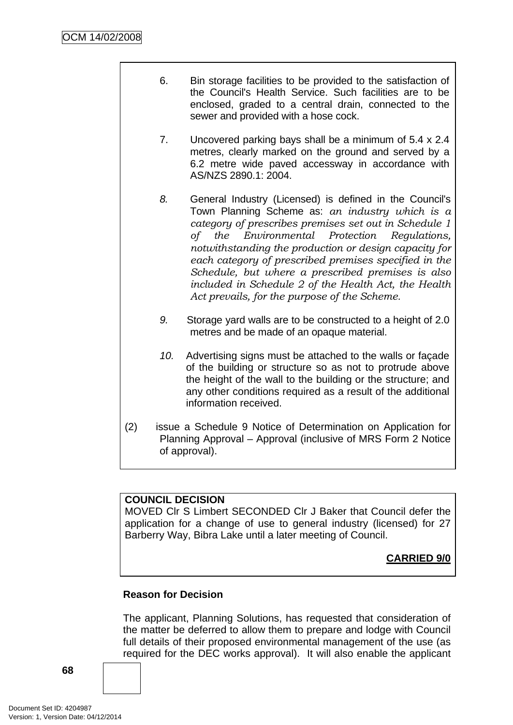- 6. Bin storage facilities to be provided to the satisfaction of the Council's Health Service. Such facilities are to be enclosed, graded to a central drain, connected to the sewer and provided with a hose cock.
- 7. Uncovered parking bays shall be a minimum of 5.4 x 2.4 metres, clearly marked on the ground and served by a 6.2 metre wide paved accessway in accordance with AS/NZS 2890.1: 2004.
- *8.* General Industry (Licensed) is defined in the Council's Town Planning Scheme as: *an industry which is a category of prescribes premises set out in Schedule 1 of the Environmental Protection Regulations, notwithstanding the production or design capacity for each category of prescribed premises specified in the Schedule, but where a prescribed premises is also included in Schedule 2 of the Health Act, the Health Act prevails, for the purpose of the Scheme.*
- *9.* Storage yard walls are to be constructed to a height of 2.0 metres and be made of an opaque material.
- *10.* Advertising signs must be attached to the walls or façade of the building or structure so as not to protrude above the height of the wall to the building or the structure; and any other conditions required as a result of the additional information received.
- (2) issue a Schedule 9 Notice of Determination on Application for Planning Approval – Approval (inclusive of MRS Form 2 Notice of approval).

### **COUNCIL DECISION**

MOVED Clr S Limbert SECONDED Clr J Baker that Council defer the application for a change of use to general industry (licensed) for 27 Barberry Way, Bibra Lake until a later meeting of Council.

## **CARRIED 9/0**

### **Reason for Decision**

The applicant, Planning Solutions, has requested that consideration of the matter be deferred to allow them to prepare and lodge with Council full details of their proposed environmental management of the use (as required for the DEC works approval). It will also enable the applicant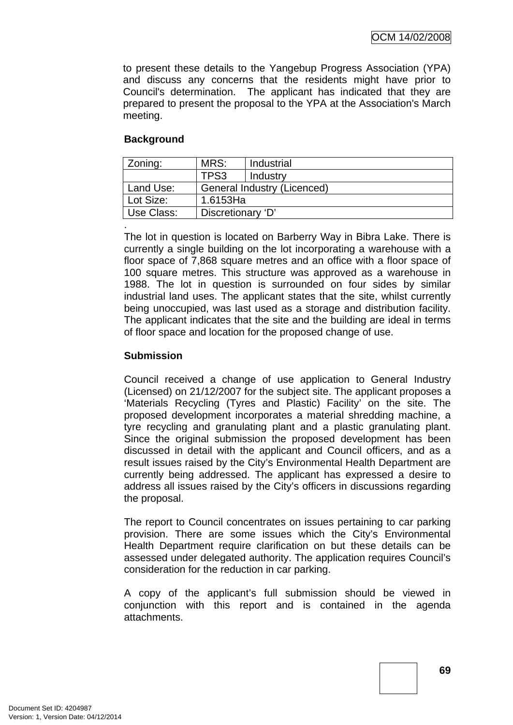to present these details to the Yangebup Progress Association (YPA) and discuss any concerns that the residents might have prior to Council's determination. The applicant has indicated that they are prepared to present the proposal to the YPA at the Association's March meeting.

### **Background**

| Zoning:    | MRS:              | Industrial                  |
|------------|-------------------|-----------------------------|
|            | TPS3              | Industry                    |
| Land Use:  |                   | General Industry (Licenced) |
| Lot Size:  | 1.6153Ha          |                             |
| Use Class: | Discretionary 'D' |                             |

. The lot in question is located on Barberry Way in Bibra Lake. There is currently a single building on the lot incorporating a warehouse with a floor space of 7,868 square metres and an office with a floor space of 100 square metres. This structure was approved as a warehouse in 1988. The lot in question is surrounded on four sides by similar industrial land uses. The applicant states that the site, whilst currently being unoccupied, was last used as a storage and distribution facility. The applicant indicates that the site and the building are ideal in terms of floor space and location for the proposed change of use.

### **Submission**

Council received a change of use application to General Industry (Licensed) on 21/12/2007 for the subject site. The applicant proposes a 'Materials Recycling (Tyres and Plastic) Facility' on the site. The proposed development incorporates a material shredding machine, a tyre recycling and granulating plant and a plastic granulating plant. Since the original submission the proposed development has been discussed in detail with the applicant and Council officers, and as a result issues raised by the City's Environmental Health Department are currently being addressed. The applicant has expressed a desire to address all issues raised by the City's officers in discussions regarding the proposal.

The report to Council concentrates on issues pertaining to car parking provision. There are some issues which the City's Environmental Health Department require clarification on but these details can be assessed under delegated authority. The application requires Council's consideration for the reduction in car parking.

A copy of the applicant's full submission should be viewed in conjunction with this report and is contained in the agenda attachments.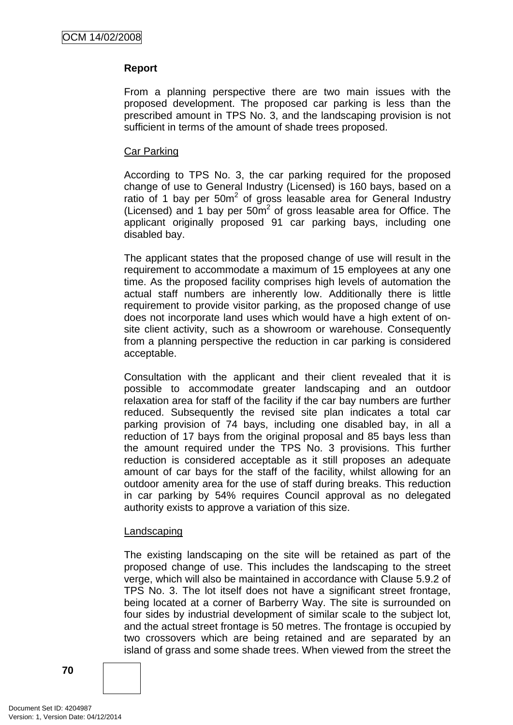### **Report**

From a planning perspective there are two main issues with the proposed development. The proposed car parking is less than the prescribed amount in TPS No. 3, and the landscaping provision is not sufficient in terms of the amount of shade trees proposed.

#### Car Parking

According to TPS No. 3, the car parking required for the proposed change of use to General Industry (Licensed) is 160 bays, based on a ratio of 1 bay per  $50m^2$  of gross leasable area for General Industry (Licensed) and 1 bay per  $50<sup>m²</sup>$  of gross leasable area for Office. The applicant originally proposed 91 car parking bays, including one disabled bay.

The applicant states that the proposed change of use will result in the requirement to accommodate a maximum of 15 employees at any one time. As the proposed facility comprises high levels of automation the actual staff numbers are inherently low. Additionally there is little requirement to provide visitor parking, as the proposed change of use does not incorporate land uses which would have a high extent of onsite client activity, such as a showroom or warehouse. Consequently from a planning perspective the reduction in car parking is considered acceptable.

Consultation with the applicant and their client revealed that it is possible to accommodate greater landscaping and an outdoor relaxation area for staff of the facility if the car bay numbers are further reduced. Subsequently the revised site plan indicates a total car parking provision of 74 bays, including one disabled bay, in all a reduction of 17 bays from the original proposal and 85 bays less than the amount required under the TPS No. 3 provisions. This further reduction is considered acceptable as it still proposes an adequate amount of car bays for the staff of the facility, whilst allowing for an outdoor amenity area for the use of staff during breaks. This reduction in car parking by 54% requires Council approval as no delegated authority exists to approve a variation of this size.

#### Landscaping

The existing landscaping on the site will be retained as part of the proposed change of use. This includes the landscaping to the street verge, which will also be maintained in accordance with Clause 5.9.2 of TPS No. 3. The lot itself does not have a significant street frontage, being located at a corner of Barberry Way. The site is surrounded on four sides by industrial development of similar scale to the subject lot, and the actual street frontage is 50 metres. The frontage is occupied by two crossovers which are being retained and are separated by an island of grass and some shade trees. When viewed from the street the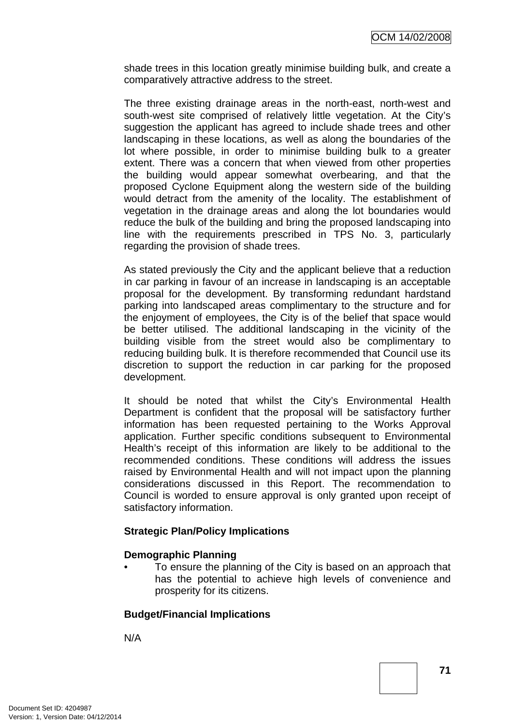shade trees in this location greatly minimise building bulk, and create a comparatively attractive address to the street.

The three existing drainage areas in the north-east, north-west and south-west site comprised of relatively little vegetation. At the City's suggestion the applicant has agreed to include shade trees and other landscaping in these locations, as well as along the boundaries of the lot where possible, in order to minimise building bulk to a greater extent. There was a concern that when viewed from other properties the building would appear somewhat overbearing, and that the proposed Cyclone Equipment along the western side of the building would detract from the amenity of the locality. The establishment of vegetation in the drainage areas and along the lot boundaries would reduce the bulk of the building and bring the proposed landscaping into line with the requirements prescribed in TPS No. 3, particularly regarding the provision of shade trees.

As stated previously the City and the applicant believe that a reduction in car parking in favour of an increase in landscaping is an acceptable proposal for the development. By transforming redundant hardstand parking into landscaped areas complimentary to the structure and for the enjoyment of employees, the City is of the belief that space would be better utilised. The additional landscaping in the vicinity of the building visible from the street would also be complimentary to reducing building bulk. It is therefore recommended that Council use its discretion to support the reduction in car parking for the proposed development.

It should be noted that whilst the City's Environmental Health Department is confident that the proposal will be satisfactory further information has been requested pertaining to the Works Approval application. Further specific conditions subsequent to Environmental Health's receipt of this information are likely to be additional to the recommended conditions. These conditions will address the issues raised by Environmental Health and will not impact upon the planning considerations discussed in this Report. The recommendation to Council is worded to ensure approval is only granted upon receipt of satisfactory information.

### **Strategic Plan/Policy Implications**

### **Demographic Planning**

• To ensure the planning of the City is based on an approach that has the potential to achieve high levels of convenience and prosperity for its citizens.

### **Budget/Financial Implications**

N/A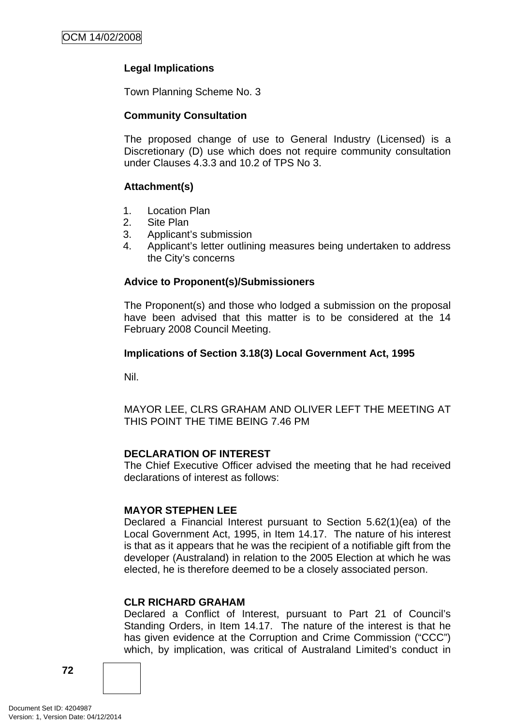### **Legal Implications**

Town Planning Scheme No. 3

### **Community Consultation**

The proposed change of use to General Industry (Licensed) is a Discretionary (D) use which does not require community consultation under Clauses 4.3.3 and 10.2 of TPS No 3.

### **Attachment(s)**

- 1. Location Plan
- 2. Site Plan
- 3. Applicant's submission
- 4. Applicant's letter outlining measures being undertaken to address the City's concerns

### **Advice to Proponent(s)/Submissioners**

The Proponent(s) and those who lodged a submission on the proposal have been advised that this matter is to be considered at the 14 February 2008 Council Meeting.

#### **Implications of Section 3.18(3) Local Government Act, 1995**

Nil.

MAYOR LEE, CLRS GRAHAM AND OLIVER LEFT THE MEETING AT THIS POINT THE TIME BEING 7.46 PM

### **DECLARATION OF INTEREST**

The Chief Executive Officer advised the meeting that he had received declarations of interest as follows:

#### **MAYOR STEPHEN LEE**

Declared a Financial Interest pursuant to Section 5.62(1)(ea) of the Local Government Act, 1995, in Item 14.17. The nature of his interest is that as it appears that he was the recipient of a notifiable gift from the developer (Australand) in relation to the 2005 Election at which he was elected, he is therefore deemed to be a closely associated person.

#### **CLR RICHARD GRAHAM**

Declared a Conflict of Interest, pursuant to Part 21 of Council's Standing Orders, in Item 14.17. The nature of the interest is that he has given evidence at the Corruption and Crime Commission ("CCC") which, by implication, was critical of Australand Limited's conduct in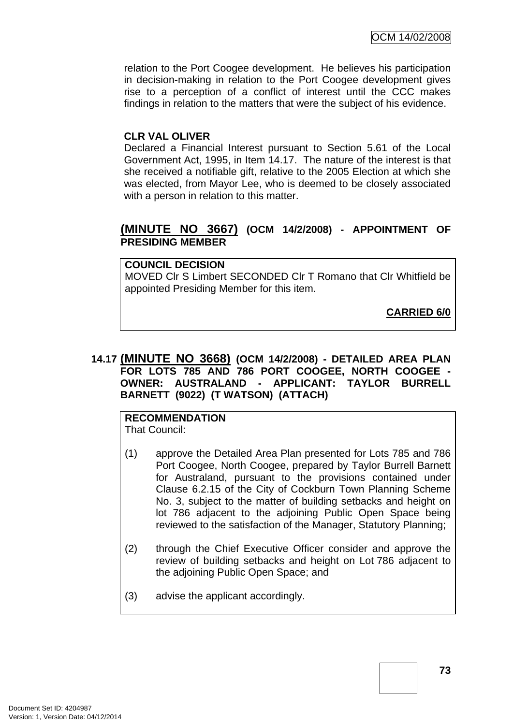relation to the Port Coogee development. He believes his participation in decision-making in relation to the Port Coogee development gives rise to a perception of a conflict of interest until the CCC makes findings in relation to the matters that were the subject of his evidence.

### **CLR VAL OLIVER**

Declared a Financial Interest pursuant to Section 5.61 of the Local Government Act, 1995, in Item 14.17. The nature of the interest is that she received a notifiable gift, relative to the 2005 Election at which she was elected, from Mayor Lee, who is deemed to be closely associated with a person in relation to this matter.

### **(MINUTE NO 3667) (OCM 14/2/2008) - APPOINTMENT OF PRESIDING MEMBER**

## **COUNCIL DECISION**

MOVED Clr S Limbert SECONDED Clr T Romano that Clr Whitfield be appointed Presiding Member for this item.

**CARRIED 6/0**

### **14.17 (MINUTE NO 3668) (OCM 14/2/2008) - DETAILED AREA PLAN FOR LOTS 785 AND 786 PORT COOGEE, NORTH COOGEE - OWNER: AUSTRALAND - APPLICANT: TAYLOR BURRELL BARNETT (9022) (T WATSON) (ATTACH)**

#### **RECOMMENDATION** That Council:

- (1) approve the Detailed Area Plan presented for Lots 785 and 786 Port Coogee, North Coogee, prepared by Taylor Burrell Barnett for Australand, pursuant to the provisions contained under Clause 6.2.15 of the City of Cockburn Town Planning Scheme No. 3, subject to the matter of building setbacks and height on lot 786 adjacent to the adjoining Public Open Space being reviewed to the satisfaction of the Manager, Statutory Planning;
- (2) through the Chief Executive Officer consider and approve the review of building setbacks and height on Lot 786 adjacent to the adjoining Public Open Space; and
- (3) advise the applicant accordingly.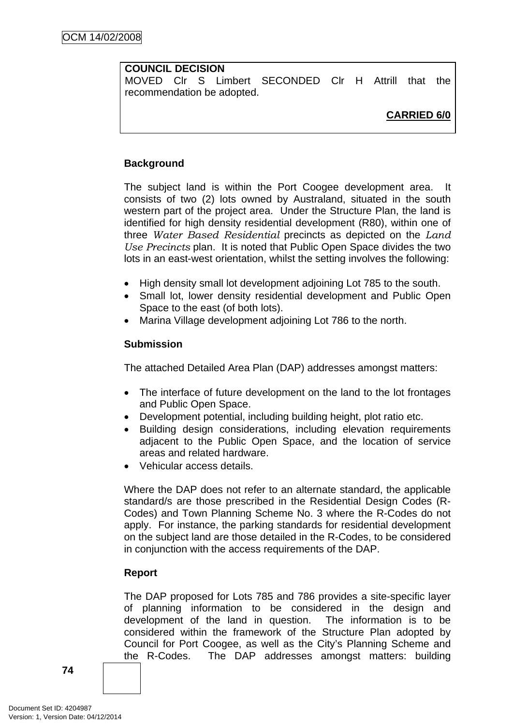### **COUNCIL DECISION**

MOVED Clr S Limbert SECONDED Clr H Attrill that the recommendation be adopted.

# **CARRIED 6/0**

### **Background**

The subject land is within the Port Coogee development area. It consists of two (2) lots owned by Australand, situated in the south western part of the project area. Under the Structure Plan, the land is identified for high density residential development (R80), within one of three *Water Based Residential* precincts as depicted on the *Land Use Precincts* plan. It is noted that Public Open Space divides the two lots in an east-west orientation, whilst the setting involves the following:

- High density small lot development adjoining Lot 785 to the south.
- Small lot, lower density residential development and Public Open Space to the east (of both lots).
- Marina Village development adjoining Lot 786 to the north.

### **Submission**

The attached Detailed Area Plan (DAP) addresses amongst matters:

- The interface of future development on the land to the lot frontages and Public Open Space.
- Development potential, including building height, plot ratio etc.
- Building design considerations, including elevation requirements adjacent to the Public Open Space, and the location of service areas and related hardware.
- Vehicular access details.

Where the DAP does not refer to an alternate standard, the applicable standard/s are those prescribed in the Residential Design Codes (R-Codes) and Town Planning Scheme No. 3 where the R-Codes do not apply. For instance, the parking standards for residential development on the subject land are those detailed in the R-Codes, to be considered in conjunction with the access requirements of the DAP.

## **Report**

The DAP proposed for Lots 785 and 786 provides a site-specific layer of planning information to be considered in the design and development of the land in question. The information is to be considered within the framework of the Structure Plan adopted by Council for Port Coogee, as well as the City's Planning Scheme and the R-Codes. The DAP addresses amongst matters: building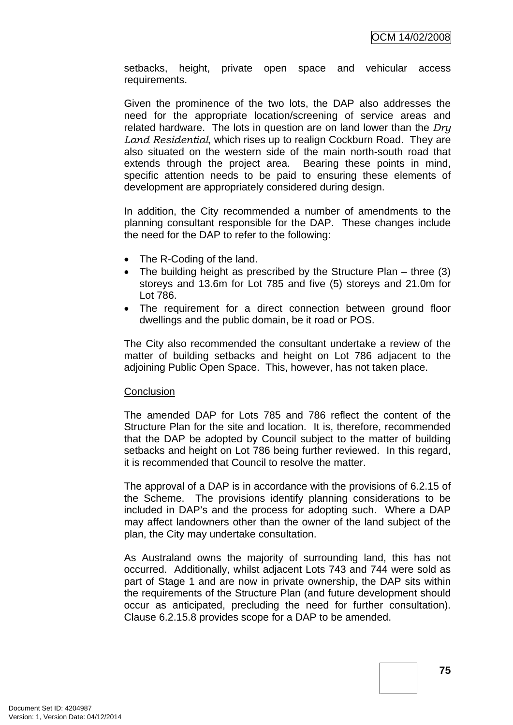setbacks, height, private open space and vehicular access requirements.

Given the prominence of the two lots, the DAP also addresses the need for the appropriate location/screening of service areas and related hardware. The lots in question are on land lower than the *Dry Land Residential*, which rises up to realign Cockburn Road. They are also situated on the western side of the main north-south road that extends through the project area. Bearing these points in mind, specific attention needs to be paid to ensuring these elements of development are appropriately considered during design.

In addition, the City recommended a number of amendments to the planning consultant responsible for the DAP. These changes include the need for the DAP to refer to the following:

- The R-Coding of the land.
- The building height as prescribed by the Structure Plan three (3) storeys and 13.6m for Lot 785 and five (5) storeys and 21.0m for Lot 786.
- The requirement for a direct connection between ground floor dwellings and the public domain, be it road or POS.

The City also recommended the consultant undertake a review of the matter of building setbacks and height on Lot 786 adjacent to the adjoining Public Open Space. This, however, has not taken place.

#### **Conclusion**

The amended DAP for Lots 785 and 786 reflect the content of the Structure Plan for the site and location. It is, therefore, recommended that the DAP be adopted by Council subject to the matter of building setbacks and height on Lot 786 being further reviewed. In this regard, it is recommended that Council to resolve the matter.

The approval of a DAP is in accordance with the provisions of 6.2.15 of the Scheme. The provisions identify planning considerations to be included in DAP's and the process for adopting such. Where a DAP may affect landowners other than the owner of the land subject of the plan, the City may undertake consultation.

As Australand owns the majority of surrounding land, this has not occurred. Additionally, whilst adjacent Lots 743 and 744 were sold as part of Stage 1 and are now in private ownership, the DAP sits within the requirements of the Structure Plan (and future development should occur as anticipated, precluding the need for further consultation). Clause 6.2.15.8 provides scope for a DAP to be amended.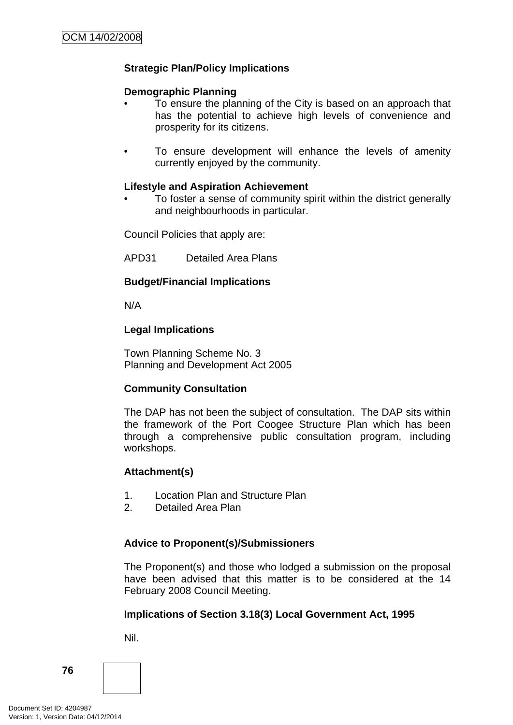## **Strategic Plan/Policy Implications**

#### **Demographic Planning**

- To ensure the planning of the City is based on an approach that has the potential to achieve high levels of convenience and prosperity for its citizens.
- To ensure development will enhance the levels of amenity currently enjoyed by the community.

#### **Lifestyle and Aspiration Achievement**

• To foster a sense of community spirit within the district generally and neighbourhoods in particular.

Council Policies that apply are:

APD31 Detailed Area Plans

### **Budget/Financial Implications**

N/A

### **Legal Implications**

Town Planning Scheme No. 3 Planning and Development Act 2005

### **Community Consultation**

The DAP has not been the subject of consultation. The DAP sits within the framework of the Port Coogee Structure Plan which has been through a comprehensive public consultation program, including workshops.

### **Attachment(s)**

- 1. Location Plan and Structure Plan
- 2. Detailed Area Plan

### **Advice to Proponent(s)/Submissioners**

The Proponent(s) and those who lodged a submission on the proposal have been advised that this matter is to be considered at the 14 February 2008 Council Meeting.

### **Implications of Section 3.18(3) Local Government Act, 1995**

Nil.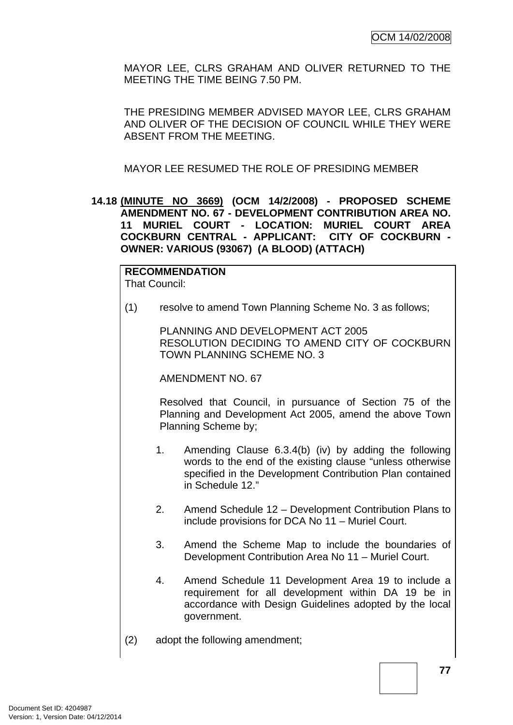MAYOR LEE, CLRS GRAHAM AND OLIVER RETURNED TO THE MEETING THE TIME BEING 7.50 PM.

THE PRESIDING MEMBER ADVISED MAYOR LEE, CLRS GRAHAM AND OLIVER OF THE DECISION OF COUNCIL WHILE THEY WERE ABSENT FROM THE MEETING.

MAYOR LEE RESUMED THE ROLE OF PRESIDING MEMBER

**14.18 (MINUTE NO 3669) (OCM 14/2/2008) - PROPOSED SCHEME AMENDMENT NO. 67 - DEVELOPMENT CONTRIBUTION AREA NO. 11 MURIEL COURT - LOCATION: MURIEL COURT AREA COCKBURN CENTRAL - APPLICANT: CITY OF COCKBURN - OWNER: VARIOUS (93067) (A BLOOD) (ATTACH)** 

#### **RECOMMENDATION** That Council:

(1) resolve to amend Town Planning Scheme No. 3 as follows;

PLANNING AND DEVELOPMENT ACT 2005 RESOLUTION DECIDING TO AMEND CITY OF COCKBURN TOWN PLANNING SCHEME NO. 3

AMENDMENT NO. 67

Resolved that Council, in pursuance of Section 75 of the Planning and Development Act 2005, amend the above Town Planning Scheme by;

- 1. Amending Clause 6.3.4(b) (iv) by adding the following words to the end of the existing clause "unless otherwise specified in the Development Contribution Plan contained in Schedule 12."
- 2. Amend Schedule 12 Development Contribution Plans to include provisions for DCA No 11 – Muriel Court.
- 3. Amend the Scheme Map to include the boundaries of Development Contribution Area No 11 – Muriel Court.
- 4. Amend Schedule 11 Development Area 19 to include a requirement for all development within DA 19 be in accordance with Design Guidelines adopted by the local government.
- (2) adopt the following amendment;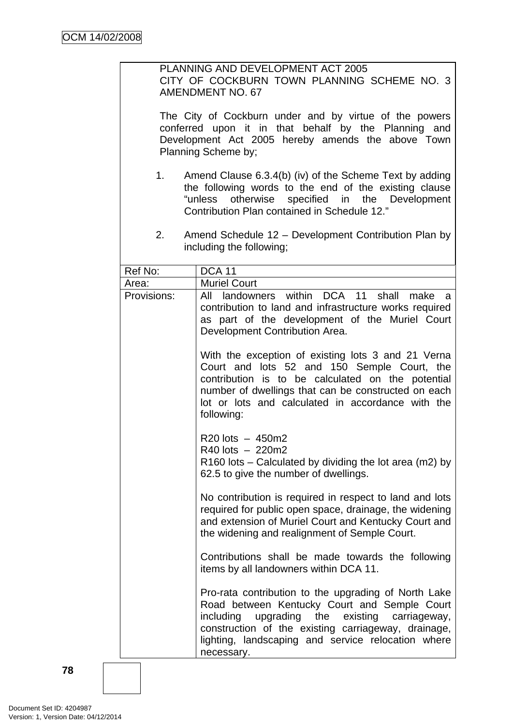PLANNING AND DEVELOPMENT ACT 2005 CITY OF COCKBURN TOWN PLANNING SCHEME NO. 3 AMENDMENT NO. 67

The City of Cockburn under and by virtue of the powers conferred upon it in that behalf by the Planning and Development Act 2005 hereby amends the above Town Planning Scheme by;

- 1. Amend Clause 6.3.4(b) (iv) of the Scheme Text by adding the following words to the end of the existing clause "unless otherwise specified in the Development Contribution Plan contained in Schedule 12."
- 2. Amend Schedule 12 Development Contribution Plan by including the following;

| Ref No:     | <b>DCA 11</b>                                                                                                                                                                                                                                                                    |
|-------------|----------------------------------------------------------------------------------------------------------------------------------------------------------------------------------------------------------------------------------------------------------------------------------|
| Area:       | <b>Muriel Court</b>                                                                                                                                                                                                                                                              |
| Provisions: | All landowners within DCA 11<br>shall<br>make<br>- a<br>contribution to land and infrastructure works required<br>as part of the development of the Muriel Court<br>Development Contribution Area.                                                                               |
|             | With the exception of existing lots 3 and 21 Verna<br>Court and lots 52 and 150 Semple Court, the<br>contribution is to be calculated on the potential<br>number of dwellings that can be constructed on each<br>lot or lots and calculated in accordance with the<br>following: |
|             | $R20$ lots $-450$ m2<br>$R40$ lots $-220$ m2<br>R160 lots – Calculated by dividing the lot area (m2) by<br>62.5 to give the number of dwellings.                                                                                                                                 |
|             | No contribution is required in respect to land and lots<br>required for public open space, drainage, the widening<br>and extension of Muriel Court and Kentucky Court and<br>the widening and realignment of Semple Court.                                                       |
|             | Contributions shall be made towards the following<br>items by all landowners within DCA 11.                                                                                                                                                                                      |
|             | Pro-rata contribution to the upgrading of North Lake<br>Road between Kentucky Court and Semple Court<br>including upgrading the existing carriageway,<br>construction of the existing carriageway, drainage,<br>lighting, landscaping and service relocation where<br>necessary. |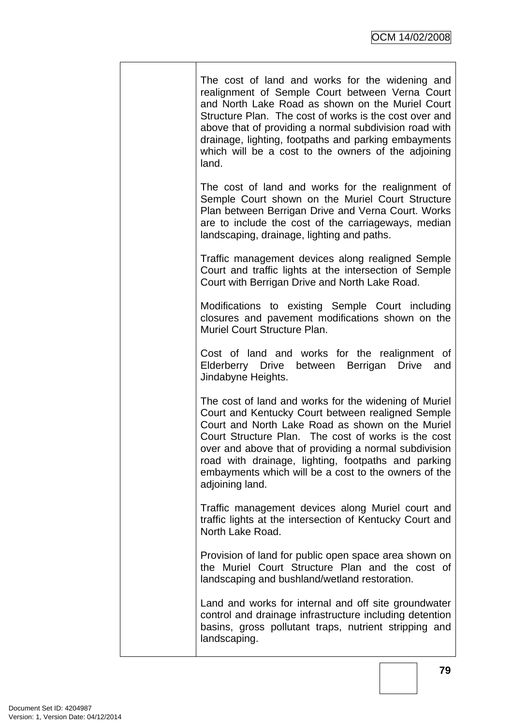| The cost of land and works for the widening and<br>realignment of Semple Court between Verna Court<br>and North Lake Road as shown on the Muriel Court<br>Structure Plan. The cost of works is the cost over and<br>above that of providing a normal subdivision road with<br>drainage, lighting, footpaths and parking embayments<br>which will be a cost to the owners of the adjoining<br>land.               |
|------------------------------------------------------------------------------------------------------------------------------------------------------------------------------------------------------------------------------------------------------------------------------------------------------------------------------------------------------------------------------------------------------------------|
| The cost of land and works for the realignment of<br>Semple Court shown on the Muriel Court Structure<br>Plan between Berrigan Drive and Verna Court. Works<br>are to include the cost of the carriageways, median<br>landscaping, drainage, lighting and paths.                                                                                                                                                 |
| Traffic management devices along realigned Semple<br>Court and traffic lights at the intersection of Semple<br>Court with Berrigan Drive and North Lake Road.                                                                                                                                                                                                                                                    |
| Modifications to existing Semple Court including<br>closures and pavement modifications shown on the<br>Muriel Court Structure Plan.                                                                                                                                                                                                                                                                             |
| Cost of land and works for the realignment of<br>Elderberry Drive between Berrigan Drive<br>and<br>Jindabyne Heights.                                                                                                                                                                                                                                                                                            |
| The cost of land and works for the widening of Muriel<br>Court and Kentucky Court between realigned Semple<br>Court and North Lake Road as shown on the Muriel<br>Court Structure Plan. The cost of works is the cost<br>over and above that of providing a normal subdivision<br>road with drainage, lighting, footpaths and parking<br>embayments which will be a cost to the owners of the<br>adjoining land. |
| Traffic management devices along Muriel court and<br>traffic lights at the intersection of Kentucky Court and<br>North Lake Road.                                                                                                                                                                                                                                                                                |
| Provision of land for public open space area shown on<br>the Muriel Court Structure Plan and the cost of<br>landscaping and bushland/wetland restoration.                                                                                                                                                                                                                                                        |
| Land and works for internal and off site groundwater<br>control and drainage infrastructure including detention<br>basins, gross pollutant traps, nutrient stripping and<br>landscaping.                                                                                                                                                                                                                         |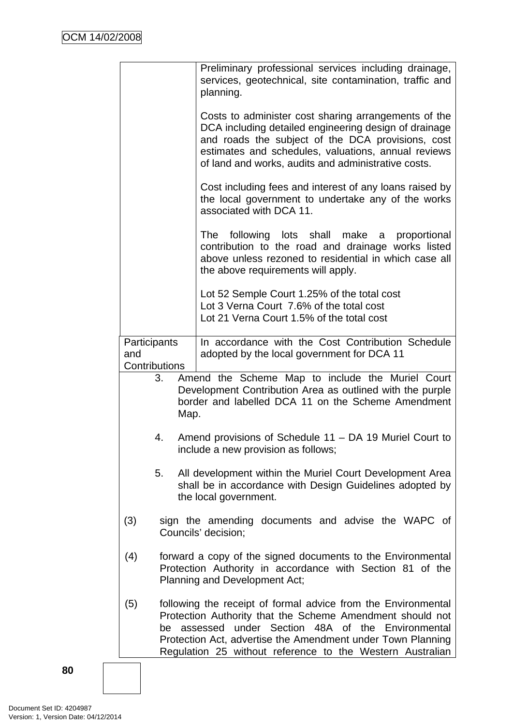|                                      | Preliminary professional services including drainage,<br>services, geotechnical, site contamination, traffic and<br>planning.                                                                                                                                                                                |
|--------------------------------------|--------------------------------------------------------------------------------------------------------------------------------------------------------------------------------------------------------------------------------------------------------------------------------------------------------------|
|                                      | Costs to administer cost sharing arrangements of the<br>DCA including detailed engineering design of drainage<br>and roads the subject of the DCA provisions, cost<br>estimates and schedules, valuations, annual reviews<br>of land and works, audits and administrative costs.                             |
|                                      | Cost including fees and interest of any loans raised by<br>the local government to undertake any of the works<br>associated with DCA 11.                                                                                                                                                                     |
|                                      | The following lots shall make a proportional<br>contribution to the road and drainage works listed<br>above unless rezoned to residential in which case all<br>the above requirements will apply.                                                                                                            |
|                                      | Lot 52 Semple Court 1.25% of the total cost<br>Lot 3 Verna Court 7.6% of the total cost<br>Lot 21 Verna Court 1.5% of the total cost                                                                                                                                                                         |
| Participants<br>and<br>Contributions | In accordance with the Cost Contribution Schedule<br>adopted by the local government for DCA 11                                                                                                                                                                                                              |
| 3.<br>Map.                           | Amend the Scheme Map to include the Muriel Court<br>Development Contribution Area as outlined with the purple<br>border and labelled DCA 11 on the Scheme Amendment                                                                                                                                          |
| 4.                                   | Amend provisions of Schedule 11 – DA 19 Muriel Court to<br>include a new provision as follows;                                                                                                                                                                                                               |
| 5.                                   | All development within the Muriel Court Development Area<br>shall be in accordance with Design Guidelines adopted by<br>the local government.                                                                                                                                                                |
| (3)                                  | sign the amending documents and advise the WAPC of<br>Councils' decision;                                                                                                                                                                                                                                    |
| (4)                                  | forward a copy of the signed documents to the Environmental<br>Protection Authority in accordance with Section 81 of the<br>Planning and Development Act;                                                                                                                                                    |
| (5)                                  | following the receipt of formal advice from the Environmental<br>Protection Authority that the Scheme Amendment should not<br>be assessed under Section 48A of the Environmental<br>Protection Act, advertise the Amendment under Town Planning<br>Regulation 25 without reference to the Western Australian |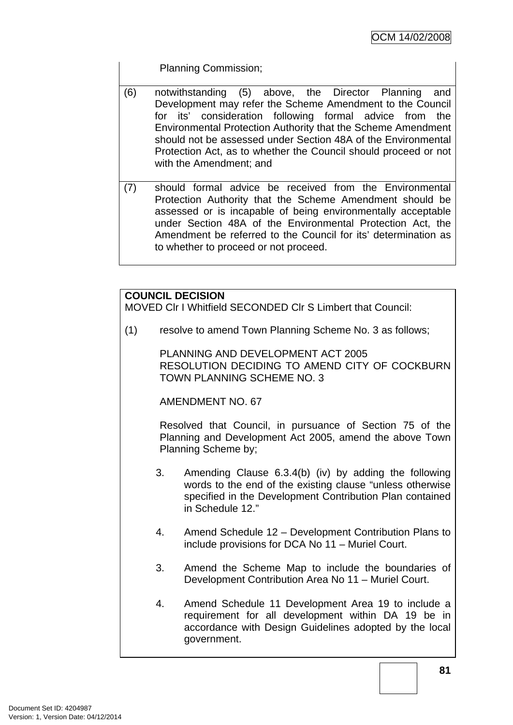Planning Commission;

| (6) | notwithstanding (5) above, the Director Planning and                |
|-----|---------------------------------------------------------------------|
|     | Development may refer the Scheme Amendment to the Council           |
|     | for its' consideration following formal advice from the             |
|     | <b>Environmental Protection Authority that the Scheme Amendment</b> |
|     | should not be assessed under Section 48A of the Environmental       |
|     | Protection Act, as to whether the Council should proceed or not     |
|     | with the Amendment; and                                             |

(7) should formal advice be received from the Environmental Protection Authority that the Scheme Amendment should be assessed or is incapable of being environmentally acceptable under Section 48A of the Environmental Protection Act, the Amendment be referred to the Council for its' determination as to whether to proceed or not proceed.

### **COUNCIL DECISION**

MOVED Clr I Whitfield SECONDED Clr S Limbert that Council:

(1) resolve to amend Town Planning Scheme No. 3 as follows;

PLANNING AND DEVELOPMENT ACT 2005 RESOLUTION DECIDING TO AMEND CITY OF COCKBURN TOWN PLANNING SCHEME NO. 3

AMENDMENT NO. 67

Resolved that Council, in pursuance of Section 75 of the Planning and Development Act 2005, amend the above Town Planning Scheme by;

- 3. Amending Clause 6.3.4(b) (iv) by adding the following words to the end of the existing clause "unless otherwise specified in the Development Contribution Plan contained in Schedule 12."
- 4. Amend Schedule 12 Development Contribution Plans to include provisions for DCA No 11 – Muriel Court.
- 3. Amend the Scheme Map to include the boundaries of Development Contribution Area No 11 – Muriel Court.
- 4. Amend Schedule 11 Development Area 19 to include a requirement for all development within DA 19 be in accordance with Design Guidelines adopted by the local government.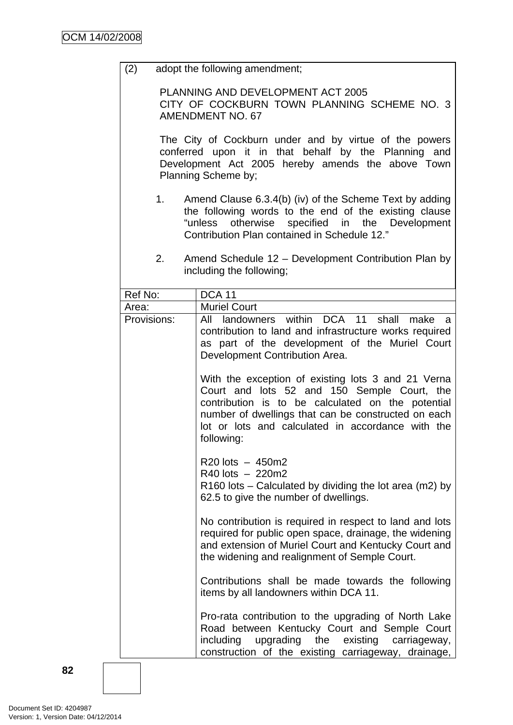| (2)         | adopt the following amendment;                                                                                                                                                                                                                                                   |  |  |
|-------------|----------------------------------------------------------------------------------------------------------------------------------------------------------------------------------------------------------------------------------------------------------------------------------|--|--|
|             | PLANNING AND DEVELOPMENT ACT 2005<br>CITY OF COCKBURN TOWN PLANNING SCHEME NO. 3<br><b>AMENDMENT NO. 67</b>                                                                                                                                                                      |  |  |
|             | The City of Cockburn under and by virtue of the powers<br>conferred upon it in that behalf by the Planning and<br>Development Act 2005 hereby amends the above Town<br>Planning Scheme by;                                                                                       |  |  |
| 1.          | Amend Clause 6.3.4(b) (iv) of the Scheme Text by adding<br>the following words to the end of the existing clause<br>"unless otherwise specified in the Development<br>Contribution Plan contained in Schedule 12."                                                               |  |  |
| 2.          | Amend Schedule 12 - Development Contribution Plan by<br>including the following;                                                                                                                                                                                                 |  |  |
| Ref No:     | <b>DCA 11</b>                                                                                                                                                                                                                                                                    |  |  |
| Area:       | <b>Muriel Court</b>                                                                                                                                                                                                                                                              |  |  |
| Provisions: | landowners within DCA 11 shall<br>All<br>make<br>a<br>contribution to land and infrastructure works required<br>as part of the development of the Muriel Court<br>Development Contribution Area.                                                                                 |  |  |
|             | With the exception of existing lots 3 and 21 Verna<br>Court and lots 52 and 150 Semple Court, the<br>contribution is to be calculated on the potential<br>number of dwellings that can be constructed on each<br>lot or lots and calculated in accordance with the<br>following: |  |  |
|             | $R20$ lots $-450$ m2<br>$R40$ lots $-220$ m2<br>R160 lots – Calculated by dividing the lot area (m2) by<br>62.5 to give the number of dwellings.                                                                                                                                 |  |  |
|             | No contribution is required in respect to land and lots<br>required for public open space, drainage, the widening<br>and extension of Muriel Court and Kentucky Court and<br>the widening and realignment of Semple Court.                                                       |  |  |
|             | Contributions shall be made towards the following<br>items by all landowners within DCA 11.                                                                                                                                                                                      |  |  |
|             | Pro-rata contribution to the upgrading of North Lake<br>Road between Kentucky Court and Semple Court<br>existing<br>including<br>upgrading<br>carriageway,<br>the<br>construction of the existing carriageway, drainage,                                                         |  |  |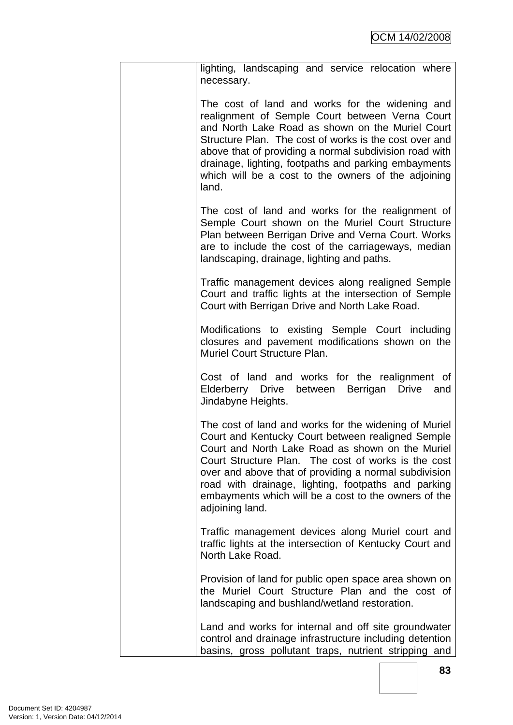| lighting, landscaping and service relocation where<br>necessary.                                                                                                                                                                                                                                                                                                                                                 |
|------------------------------------------------------------------------------------------------------------------------------------------------------------------------------------------------------------------------------------------------------------------------------------------------------------------------------------------------------------------------------------------------------------------|
| The cost of land and works for the widening and<br>realignment of Semple Court between Verna Court<br>and North Lake Road as shown on the Muriel Court<br>Structure Plan. The cost of works is the cost over and<br>above that of providing a normal subdivision road with<br>drainage, lighting, footpaths and parking embayments<br>which will be a cost to the owners of the adjoining<br>land.               |
| The cost of land and works for the realignment of<br>Semple Court shown on the Muriel Court Structure<br>Plan between Berrigan Drive and Verna Court. Works<br>are to include the cost of the carriageways, median<br>landscaping, drainage, lighting and paths.                                                                                                                                                 |
| Traffic management devices along realigned Semple<br>Court and traffic lights at the intersection of Semple<br>Court with Berrigan Drive and North Lake Road.                                                                                                                                                                                                                                                    |
| Modifications to existing Semple Court including<br>closures and pavement modifications shown on the<br>Muriel Court Structure Plan.                                                                                                                                                                                                                                                                             |
| Cost of land and works for the realignment of<br>Elderberry Drive between Berrigan<br>Drive and<br>Jindabyne Heights.                                                                                                                                                                                                                                                                                            |
| The cost of land and works for the widening of Muriel<br>Court and Kentucky Court between realigned Semple<br>Court and North Lake Road as shown on the Muriel<br>Court Structure Plan. The cost of works is the cost<br>over and above that of providing a normal subdivision<br>road with drainage, lighting, footpaths and parking<br>embayments which will be a cost to the owners of the<br>adjoining land. |
| Traffic management devices along Muriel court and<br>traffic lights at the intersection of Kentucky Court and<br>North Lake Road.                                                                                                                                                                                                                                                                                |
| Provision of land for public open space area shown on<br>the Muriel Court Structure Plan and the cost of<br>landscaping and bushland/wetland restoration.                                                                                                                                                                                                                                                        |
| Land and works for internal and off site groundwater<br>control and drainage infrastructure including detention<br>basins, gross pollutant traps, nutrient stripping and                                                                                                                                                                                                                                         |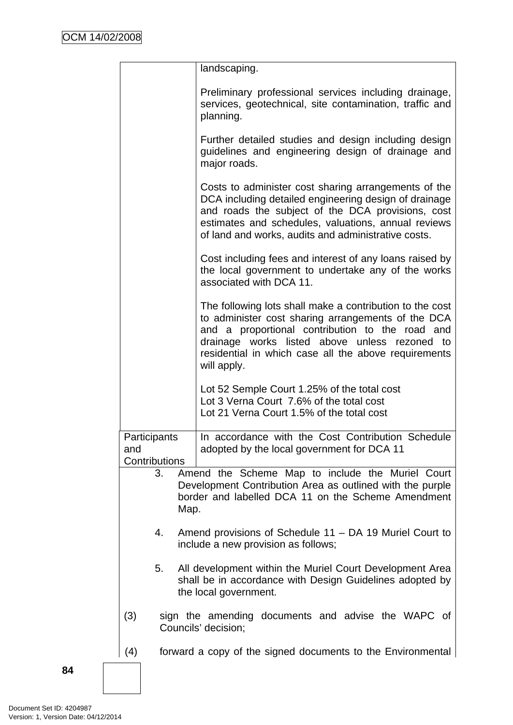|                                      | landscaping.                                                                                                                                                                                                                                                                              |
|--------------------------------------|-------------------------------------------------------------------------------------------------------------------------------------------------------------------------------------------------------------------------------------------------------------------------------------------|
|                                      | Preliminary professional services including drainage,<br>services, geotechnical, site contamination, traffic and<br>planning.                                                                                                                                                             |
|                                      | Further detailed studies and design including design<br>guidelines and engineering design of drainage and<br>major roads.                                                                                                                                                                 |
|                                      | Costs to administer cost sharing arrangements of the<br>DCA including detailed engineering design of drainage<br>and roads the subject of the DCA provisions, cost<br>estimates and schedules, valuations, annual reviews<br>of land and works, audits and administrative costs.          |
|                                      | Cost including fees and interest of any loans raised by<br>the local government to undertake any of the works<br>associated with DCA 11.                                                                                                                                                  |
|                                      | The following lots shall make a contribution to the cost<br>to administer cost sharing arrangements of the DCA<br>and a proportional contribution to the road and<br>drainage works listed above unless rezoned to<br>residential in which case all the above requirements<br>will apply. |
|                                      | Lot 52 Semple Court 1.25% of the total cost<br>Lot 3 Verna Court 7.6% of the total cost<br>Lot 21 Verna Court 1.5% of the total cost                                                                                                                                                      |
| Participants<br>and<br>Contributions | In accordance with the Cost Contribution Schedule<br>adopted by the local government for DCA 11                                                                                                                                                                                           |
| 3.<br>Map.                           | Amend the Scheme Map to include the Muriel Court<br>Development Contribution Area as outlined with the purple<br>border and labelled DCA 11 on the Scheme Amendment                                                                                                                       |
| 4.                                   | Amend provisions of Schedule 11 - DA 19 Muriel Court to<br>include a new provision as follows;                                                                                                                                                                                            |
| 5.                                   | All development within the Muriel Court Development Area<br>shall be in accordance with Design Guidelines adopted by<br>the local government.                                                                                                                                             |
| (3)                                  | sign the amending documents and advise the WAPC of<br>Councils' decision;                                                                                                                                                                                                                 |
| (4)                                  | forward a copy of the signed documents to the Environmental                                                                                                                                                                                                                               |
|                                      |                                                                                                                                                                                                                                                                                           |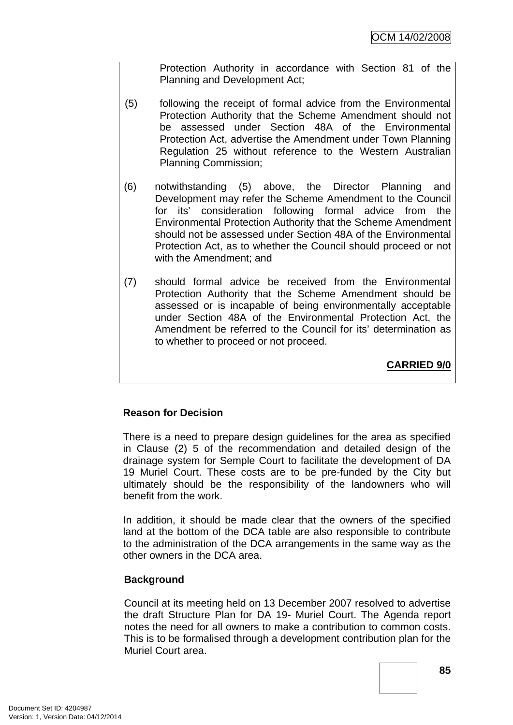Protection Authority in accordance with Section 81 of the Planning and Development Act;

- (5) following the receipt of formal advice from the Environmental Protection Authority that the Scheme Amendment should not be assessed under Section 48A of the Environmental Protection Act, advertise the Amendment under Town Planning Regulation 25 without reference to the Western Australian Planning Commission;
- (6) notwithstanding (5) above, the Director Planning and Development may refer the Scheme Amendment to the Council for its' consideration following formal advice from the Environmental Protection Authority that the Scheme Amendment should not be assessed under Section 48A of the Environmental Protection Act, as to whether the Council should proceed or not with the Amendment; and
- (7) should formal advice be received from the Environmental Protection Authority that the Scheme Amendment should be assessed or is incapable of being environmentally acceptable under Section 48A of the Environmental Protection Act, the Amendment be referred to the Council for its' determination as to whether to proceed or not proceed.

**CARRIED 9/0**

### **Reason for Decision**

There is a need to prepare design guidelines for the area as specified in Clause (2) 5 of the recommendation and detailed design of the drainage system for Semple Court to facilitate the development of DA 19 Muriel Court. These costs are to be pre-funded by the City but ultimately should be the responsibility of the landowners who will benefit from the work.

In addition, it should be made clear that the owners of the specified land at the bottom of the DCA table are also responsible to contribute to the administration of the DCA arrangements in the same way as the other owners in the DCA area.

### **Background**

Council at its meeting held on 13 December 2007 resolved to advertise the draft Structure Plan for DA 19- Muriel Court. The Agenda report notes the need for all owners to make a contribution to common costs. This is to be formalised through a development contribution plan for the Muriel Court area.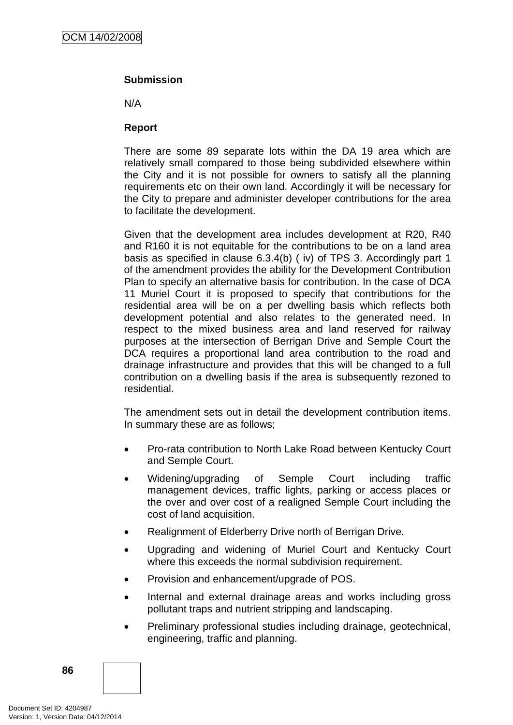### **Submission**

N/A

### **Report**

There are some 89 separate lots within the DA 19 area which are relatively small compared to those being subdivided elsewhere within the City and it is not possible for owners to satisfy all the planning requirements etc on their own land. Accordingly it will be necessary for the City to prepare and administer developer contributions for the area to facilitate the development.

Given that the development area includes development at R20, R40 and R160 it is not equitable for the contributions to be on a land area basis as specified in clause 6.3.4(b) ( iv) of TPS 3. Accordingly part 1 of the amendment provides the ability for the Development Contribution Plan to specify an alternative basis for contribution. In the case of DCA 11 Muriel Court it is proposed to specify that contributions for the residential area will be on a per dwelling basis which reflects both development potential and also relates to the generated need. In respect to the mixed business area and land reserved for railway purposes at the intersection of Berrigan Drive and Semple Court the DCA requires a proportional land area contribution to the road and drainage infrastructure and provides that this will be changed to a full contribution on a dwelling basis if the area is subsequently rezoned to residential.

The amendment sets out in detail the development contribution items. In summary these are as follows;

- Pro-rata contribution to North Lake Road between Kentucky Court and Semple Court.
- Widening/upgrading of Semple Court including traffic management devices, traffic lights, parking or access places or the over and over cost of a realigned Semple Court including the cost of land acquisition.
- Realignment of Elderberry Drive north of Berrigan Drive.
- Upgrading and widening of Muriel Court and Kentucky Court where this exceeds the normal subdivision requirement.
- Provision and enhancement/upgrade of POS.
- Internal and external drainage areas and works including gross pollutant traps and nutrient stripping and landscaping.
- Preliminary professional studies including drainage, geotechnical, engineering, traffic and planning.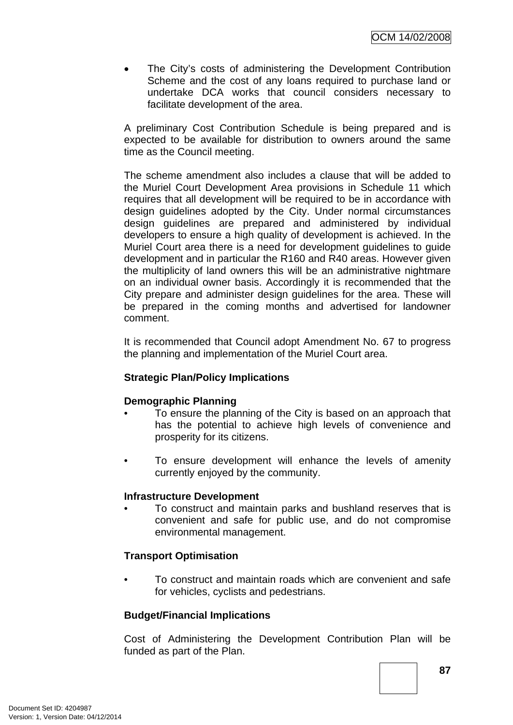• The City's costs of administering the Development Contribution Scheme and the cost of any loans required to purchase land or undertake DCA works that council considers necessary to facilitate development of the area.

A preliminary Cost Contribution Schedule is being prepared and is expected to be available for distribution to owners around the same time as the Council meeting.

The scheme amendment also includes a clause that will be added to the Muriel Court Development Area provisions in Schedule 11 which requires that all development will be required to be in accordance with design guidelines adopted by the City. Under normal circumstances design guidelines are prepared and administered by individual developers to ensure a high quality of development is achieved. In the Muriel Court area there is a need for development guidelines to guide development and in particular the R160 and R40 areas. However given the multiplicity of land owners this will be an administrative nightmare on an individual owner basis. Accordingly it is recommended that the City prepare and administer design guidelines for the area. These will be prepared in the coming months and advertised for landowner comment.

It is recommended that Council adopt Amendment No. 67 to progress the planning and implementation of the Muriel Court area.

## **Strategic Plan/Policy Implications**

### **Demographic Planning**

- To ensure the planning of the City is based on an approach that has the potential to achieve high levels of convenience and prosperity for its citizens.
- To ensure development will enhance the levels of amenity currently enjoyed by the community.

### **Infrastructure Development**

• To construct and maintain parks and bushland reserves that is convenient and safe for public use, and do not compromise environmental management.

## **Transport Optimisation**

• To construct and maintain roads which are convenient and safe for vehicles, cyclists and pedestrians.

## **Budget/Financial Implications**

Cost of Administering the Development Contribution Plan will be funded as part of the Plan.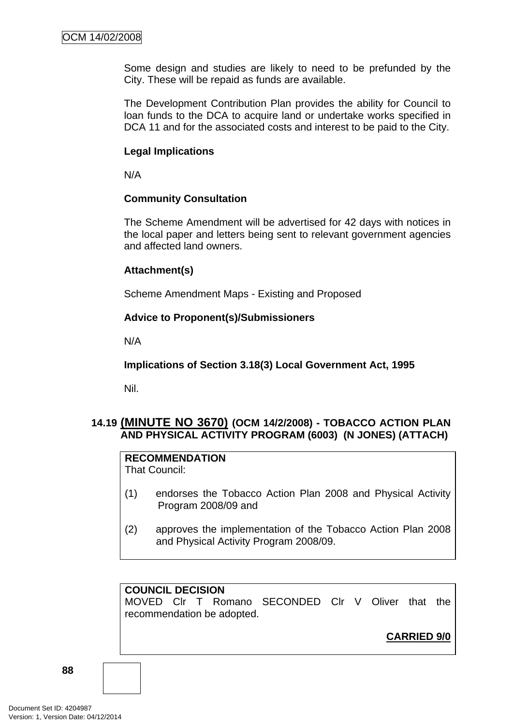Some design and studies are likely to need to be prefunded by the City. These will be repaid as funds are available.

The Development Contribution Plan provides the ability for Council to loan funds to the DCA to acquire land or undertake works specified in DCA 11 and for the associated costs and interest to be paid to the City.

#### **Legal Implications**

N/A

### **Community Consultation**

The Scheme Amendment will be advertised for 42 days with notices in the local paper and letters being sent to relevant government agencies and affected land owners.

#### **Attachment(s)**

Scheme Amendment Maps - Existing and Proposed

#### **Advice to Proponent(s)/Submissioners**

N/A

**Implications of Section 3.18(3) Local Government Act, 1995**

Nil.

### **14.19 (MINUTE NO 3670) (OCM 14/2/2008) - TOBACCO ACTION PLAN AND PHYSICAL ACTIVITY PROGRAM (6003) (N JONES) (ATTACH)**

## **RECOMMENDATION**

That Council:

- (1) endorses the Tobacco Action Plan 2008 and Physical Activity Program 2008/09 and
- (2) approves the implementation of the Tobacco Action Plan 2008 and Physical Activity Program 2008/09.

**COUNCIL DECISION**

MOVED Clr T Romano SECONDED Clr V Oliver that the recommendation be adopted.

**CARRIED 9/0**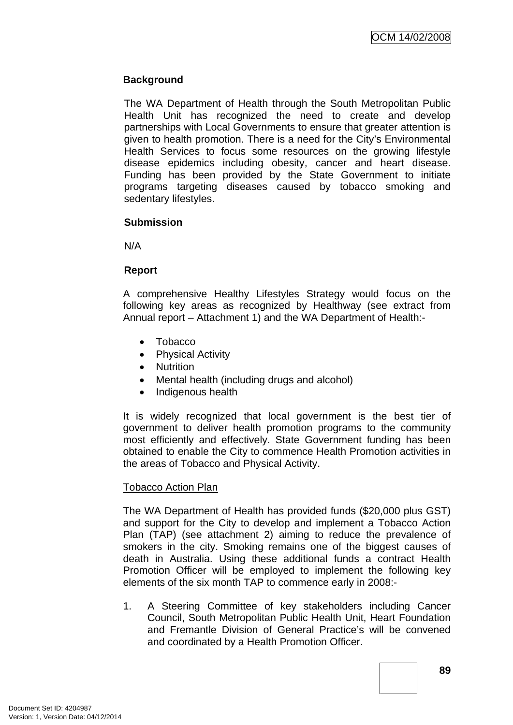### **Background**

The WA Department of Health through the South Metropolitan Public Health Unit has recognized the need to create and develop partnerships with Local Governments to ensure that greater attention is given to health promotion. There is a need for the City's Environmental Health Services to focus some resources on the growing lifestyle disease epidemics including obesity, cancer and heart disease. Funding has been provided by the State Government to initiate programs targeting diseases caused by tobacco smoking and sedentary lifestyles.

### **Submission**

N/A

### **Report**

A comprehensive Healthy Lifestyles Strategy would focus on the following key areas as recognized by Healthway (see extract from Annual report – Attachment 1) and the WA Department of Health:-

- Tobacco
- Physical Activity
- Nutrition
- Mental health (including drugs and alcohol)
- Indigenous health

It is widely recognized that local government is the best tier of government to deliver health promotion programs to the community most efficiently and effectively. State Government funding has been obtained to enable the City to commence Health Promotion activities in the areas of Tobacco and Physical Activity.

### Tobacco Action Plan

The WA Department of Health has provided funds (\$20,000 plus GST) and support for the City to develop and implement a Tobacco Action Plan (TAP) (see attachment 2) aiming to reduce the prevalence of smokers in the city. Smoking remains one of the biggest causes of death in Australia. Using these additional funds a contract Health Promotion Officer will be employed to implement the following key elements of the six month TAP to commence early in 2008:-

1. A Steering Committee of key stakeholders including Cancer Council, South Metropolitan Public Health Unit, Heart Foundation and Fremantle Division of General Practice's will be convened and coordinated by a Health Promotion Officer.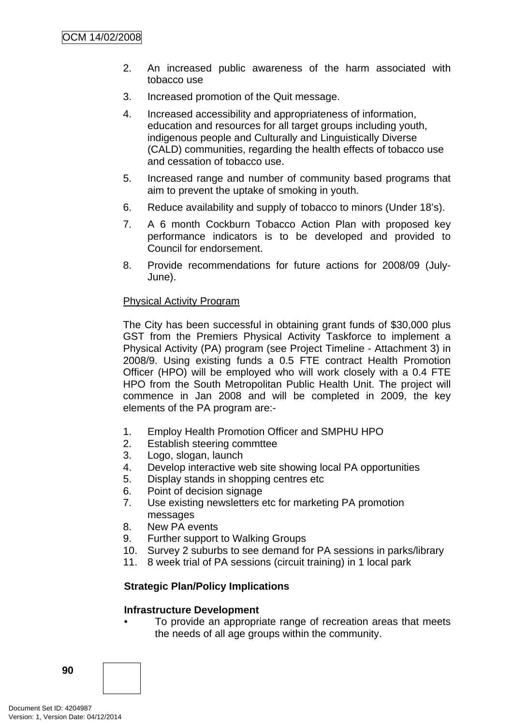- 2. An increased public awareness of the harm associated with tobacco use
- 3. Increased promotion of the Quit message.
- 4. Increased accessibility and appropriateness of information, education and resources for all target groups including youth, indigenous people and Culturally and Linguistically Diverse (CALD) communities, regarding the health effects of tobacco use and cessation of tobacco use.
- 5. Increased range and number of community based programs that aim to prevent the uptake of smoking in youth.
- 6. Reduce availability and supply of tobacco to minors (Under 18's).
- 7. A 6 month Cockburn Tobacco Action Plan with proposed key performance indicators is to be developed and provided to Council for endorsement.
- 8. Provide recommendations for future actions for 2008/09 (July-June).

### Physical Activity Program

The City has been successful in obtaining grant funds of \$30,000 plus GST from the Premiers Physical Activity Taskforce to implement a Physical Activity (PA) program (see Project Timeline - Attachment 3) in 2008/9. Using existing funds a 0.5 FTE contract Health Promotion Officer (HPO) will be employed who will work closely with a 0.4 FTE HPO from the South Metropolitan Public Health Unit. The project will commence in Jan 2008 and will be completed in 2009, the key elements of the PA program are:-

- 1. Employ Health Promotion Officer and SMPHU HPO
- 2. Establish steering commttee
- 3. Logo, slogan, launch
- 4. Develop interactive web site showing local PA opportunities
- 5. Display stands in shopping centres etc
- 6. Point of decision signage
- 7. Use existing newsletters etc for marketing PA promotion messages
- 8. New PA events
- 9. Further support to Walking Groups
- 10. Survey 2 suburbs to see demand for PA sessions in parks/library
- 11. 8 week trial of PA sessions (circuit training) in 1 local park

## **Strategic Plan/Policy Implications**

### **Infrastructure Development**

• To provide an appropriate range of recreation areas that meets the needs of all age groups within the community.

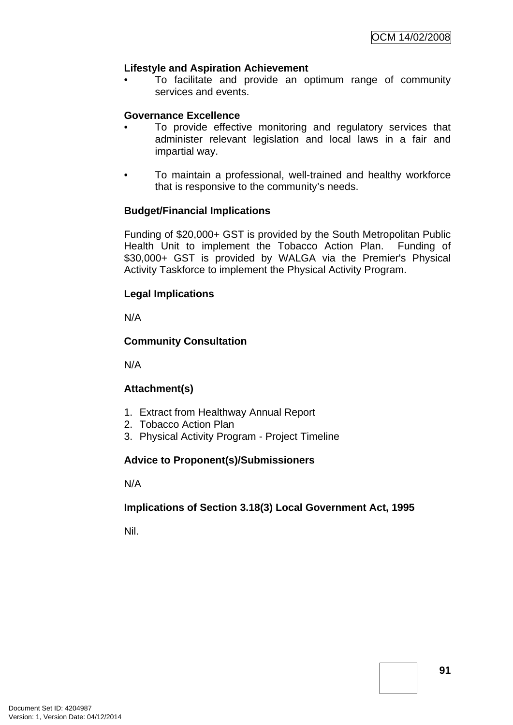### **Lifestyle and Aspiration Achievement**

• To facilitate and provide an optimum range of community services and events.

### **Governance Excellence**

- To provide effective monitoring and regulatory services that administer relevant legislation and local laws in a fair and impartial way.
- To maintain a professional, well-trained and healthy workforce that is responsive to the community's needs.

### **Budget/Financial Implications**

Funding of \$20,000+ GST is provided by the South Metropolitan Public Health Unit to implement the Tobacco Action Plan. Funding of \$30,000+ GST is provided by WALGA via the Premier's Physical Activity Taskforce to implement the Physical Activity Program.

### **Legal Implications**

N/A

### **Community Consultation**

N/A

## **Attachment(s)**

- 1. Extract from Healthway Annual Report
- 2. Tobacco Action Plan
- 3. Physical Activity Program Project Timeline

### **Advice to Proponent(s)/Submissioners**

N/A

### **Implications of Section 3.18(3) Local Government Act, 1995**

Nil.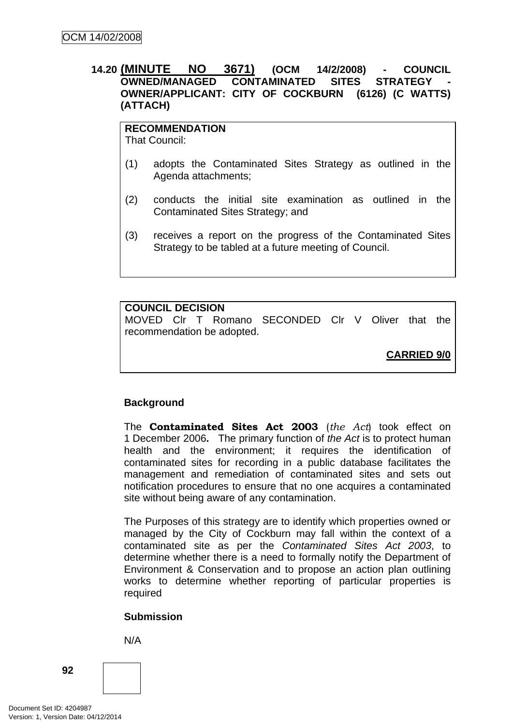## **14.20 (MINUTE NO 3671) (OCM 14/2/2008) - COUNCIL OWNED/MANAGED CONTAMINATED SITES STRATEGY OWNER/APPLICANT: CITY OF COCKBURN (6126) (C WATTS) (ATTACH)**

# **RECOMMENDATION**

That Council:

- (1) adopts the Contaminated Sites Strategy as outlined in the Agenda attachments;
- (2) conducts the initial site examination as outlined in the Contaminated Sites Strategy; and
- (3) receives a report on the progress of the Contaminated Sites Strategy to be tabled at a future meeting of Council.

# **COUNCIL DECISION**

MOVED Clr T Romano SECONDED Clr V Oliver that the recommendation be adopted.

**CARRIED 9/0**

## **Background**

The **Contaminated Sites Act 2003** (*the Act*) took effect on 1 December 2006**.** The primary function of *the Act* is to protect human health and the environment; it requires the identification of contaminated sites for recording in a public database facilitates the management and remediation of contaminated sites and sets out notification procedures to ensure that no one acquires a contaminated site without being aware of any contamination.

The Purposes of this strategy are to identify which properties owned or managed by the City of Cockburn may fall within the context of a contaminated site as per the *Contaminated Sites Act 2003*, to determine whether there is a need to formally notify the Department of Environment & Conservation and to propose an action plan outlining works to determine whether reporting of particular properties is required

## **Submission**

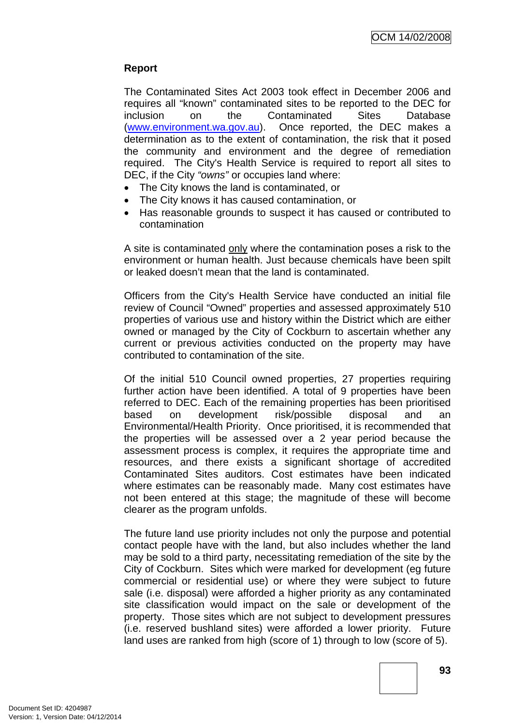# **Report**

The Contaminated Sites Act 2003 took effect in December 2006 and requires all "known" contaminated sites to be reported to the DEC for inclusion on the Contaminated Sites Database ([www.environment.wa.gov.au](http://www.environment.wa.gov.au/)). Once reported, the DEC makes a determination as to the extent of contamination, the risk that it posed the community and environment and the degree of remediation required. The City's Health Service is required to report all sites to DEC, if the City *"owns"* or occupies land where:

- The City knows the land is contaminated, or
- The City knows it has caused contamination, or
- Has reasonable grounds to suspect it has caused or contributed to contamination

A site is contaminated only where the contamination poses a risk to the environment or human health. Just because chemicals have been spilt or leaked doesn't mean that the land is contaminated.

Officers from the City's Health Service have conducted an initial file review of Council "Owned" properties and assessed approximately 510 properties of various use and history within the District which are either owned or managed by the City of Cockburn to ascertain whether any current or previous activities conducted on the property may have contributed to contamination of the site.

Of the initial 510 Council owned properties, 27 properties requiring further action have been identified. A total of 9 properties have been referred to DEC. Each of the remaining properties has been prioritised based on development risk/possible disposal and an Environmental/Health Priority. Once prioritised, it is recommended that the properties will be assessed over a 2 year period because the assessment process is complex, it requires the appropriate time and resources, and there exists a significant shortage of accredited Contaminated Sites auditors. Cost estimates have been indicated where estimates can be reasonably made. Many cost estimates have not been entered at this stage; the magnitude of these will become clearer as the program unfolds.

The future land use priority includes not only the purpose and potential contact people have with the land, but also includes whether the land may be sold to a third party, necessitating remediation of the site by the City of Cockburn. Sites which were marked for development (eg future commercial or residential use) or where they were subject to future sale (i.e. disposal) were afforded a higher priority as any contaminated site classification would impact on the sale or development of the property. Those sites which are not subject to development pressures (i.e. reserved bushland sites) were afforded a lower priority. Future land uses are ranked from high (score of 1) through to low (score of 5).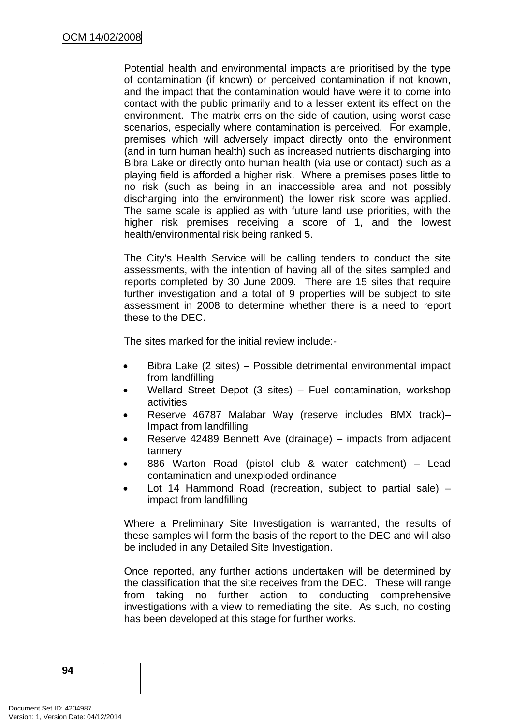Potential health and environmental impacts are prioritised by the type of contamination (if known) or perceived contamination if not known, and the impact that the contamination would have were it to come into contact with the public primarily and to a lesser extent its effect on the environment. The matrix errs on the side of caution, using worst case scenarios, especially where contamination is perceived. For example, premises which will adversely impact directly onto the environment (and in turn human health) such as increased nutrients discharging into Bibra Lake or directly onto human health (via use or contact) such as a playing field is afforded a higher risk. Where a premises poses little to no risk (such as being in an inaccessible area and not possibly discharging into the environment) the lower risk score was applied. The same scale is applied as with future land use priorities, with the higher risk premises receiving a score of 1, and the lowest health/environmental risk being ranked 5.

The City's Health Service will be calling tenders to conduct the site assessments, with the intention of having all of the sites sampled and reports completed by 30 June 2009. There are 15 sites that require further investigation and a total of 9 properties will be subject to site assessment in 2008 to determine whether there is a need to report these to the DEC.

The sites marked for the initial review include:-

- Bibra Lake (2 sites) Possible detrimental environmental impact from landfilling
- Wellard Street Depot (3 sites) Fuel contamination, workshop activities
- Reserve 46787 Malabar Way (reserve includes BMX track)– Impact from landfilling
- Reserve 42489 Bennett Ave (drainage) impacts from adjacent tannery
- 886 Warton Road (pistol club & water catchment) Lead contamination and unexploded ordinance
- Lot 14 Hammond Road (recreation, subject to partial sale) impact from landfilling

Where a Preliminary Site Investigation is warranted, the results of these samples will form the basis of the report to the DEC and will also be included in any Detailed Site Investigation.

Once reported, any further actions undertaken will be determined by the classification that the site receives from the DEC. These will range from taking no further action to conducting comprehensive investigations with a view to remediating the site. As such, no costing has been developed at this stage for further works.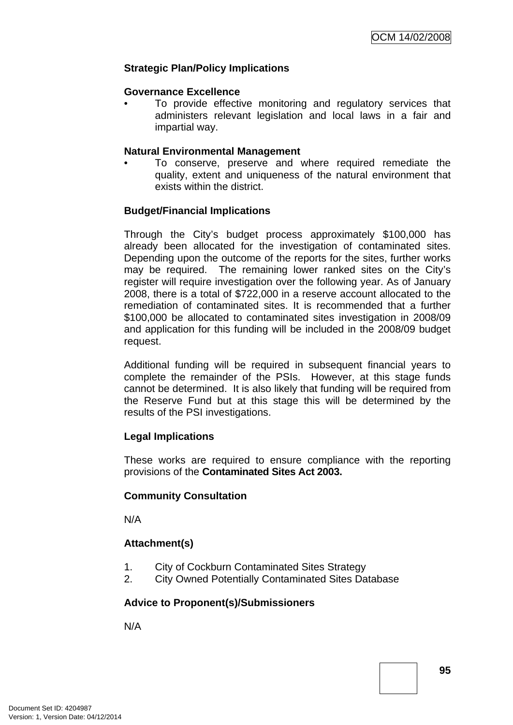### **Strategic Plan/Policy Implications**

#### **Governance Excellence**

To provide effective monitoring and regulatory services that administers relevant legislation and local laws in a fair and impartial way.

#### **Natural Environmental Management**

• To conserve, preserve and where required remediate the quality, extent and uniqueness of the natural environment that exists within the district.

### **Budget/Financial Implications**

Through the City's budget process approximately \$100,000 has already been allocated for the investigation of contaminated sites. Depending upon the outcome of the reports for the sites, further works may be required. The remaining lower ranked sites on the City's register will require investigation over the following year. As of January 2008, there is a total of \$722,000 in a reserve account allocated to the remediation of contaminated sites. It is recommended that a further \$100,000 be allocated to contaminated sites investigation in 2008/09 and application for this funding will be included in the 2008/09 budget request.

Additional funding will be required in subsequent financial years to complete the remainder of the PSIs. However, at this stage funds cannot be determined. It is also likely that funding will be required from the Reserve Fund but at this stage this will be determined by the results of the PSI investigations.

### **Legal Implications**

These works are required to ensure compliance with the reporting provisions of the **Contaminated Sites Act 2003.**

### **Community Consultation**

N/A

## **Attachment(s)**

- 1. City of Cockburn Contaminated Sites Strategy
- 2. City Owned Potentially Contaminated Sites Database

### **Advice to Proponent(s)/Submissioners**

N/A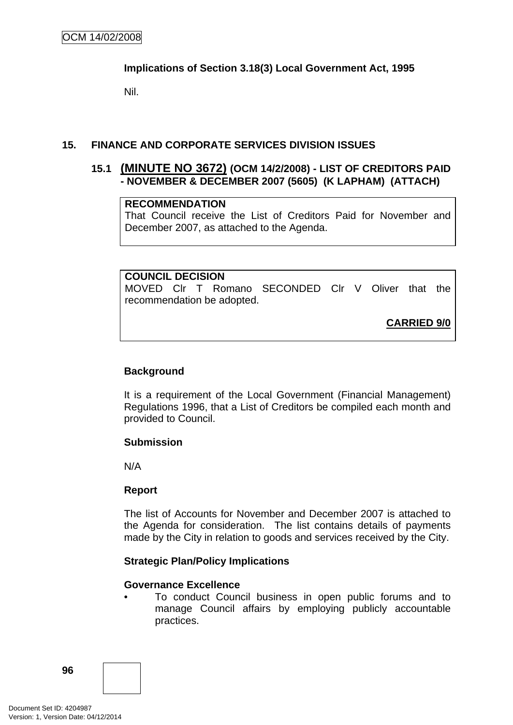### **Implications of Section 3.18(3) Local Government Act, 1995**

Nil.

### **15. FINANCE AND CORPORATE SERVICES DIVISION ISSUES**

### **15.1 (MINUTE NO 3672) (OCM 14/2/2008) - LIST OF CREDITORS PAID - NOVEMBER & DECEMBER 2007 (5605) (K LAPHAM) (ATTACH)**

## **RECOMMENDATION**

That Council receive the List of Creditors Paid for November and December 2007, as attached to the Agenda.

### **COUNCIL DECISION**

MOVED Clr T Romano SECONDED Clr V Oliver that the recommendation be adopted.

**CARRIED 9/0**

## **Background**

It is a requirement of the Local Government (Financial Management) Regulations 1996, that a List of Creditors be compiled each month and provided to Council.

### **Submission**

N/A

### **Report**

The list of Accounts for November and December 2007 is attached to the Agenda for consideration. The list contains details of payments made by the City in relation to goods and services received by the City.

### **Strategic Plan/Policy Implications**

### **Governance Excellence**

• To conduct Council business in open public forums and to manage Council affairs by employing publicly accountable practices.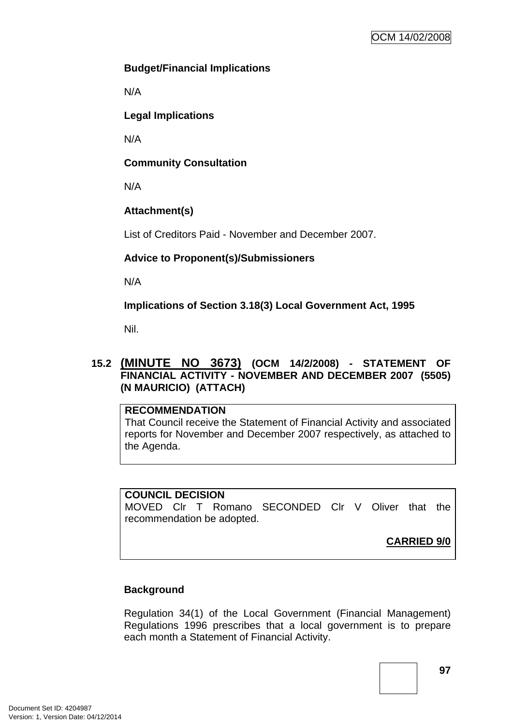### **Budget/Financial Implications**

N/A

**Legal Implications** 

N/A

# **Community Consultation**

N/A

# **Attachment(s)**

List of Creditors Paid - November and December 2007.

# **Advice to Proponent(s)/Submissioners**

N/A

**Implications of Section 3.18(3) Local Government Act, 1995**

Nil.

### **15.2 (MINUTE NO 3673) (OCM 14/2/2008) - STATEMENT OF FINANCIAL ACTIVITY - NOVEMBER AND DECEMBER 2007 (5505) (N MAURICIO) (ATTACH)**

# **RECOMMENDATION**

That Council receive the Statement of Financial Activity and associated reports for November and December 2007 respectively, as attached to the Agenda.

## **COUNCIL DECISION**

MOVED Clr T Romano SECONDED Clr V Oliver that the recommendation be adopted.

**CARRIED 9/0**

# **Background**

Regulation 34(1) of the Local Government (Financial Management) Regulations 1996 prescribes that a local government is to prepare each month a Statement of Financial Activity.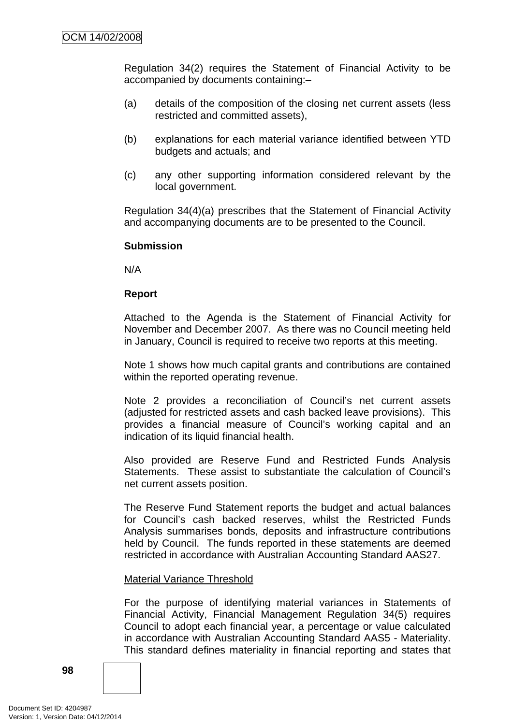Regulation 34(2) requires the Statement of Financial Activity to be accompanied by documents containing:–

- (a) details of the composition of the closing net current assets (less restricted and committed assets),
- (b) explanations for each material variance identified between YTD budgets and actuals; and
- (c) any other supporting information considered relevant by the local government.

Regulation 34(4)(a) prescribes that the Statement of Financial Activity and accompanying documents are to be presented to the Council.

#### **Submission**

N/A

#### **Report**

Attached to the Agenda is the Statement of Financial Activity for November and December 2007. As there was no Council meeting held in January, Council is required to receive two reports at this meeting.

Note 1 shows how much capital grants and contributions are contained within the reported operating revenue.

Note 2 provides a reconciliation of Council's net current assets (adjusted for restricted assets and cash backed leave provisions). This provides a financial measure of Council's working capital and an indication of its liquid financial health.

Also provided are Reserve Fund and Restricted Funds Analysis Statements. These assist to substantiate the calculation of Council's net current assets position.

The Reserve Fund Statement reports the budget and actual balances for Council's cash backed reserves, whilst the Restricted Funds Analysis summarises bonds, deposits and infrastructure contributions held by Council. The funds reported in these statements are deemed restricted in accordance with Australian Accounting Standard AAS27.

### Material Variance Threshold

For the purpose of identifying material variances in Statements of Financial Activity, Financial Management Regulation 34(5) requires Council to adopt each financial year, a percentage or value calculated in accordance with Australian Accounting Standard AAS5 - Materiality. This standard defines materiality in financial reporting and states that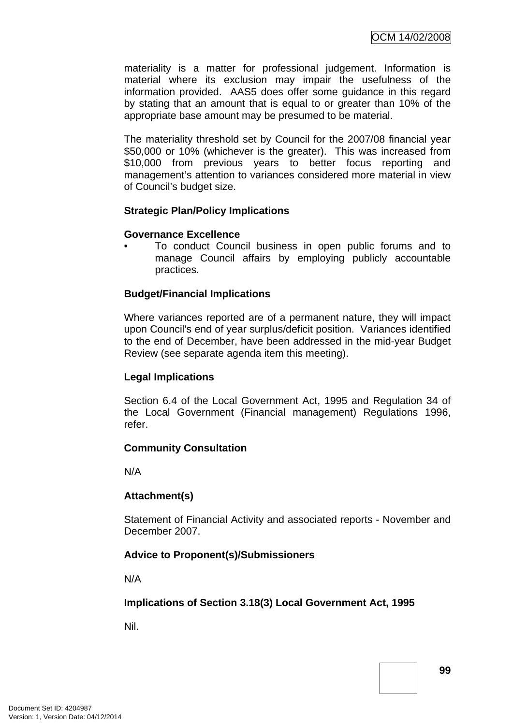materiality is a matter for professional judgement. Information is material where its exclusion may impair the usefulness of the information provided. AAS5 does offer some guidance in this regard by stating that an amount that is equal to or greater than 10% of the appropriate base amount may be presumed to be material.

The materiality threshold set by Council for the 2007/08 financial year \$50,000 or 10% (whichever is the greater). This was increased from \$10,000 from previous years to better focus reporting and management's attention to variances considered more material in view of Council's budget size.

### **Strategic Plan/Policy Implications**

### **Governance Excellence**

• To conduct Council business in open public forums and to manage Council affairs by employing publicly accountable practices.

## **Budget/Financial Implications**

Where variances reported are of a permanent nature, they will impact upon Council's end of year surplus/deficit position. Variances identified to the end of December, have been addressed in the mid-year Budget Review (see separate agenda item this meeting).

## **Legal Implications**

Section 6.4 of the Local Government Act, 1995 and Regulation 34 of the Local Government (Financial management) Regulations 1996, refer.

## **Community Consultation**

N/A

## **Attachment(s)**

Statement of Financial Activity and associated reports - November and December 2007.

## **Advice to Proponent(s)/Submissioners**

N/A

## **Implications of Section 3.18(3) Local Government Act, 1995**

Nil.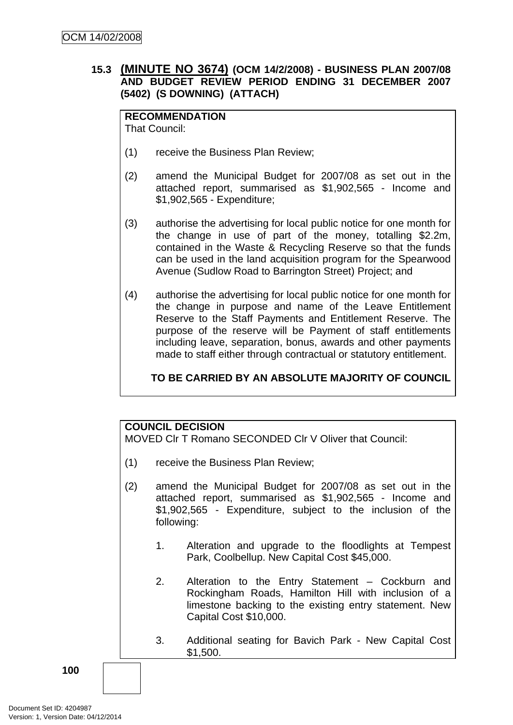## **15.3 (MINUTE NO 3674) (OCM 14/2/2008) - BUSINESS PLAN 2007/08 AND BUDGET REVIEW PERIOD ENDING 31 DECEMBER 2007 (5402) (S DOWNING) (ATTACH)**

# **RECOMMENDATION**

That Council:

- (1) receive the Business Plan Review;
- (2) amend the Municipal Budget for 2007/08 as set out in the attached report, summarised as \$1,902,565 - Income and \$1,902,565 - Expenditure;
- (3) authorise the advertising for local public notice for one month for the change in use of part of the money, totalling \$2.2m, contained in the Waste & Recycling Reserve so that the funds can be used in the land acquisition program for the Spearwood Avenue (Sudlow Road to Barrington Street) Project; and
- (4) authorise the advertising for local public notice for one month for the change in purpose and name of the Leave Entitlement Reserve to the Staff Payments and Entitlement Reserve. The purpose of the reserve will be Payment of staff entitlements including leave, separation, bonus, awards and other payments made to staff either through contractual or statutory entitlement.

## **TO BE CARRIED BY AN ABSOLUTE MAJORITY OF COUNCIL**

## **COUNCIL DECISION**

MOVED Clr T Romano SECONDED Clr V Oliver that Council:

- (1) receive the Business Plan Review;
- (2) amend the Municipal Budget for 2007/08 as set out in the attached report, summarised as \$1,902,565 - Income and \$1,902,565 - Expenditure, subject to the inclusion of the following:
	- 1. Alteration and upgrade to the floodlights at Tempest Park, Coolbellup. New Capital Cost \$45,000.
	- 2. Alteration to the Entry Statement Cockburn and Rockingham Roads, Hamilton Hill with inclusion of a limestone backing to the existing entry statement. New Capital Cost \$10,000.
	- 3. Additional seating for Bavich Park New Capital Cost \$1,500.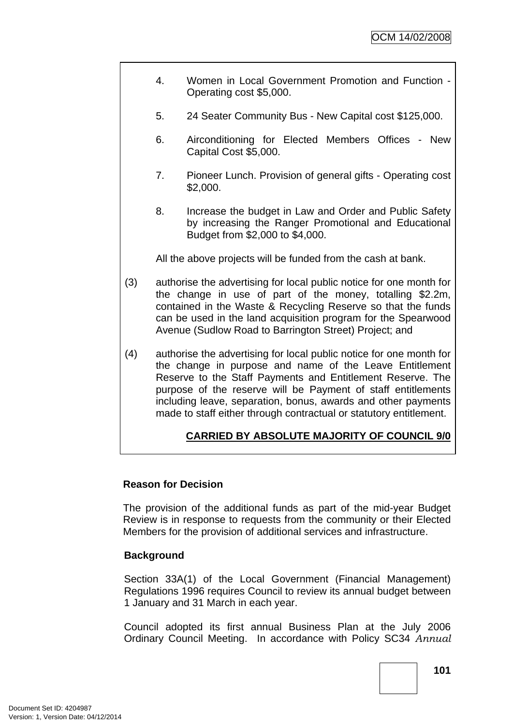- 4. Women in Local Government Promotion and Function Operating cost \$5,000.
- 5. 24 Seater Community Bus New Capital cost \$125,000.
- 6. Airconditioning for Elected Members Offices New Capital Cost \$5,000.
- 7. Pioneer Lunch. Provision of general gifts Operating cost \$2,000.
- 8. Increase the budget in Law and Order and Public Safety by increasing the Ranger Promotional and Educational Budget from \$2,000 to \$4,000.

All the above projects will be funded from the cash at bank.

- (3) authorise the advertising for local public notice for one month for the change in use of part of the money, totalling \$2.2m, contained in the Waste & Recycling Reserve so that the funds can be used in the land acquisition program for the Spearwood Avenue (Sudlow Road to Barrington Street) Project; and
- (4) authorise the advertising for local public notice for one month for the change in purpose and name of the Leave Entitlement Reserve to the Staff Payments and Entitlement Reserve. The purpose of the reserve will be Payment of staff entitlements including leave, separation, bonus, awards and other payments made to staff either through contractual or statutory entitlement.

## **CARRIED BY ABSOLUTE MAJORITY OF COUNCIL 9/0**

#### **Reason for Decision**

The provision of the additional funds as part of the mid-year Budget Review is in response to requests from the community or their Elected Members for the provision of additional services and infrastructure.

### **Background**

Section 33A(1) of the Local Government (Financial Management) Regulations 1996 requires Council to review its annual budget between 1 January and 31 March in each year.

Council adopted its first annual Business Plan at the July 2006 Ordinary Council Meeting. In accordance with Policy SC34 *Annual*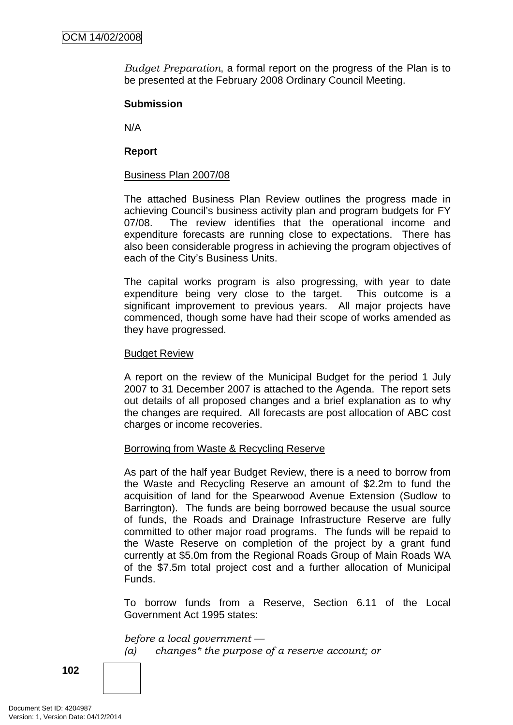*Budget Preparation*, a formal report on the progress of the Plan is to be presented at the February 2008 Ordinary Council Meeting.

### **Submission**

N/A

### **Report**

### Business Plan 2007/08

The attached Business Plan Review outlines the progress made in achieving Council's business activity plan and program budgets for FY 07/08. The review identifies that the operational income and expenditure forecasts are running close to expectations. There has also been considerable progress in achieving the program objectives of each of the City's Business Units.

The capital works program is also progressing, with year to date expenditure being very close to the target. This outcome is a significant improvement to previous years. All major projects have commenced, though some have had their scope of works amended as they have progressed.

### Budget Review

A report on the review of the Municipal Budget for the period 1 July 2007 to 31 December 2007 is attached to the Agenda. The report sets out details of all proposed changes and a brief explanation as to why the changes are required. All forecasts are post allocation of ABC cost charges or income recoveries.

### Borrowing from Waste & Recycling Reserve

As part of the half year Budget Review, there is a need to borrow from the Waste and Recycling Reserve an amount of \$2.2m to fund the acquisition of land for the Spearwood Avenue Extension (Sudlow to Barrington). The funds are being borrowed because the usual source of funds, the Roads and Drainage Infrastructure Reserve are fully committed to other major road programs. The funds will be repaid to the Waste Reserve on completion of the project by a grant fund currently at \$5.0m from the Regional Roads Group of Main Roads WA of the \$7.5m total project cost and a further allocation of Municipal Funds.

To borrow funds from a Reserve, Section 6.11 of the Local Government Act 1995 states:

*before a local government — (a) changes\* the purpose of a reserve account; or*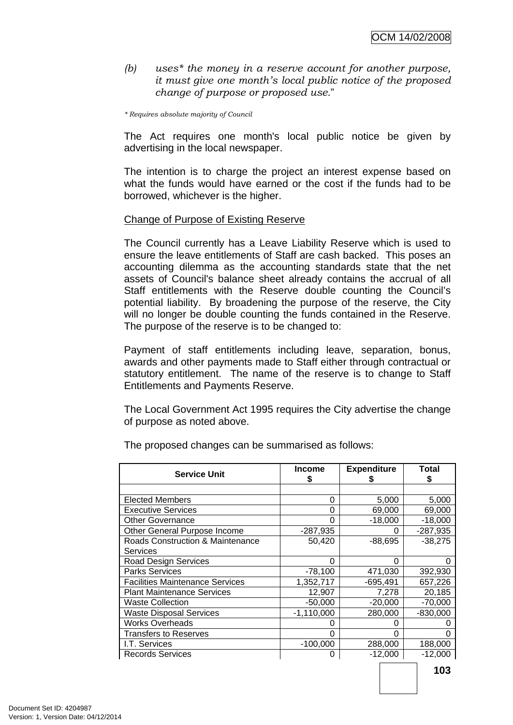- *(b) uses\* the money in a reserve account for another purpose, it must give one month's local public notice of the proposed change of purpose or proposed use.*"
- *\* Requires absolute majority of Council*

The Act requires one month's local public notice be given by advertising in the local newspaper.

The intention is to charge the project an interest expense based on what the funds would have earned or the cost if the funds had to be borrowed, whichever is the higher.

#### Change of Purpose of Existing Reserve

The Council currently has a Leave Liability Reserve which is used to ensure the leave entitlements of Staff are cash backed. This poses an accounting dilemma as the accounting standards state that the net assets of Council's balance sheet already contains the accrual of all Staff entitlements with the Reserve double counting the Council's potential liability. By broadening the purpose of the reserve, the City will no longer be double counting the funds contained in the Reserve. The purpose of the reserve is to be changed to:

Payment of staff entitlements including leave, separation, bonus, awards and other payments made to Staff either through contractual or statutory entitlement. The name of the reserve is to change to Staff Entitlements and Payments Reserve.

The Local Government Act 1995 requires the City advertise the change of purpose as noted above.

| <b>Service Unit</b>                         | <b>Income</b> | <b>Expenditure</b> | <b>Total</b> |
|---------------------------------------------|---------------|--------------------|--------------|
|                                             |               |                    |              |
| <b>Elected Members</b>                      | 0             | 5,000              | 5,000        |
| <b>Executive Services</b>                   | O             | 69,000             | 69,000       |
| <b>Other Governance</b>                     | 0             | $-18,000$          | $-18,000$    |
| Other General Purpose Income                | $-287,935$    | 0                  | $-287,935$   |
| <b>Roads Construction &amp; Maintenance</b> | 50,420        | $-88,695$          | $-38,275$    |
| <b>Services</b>                             |               |                    |              |
| <b>Road Design Services</b>                 | ი             | ი                  |              |
| <b>Parks Services</b>                       | $-78,100$     | 471,030            | 392,930      |
| <b>Facilities Maintenance Services</b>      | 1,352,717     | $-695,491$         | 657,226      |
| <b>Plant Maintenance Services</b>           | 12,907        | 7,278              | 20,185       |
| <b>Waste Collection</b>                     | $-50,000$     | $-20,000$          | $-70,000$    |
| <b>Waste Disposal Services</b>              | $-1,110,000$  | 280,000            | $-830,000$   |
| <b>Works Overheads</b>                      |               |                    |              |
| <b>Transfers to Reserves</b>                | ი             | O                  |              |
| I.T. Services                               | $-100,000$    | 288,000            | 188,000      |
| <b>Records Services</b>                     |               | $-12,000$          | $-12,000$    |

The proposed changes can be summarised as follows: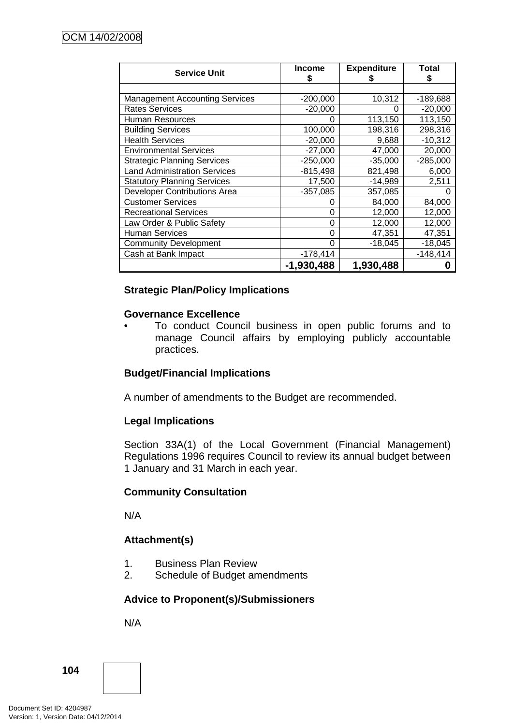| <b>Service Unit</b>                   | <b>Income</b><br>S | <b>Expenditure</b> | <b>Total</b> |
|---------------------------------------|--------------------|--------------------|--------------|
|                                       |                    |                    |              |
| <b>Management Accounting Services</b> | $-200,000$         | 10,312             | $-189,688$   |
| <b>Rates Services</b>                 | $-20,000$          | O                  | $-20,000$    |
| <b>Human Resources</b>                |                    | 113,150            | 113,150      |
| <b>Building Services</b>              | 100,000            | 198,316            | 298,316      |
| <b>Health Services</b>                | $-20,000$          | 9,688              | $-10,312$    |
| <b>Environmental Services</b>         | $-27,000$          | 47,000             | 20,000       |
| <b>Strategic Planning Services</b>    | $-250,000$         | $-35,000$          | $-285,000$   |
| <b>Land Administration Services</b>   | $-815,498$         | 821,498            | 6,000        |
| <b>Statutory Planning Services</b>    | 17,500             | $-14,989$          | 2,511        |
| <b>Developer Contributions Area</b>   | $-357,085$         | 357,085            |              |
| <b>Customer Services</b>              | 0                  | 84,000             | 84,000       |
| <b>Recreational Services</b>          | 0                  | 12,000             | 12,000       |
| Law Order & Public Safety             | 0                  | 12,000             | 12,000       |
| <b>Human Services</b>                 | 0                  | 47,351             | 47,351       |
| <b>Community Development</b>          | ი                  | $-18,045$          | $-18,045$    |
| Cash at Bank Impact                   | $-178,414$         |                    | $-148,414$   |
|                                       | $-1,930,488$       | 1,930,488          |              |

# **Strategic Plan/Policy Implications**

# **Governance Excellence**

• To conduct Council business in open public forums and to manage Council affairs by employing publicly accountable practices.

# **Budget/Financial Implications**

A number of amendments to the Budget are recommended.

## **Legal Implications**

Section 33A(1) of the Local Government (Financial Management) Regulations 1996 requires Council to review its annual budget between 1 January and 31 March in each year.

## **Community Consultation**

N/A

# **Attachment(s)**

- 1. Business Plan Review
- 2. Schedule of Budget amendments

# **Advice to Proponent(s)/Submissioners**

N/A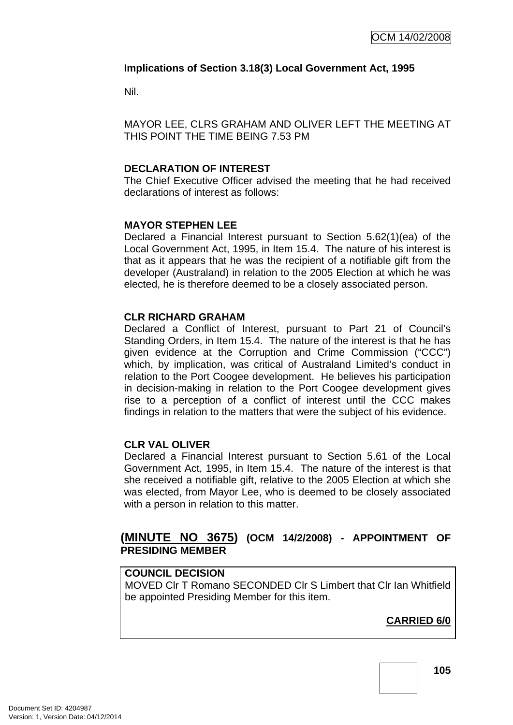# **Implications of Section 3.18(3) Local Government Act, 1995**

Nil.

MAYOR LEE, CLRS GRAHAM AND OLIVER LEFT THE MEETING AT THIS POINT THE TIME BEING 7.53 PM

## **DECLARATION OF INTEREST**

The Chief Executive Officer advised the meeting that he had received declarations of interest as follows:

# **MAYOR STEPHEN LEE**

Declared a Financial Interest pursuant to Section 5.62(1)(ea) of the Local Government Act, 1995, in Item 15.4. The nature of his interest is that as it appears that he was the recipient of a notifiable gift from the developer (Australand) in relation to the 2005 Election at which he was elected, he is therefore deemed to be a closely associated person.

## **CLR RICHARD GRAHAM**

Declared a Conflict of Interest, pursuant to Part 21 of Council's Standing Orders, in Item 15.4. The nature of the interest is that he has given evidence at the Corruption and Crime Commission ("CCC") which, by implication, was critical of Australand Limited's conduct in relation to the Port Coogee development. He believes his participation in decision-making in relation to the Port Coogee development gives rise to a perception of a conflict of interest until the CCC makes findings in relation to the matters that were the subject of his evidence.

## **CLR VAL OLIVER**

Declared a Financial Interest pursuant to Section 5.61 of the Local Government Act, 1995, in Item 15.4. The nature of the interest is that she received a notifiable gift, relative to the 2005 Election at which she was elected, from Mayor Lee, who is deemed to be closely associated with a person in relation to this matter.

# **(MINUTE NO 3675) (OCM 14/2/2008) - APPOINTMENT OF PRESIDING MEMBER**

# **COUNCIL DECISION**

MOVED Clr T Romano SECONDED Clr S Limbert that Clr Ian Whitfield be appointed Presiding Member for this item.

# **CARRIED 6/0**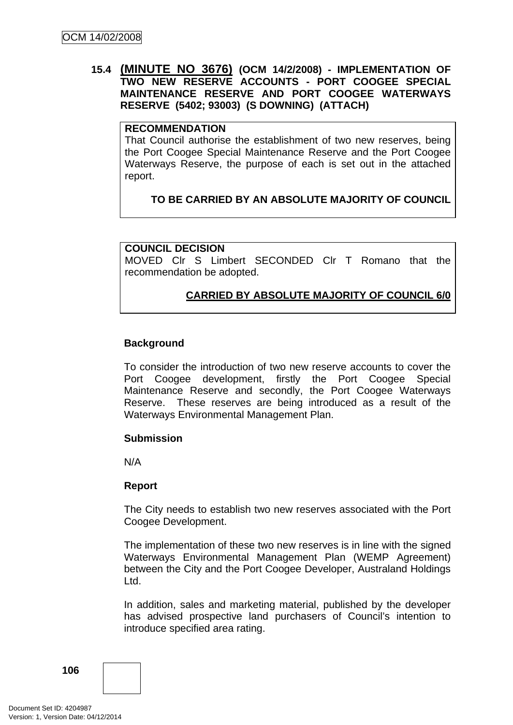# **15.4 (MINUTE NO 3676) (OCM 14/2/2008) - IMPLEMENTATION OF TWO NEW RESERVE ACCOUNTS - PORT COOGEE SPECIAL MAINTENANCE RESERVE AND PORT COOGEE WATERWAYS RESERVE (5402; 93003) (S DOWNING) (ATTACH)**

#### **RECOMMENDATION**

That Council authorise the establishment of two new reserves, being the Port Coogee Special Maintenance Reserve and the Port Coogee Waterways Reserve, the purpose of each is set out in the attached report.

# **TO BE CARRIED BY AN ABSOLUTE MAJORITY OF COUNCIL**

## **COUNCIL DECISION**

MOVED Clr S Limbert SECONDED Clr T Romano that the recommendation be adopted.

# **CARRIED BY ABSOLUTE MAJORITY OF COUNCIL 6/0**

# **Background**

To consider the introduction of two new reserve accounts to cover the Port Coogee development, firstly the Port Coogee Special Maintenance Reserve and secondly, the Port Coogee Waterways Reserve. These reserves are being introduced as a result of the Waterways Environmental Management Plan.

#### **Submission**

N/A

## **Report**

The City needs to establish two new reserves associated with the Port Coogee Development.

The implementation of these two new reserves is in line with the signed Waterways Environmental Management Plan (WEMP Agreement) between the City and the Port Coogee Developer, Australand Holdings Ltd.

In addition, sales and marketing material, published by the developer has advised prospective land purchasers of Council's intention to introduce specified area rating.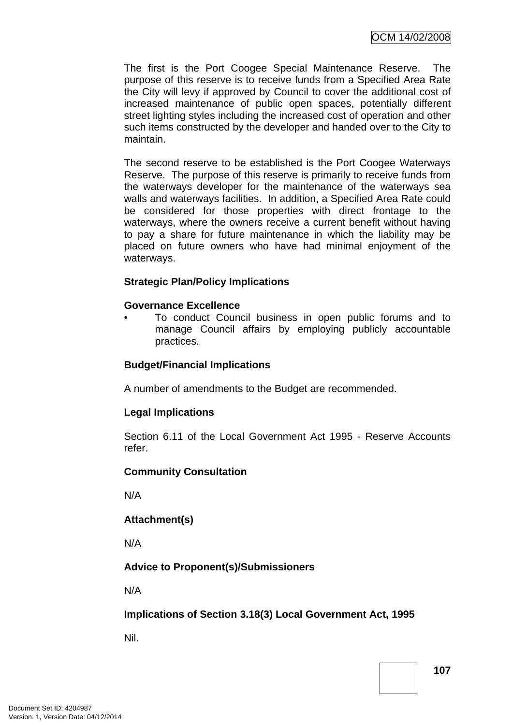The first is the Port Coogee Special Maintenance Reserve. The purpose of this reserve is to receive funds from a Specified Area Rate the City will levy if approved by Council to cover the additional cost of increased maintenance of public open spaces, potentially different street lighting styles including the increased cost of operation and other such items constructed by the developer and handed over to the City to maintain.

The second reserve to be established is the Port Coogee Waterways Reserve. The purpose of this reserve is primarily to receive funds from the waterways developer for the maintenance of the waterways sea walls and waterways facilities. In addition, a Specified Area Rate could be considered for those properties with direct frontage to the waterways, where the owners receive a current benefit without having to pay a share for future maintenance in which the liability may be placed on future owners who have had minimal enjoyment of the waterways.

# **Strategic Plan/Policy Implications**

# **Governance Excellence**

• To conduct Council business in open public forums and to manage Council affairs by employing publicly accountable practices.

# **Budget/Financial Implications**

A number of amendments to the Budget are recommended.

# **Legal Implications**

Section 6.11 of the Local Government Act 1995 - Reserve Accounts refer.

## **Community Consultation**

N/A

# **Attachment(s)**

N/A

# **Advice to Proponent(s)/Submissioners**

N/A

# **Implications of Section 3.18(3) Local Government Act, 1995**

Nil.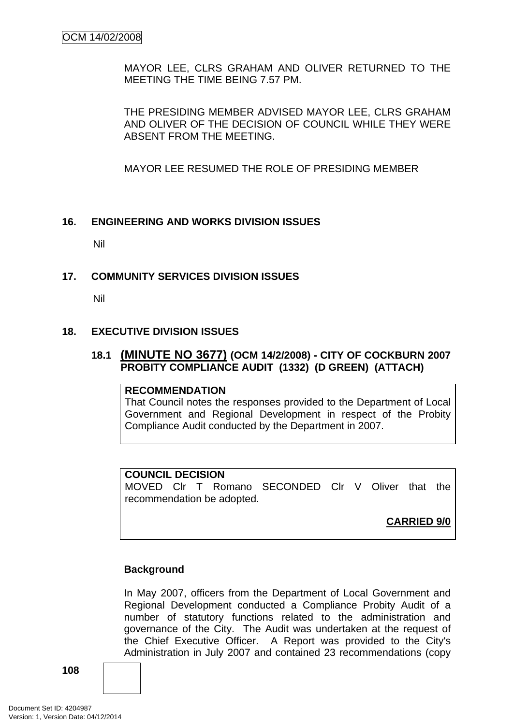MAYOR LEE, CLRS GRAHAM AND OLIVER RETURNED TO THE MEETING THE TIME BEING 7.57 PM.

THE PRESIDING MEMBER ADVISED MAYOR LEE, CLRS GRAHAM AND OLIVER OF THE DECISION OF COUNCIL WHILE THEY WERE ABSENT FROM THE MEETING.

MAYOR LEE RESUMED THE ROLE OF PRESIDING MEMBER

# **16. ENGINEERING AND WORKS DIVISION ISSUES**

Nil

# **17. COMMUNITY SERVICES DIVISION ISSUES**

Nil

## **18. EXECUTIVE DIVISION ISSUES**

### **18.1 (MINUTE NO 3677) (OCM 14/2/2008) - CITY OF COCKBURN 2007 PROBITY COMPLIANCE AUDIT (1332) (D GREEN) (ATTACH)**

#### **RECOMMENDATION**

That Council notes the responses provided to the Department of Local Government and Regional Development in respect of the Probity Compliance Audit conducted by the Department in 2007.

### **COUNCIL DECISION**

MOVED Clr T Romano SECONDED Clr V Oliver that the recommendation be adopted.

**CARRIED 9/0**

## **Background**

In May 2007, officers from the Department of Local Government and Regional Development conducted a Compliance Probity Audit of a number of statutory functions related to the administration and governance of the City. The Audit was undertaken at the request of the Chief Executive Officer. A Report was provided to the City's Administration in July 2007 and contained 23 recommendations (copy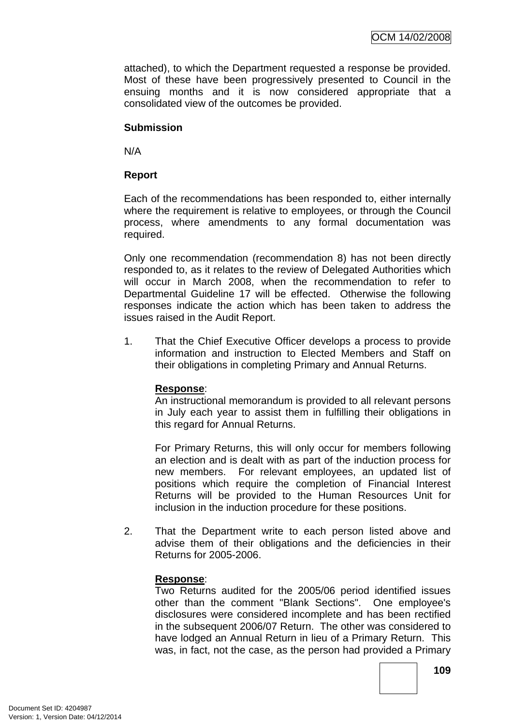attached), to which the Department requested a response be provided. Most of these have been progressively presented to Council in the ensuing months and it is now considered appropriate that a consolidated view of the outcomes be provided.

# **Submission**

N/A

# **Report**

Each of the recommendations has been responded to, either internally where the requirement is relative to employees, or through the Council process, where amendments to any formal documentation was required.

Only one recommendation (recommendation 8) has not been directly responded to, as it relates to the review of Delegated Authorities which will occur in March 2008, when the recommendation to refer to Departmental Guideline 17 will be effected. Otherwise the following responses indicate the action which has been taken to address the issues raised in the Audit Report.

1. That the Chief Executive Officer develops a process to provide information and instruction to Elected Members and Staff on their obligations in completing Primary and Annual Returns.

# **Response**:

An instructional memorandum is provided to all relevant persons in July each year to assist them in fulfilling their obligations in this regard for Annual Returns.

For Primary Returns, this will only occur for members following an election and is dealt with as part of the induction process for new members. For relevant employees, an updated list of positions which require the completion of Financial Interest Returns will be provided to the Human Resources Unit for inclusion in the induction procedure for these positions.

2. That the Department write to each person listed above and advise them of their obligations and the deficiencies in their Returns for 2005-2006.

## **Response**:

Two Returns audited for the 2005/06 period identified issues other than the comment "Blank Sections". One employee's disclosures were considered incomplete and has been rectified in the subsequent 2006/07 Return. The other was considered to have lodged an Annual Return in lieu of a Primary Return. This was, in fact, not the case, as the person had provided a Primary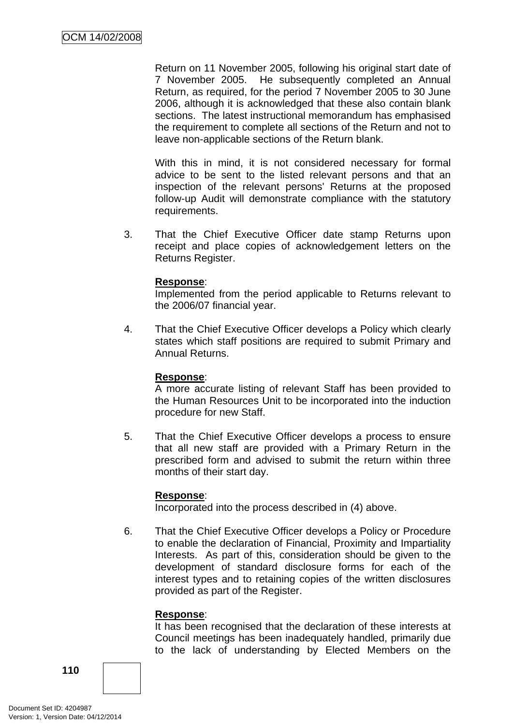Return on 11 November 2005, following his original start date of 7 November 2005. He subsequently completed an Annual Return, as required, for the period 7 November 2005 to 30 June 2006, although it is acknowledged that these also contain blank sections. The latest instructional memorandum has emphasised the requirement to complete all sections of the Return and not to leave non-applicable sections of the Return blank.

With this in mind, it is not considered necessary for formal advice to be sent to the listed relevant persons and that an inspection of the relevant persons' Returns at the proposed follow-up Audit will demonstrate compliance with the statutory requirements.

3. That the Chief Executive Officer date stamp Returns upon receipt and place copies of acknowledgement letters on the Returns Register.

#### **Response**:

Implemented from the period applicable to Returns relevant to the 2006/07 financial year.

4. That the Chief Executive Officer develops a Policy which clearly states which staff positions are required to submit Primary and Annual Returns.

## **Response**:

A more accurate listing of relevant Staff has been provided to the Human Resources Unit to be incorporated into the induction procedure for new Staff.

5. That the Chief Executive Officer develops a process to ensure that all new staff are provided with a Primary Return in the prescribed form and advised to submit the return within three months of their start day.

## **Response**:

Incorporated into the process described in (4) above.

6. That the Chief Executive Officer develops a Policy or Procedure to enable the declaration of Financial, Proximity and Impartiality Interests. As part of this, consideration should be given to the development of standard disclosure forms for each of the interest types and to retaining copies of the written disclosures provided as part of the Register.

## **Response**:

It has been recognised that the declaration of these interests at Council meetings has been inadequately handled, primarily due to the lack of understanding by Elected Members on the

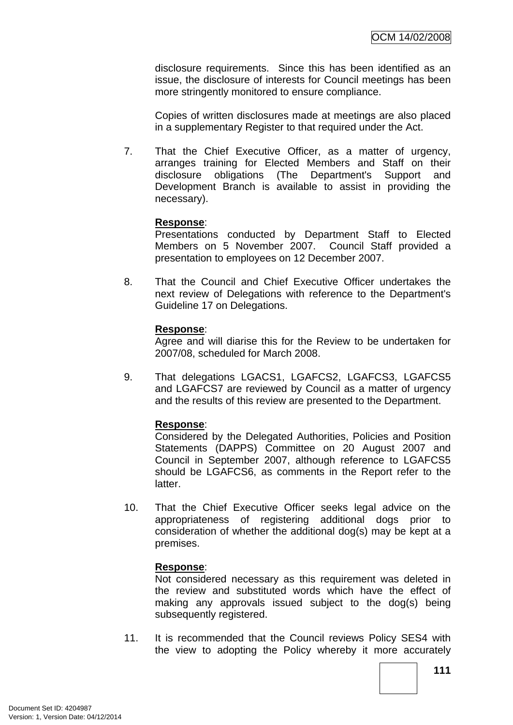disclosure requirements. Since this has been identified as an issue, the disclosure of interests for Council meetings has been more stringently monitored to ensure compliance.

Copies of written disclosures made at meetings are also placed in a supplementary Register to that required under the Act.

7. That the Chief Executive Officer, as a matter of urgency, arranges training for Elected Members and Staff on their disclosure obligations (The Department's Support and Development Branch is available to assist in providing the necessary).

# **Response**:

Presentations conducted by Department Staff to Elected Members on 5 November 2007. Council Staff provided a presentation to employees on 12 December 2007.

8. That the Council and Chief Executive Officer undertakes the next review of Delegations with reference to the Department's Guideline 17 on Delegations.

## **Response**:

Agree and will diarise this for the Review to be undertaken for 2007/08, scheduled for March 2008.

9. That delegations LGACS1, LGAFCS2, LGAFCS3, LGAFCS5 and LGAFCS7 are reviewed by Council as a matter of urgency and the results of this review are presented to the Department.

## **Response**:

Considered by the Delegated Authorities, Policies and Position Statements (DAPPS) Committee on 20 August 2007 and Council in September 2007, although reference to LGAFCS5 should be LGAFCS6, as comments in the Report refer to the latter.

10. That the Chief Executive Officer seeks legal advice on the appropriateness of registering additional dogs prior to consideration of whether the additional dog(s) may be kept at a premises.

## **Response**:

Not considered necessary as this requirement was deleted in the review and substituted words which have the effect of making any approvals issued subject to the dog(s) being subsequently registered.

11. It is recommended that the Council reviews Policy SES4 with the view to adopting the Policy whereby it more accurately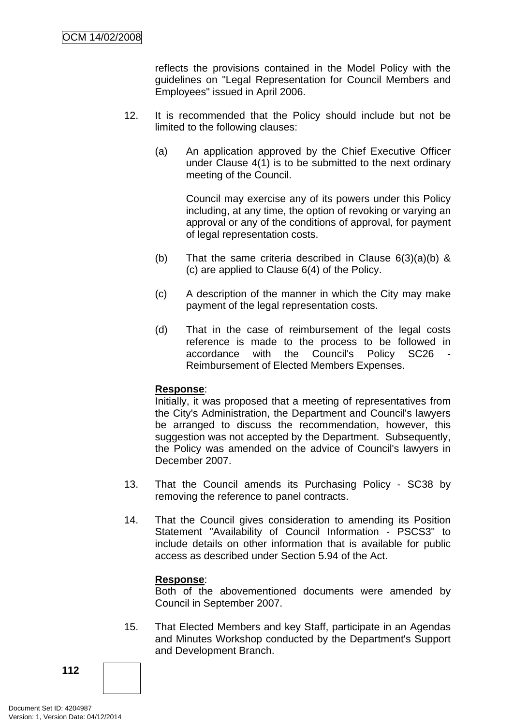reflects the provisions contained in the Model Policy with the guidelines on "Legal Representation for Council Members and Employees" issued in April 2006.

- 12. It is recommended that the Policy should include but not be limited to the following clauses:
	- (a) An application approved by the Chief Executive Officer under Clause 4(1) is to be submitted to the next ordinary meeting of the Council.

Council may exercise any of its powers under this Policy including, at any time, the option of revoking or varying an approval or any of the conditions of approval, for payment of legal representation costs.

- (b) That the same criteria described in Clause 6(3)(a)(b) & (c) are applied to Clause 6(4) of the Policy.
- (c) A description of the manner in which the City may make payment of the legal representation costs.
- (d) That in the case of reimbursement of the legal costs reference is made to the process to be followed in accordance with the Council's Policy SC26 Reimbursement of Elected Members Expenses.

## **Response**:

Initially, it was proposed that a meeting of representatives from the City's Administration, the Department and Council's lawyers be arranged to discuss the recommendation, however, this suggestion was not accepted by the Department. Subsequently, the Policy was amended on the advice of Council's lawyers in December 2007.

- 13. That the Council amends its Purchasing Policy SC38 by removing the reference to panel contracts.
- 14. That the Council gives consideration to amending its Position Statement "Availability of Council Information - PSCS3" to include details on other information that is available for public access as described under Section 5.94 of the Act.

## **Response**:

Both of the abovementioned documents were amended by Council in September 2007.

15. That Elected Members and key Staff, participate in an Agendas and Minutes Workshop conducted by the Department's Support and Development Branch.

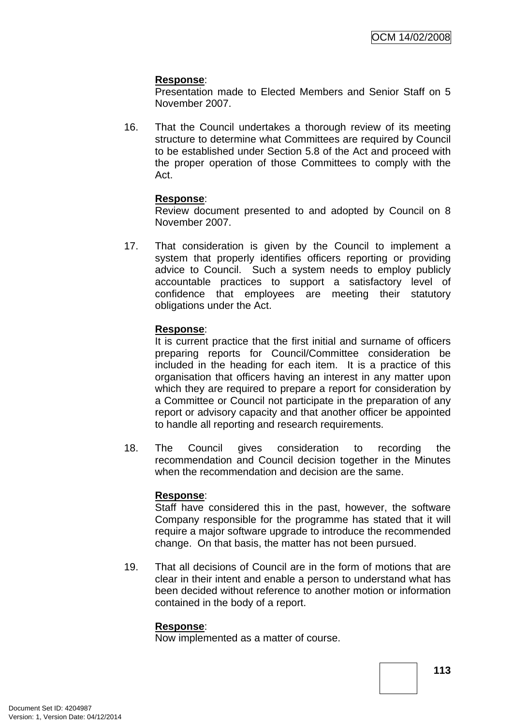## **Response**:

Presentation made to Elected Members and Senior Staff on 5 November 2007.

16. That the Council undertakes a thorough review of its meeting structure to determine what Committees are required by Council to be established under Section 5.8 of the Act and proceed with the proper operation of those Committees to comply with the Act.

#### **Response**:

Review document presented to and adopted by Council on 8 November 2007.

17. That consideration is given by the Council to implement a system that properly identifies officers reporting or providing advice to Council. Such a system needs to employ publicly accountable practices to support a satisfactory level of confidence that employees are meeting their statutory obligations under the Act.

#### **Response**:

It is current practice that the first initial and surname of officers preparing reports for Council/Committee consideration be included in the heading for each item. It is a practice of this organisation that officers having an interest in any matter upon which they are required to prepare a report for consideration by a Committee or Council not participate in the preparation of any report or advisory capacity and that another officer be appointed to handle all reporting and research requirements.

18. The Council gives consideration to recording the recommendation and Council decision together in the Minutes when the recommendation and decision are the same.

## **Response**:

Staff have considered this in the past, however, the software Company responsible for the programme has stated that it will require a major software upgrade to introduce the recommended change. On that basis, the matter has not been pursued.

19. That all decisions of Council are in the form of motions that are clear in their intent and enable a person to understand what has been decided without reference to another motion or information contained in the body of a report.

#### **Response**:

Now implemented as a matter of course.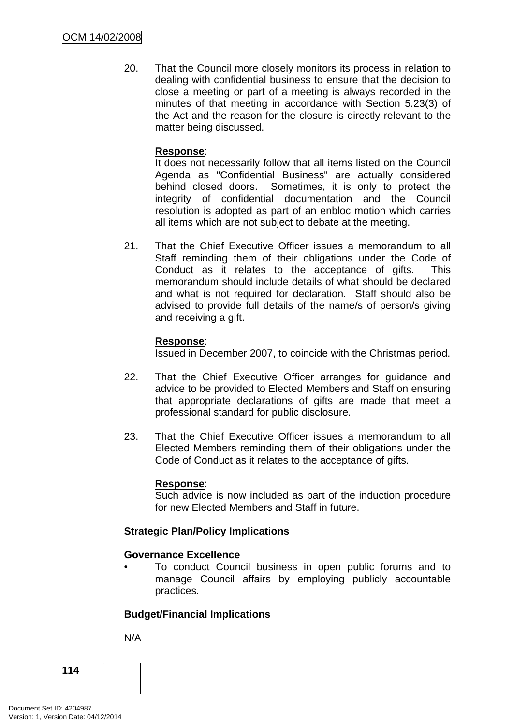20. That the Council more closely monitors its process in relation to dealing with confidential business to ensure that the decision to close a meeting or part of a meeting is always recorded in the minutes of that meeting in accordance with Section 5.23(3) of the Act and the reason for the closure is directly relevant to the matter being discussed.

## **Response**:

It does not necessarily follow that all items listed on the Council Agenda as "Confidential Business" are actually considered behind closed doors. Sometimes, it is only to protect the integrity of confidential documentation and the Council resolution is adopted as part of an enbloc motion which carries all items which are not subject to debate at the meeting.

21. That the Chief Executive Officer issues a memorandum to all Staff reminding them of their obligations under the Code of Conduct as it relates to the acceptance of gifts. This memorandum should include details of what should be declared and what is not required for declaration. Staff should also be advised to provide full details of the name/s of person/s giving and receiving a gift.

#### **Response**:

Issued in December 2007, to coincide with the Christmas period.

- 22. That the Chief Executive Officer arranges for guidance and advice to be provided to Elected Members and Staff on ensuring that appropriate declarations of gifts are made that meet a professional standard for public disclosure.
- 23. That the Chief Executive Officer issues a memorandum to all Elected Members reminding them of their obligations under the Code of Conduct as it relates to the acceptance of gifts.

#### **Response**:

Such advice is now included as part of the induction procedure for new Elected Members and Staff in future.

## **Strategic Plan/Policy Implications**

## **Governance Excellence**

• To conduct Council business in open public forums and to manage Council affairs by employing publicly accountable practices.

## **Budget/Financial Implications**

N/A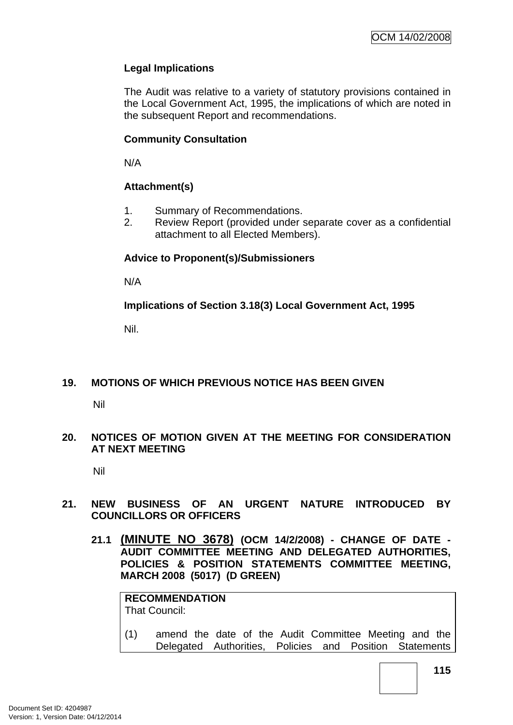# **Legal Implications**

The Audit was relative to a variety of statutory provisions contained in the Local Government Act, 1995, the implications of which are noted in the subsequent Report and recommendations.

## **Community Consultation**

N/A

# **Attachment(s)**

- 1. Summary of Recommendations.
- 2. Review Report (provided under separate cover as a confidential attachment to all Elected Members).

## **Advice to Proponent(s)/Submissioners**

N/A

**Implications of Section 3.18(3) Local Government Act, 1995**

Nil.

# **19. MOTIONS OF WHICH PREVIOUS NOTICE HAS BEEN GIVEN**

Nil

## **20. NOTICES OF MOTION GIVEN AT THE MEETING FOR CONSIDERATION AT NEXT MEETING**

Nil

- **21. NEW BUSINESS OF AN URGENT NATURE INTRODUCED BY COUNCILLORS OR OFFICERS** 
	- **21.1 (MINUTE NO 3678) (OCM 14/2/2008) CHANGE OF DATE AUDIT COMMITTEE MEETING AND DELEGATED AUTHORITIES, POLICIES & POSITION STATEMENTS COMMITTEE MEETING, MARCH 2008 (5017) (D GREEN)**

**RECOMMENDATION** That Council:

(1) amend the date of the Audit Committee Meeting and the Delegated Authorities, Policies and Position Statements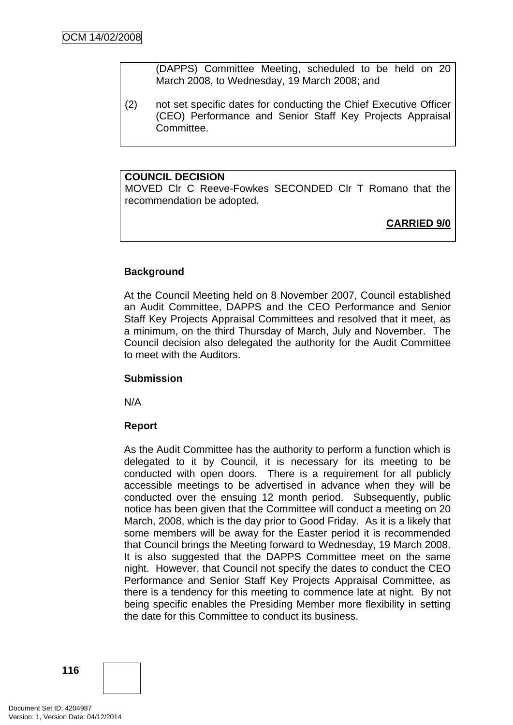(DAPPS) Committee Meeting, scheduled to be held on 20 March 2008, to Wednesday, 19 March 2008; and

(2) not set specific dates for conducting the Chief Executive Officer (CEO) Performance and Senior Staff Key Projects Appraisal Committee.

## **COUNCIL DECISION**

MOVED Clr C Reeve-Fowkes SECONDED Clr T Romano that the recommendation be adopted.

**CARRIED 9/0**

# **Background**

At the Council Meeting held on 8 November 2007, Council established an Audit Committee, DAPPS and the CEO Performance and Senior Staff Key Projects Appraisal Committees and resolved that it meet, as a minimum, on the third Thursday of March, July and November. The Council decision also delegated the authority for the Audit Committee to meet with the Auditors.

## **Submission**

N/A

## **Report**

As the Audit Committee has the authority to perform a function which is delegated to it by Council, it is necessary for its meeting to be conducted with open doors. There is a requirement for all publicly accessible meetings to be advertised in advance when they will be conducted over the ensuing 12 month period. Subsequently, public notice has been given that the Committee will conduct a meeting on 20 March, 2008, which is the day prior to Good Friday. As it is a likely that some members will be away for the Easter period it is recommended that Council brings the Meeting forward to Wednesday, 19 March 2008. It is also suggested that the DAPPS Committee meet on the same night. However, that Council not specify the dates to conduct the CEO Performance and Senior Staff Key Projects Appraisal Committee, as there is a tendency for this meeting to commence late at night. By not being specific enables the Presiding Member more flexibility in setting the date for this Committee to conduct its business.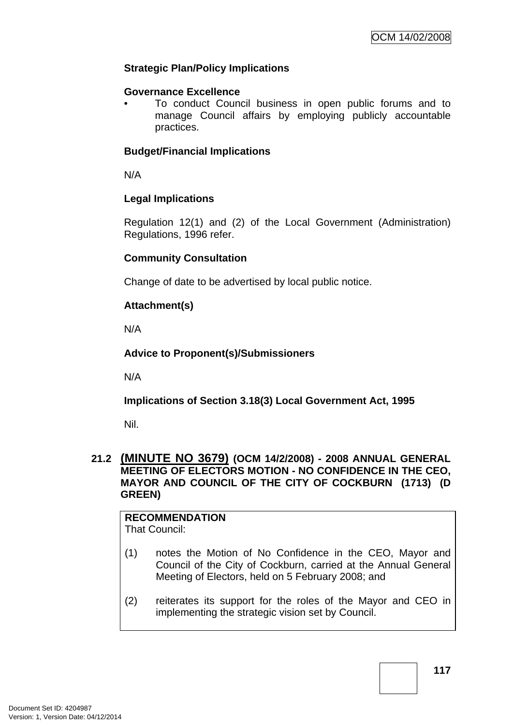# **Strategic Plan/Policy Implications**

## **Governance Excellence**

• To conduct Council business in open public forums and to manage Council affairs by employing publicly accountable practices.

# **Budget/Financial Implications**

N/A

# **Legal Implications**

Regulation 12(1) and (2) of the Local Government (Administration) Regulations, 1996 refer.

# **Community Consultation**

Change of date to be advertised by local public notice.

# **Attachment(s)**

N/A

# **Advice to Proponent(s)/Submissioners**

N/A

**Implications of Section 3.18(3) Local Government Act, 1995**

Nil.

# **21.2 (MINUTE NO 3679) (OCM 14/2/2008) - 2008 ANNUAL GENERAL MEETING OF ELECTORS MOTION - NO CONFIDENCE IN THE CEO, MAYOR AND COUNCIL OF THE CITY OF COCKBURN (1713) (D GREEN)**

**RECOMMENDATION** That Council:

- (1) notes the Motion of No Confidence in the CEO, Mayor and Council of the City of Cockburn, carried at the Annual General Meeting of Electors, held on 5 February 2008; and
- (2) reiterates its support for the roles of the Mayor and CEO in implementing the strategic vision set by Council.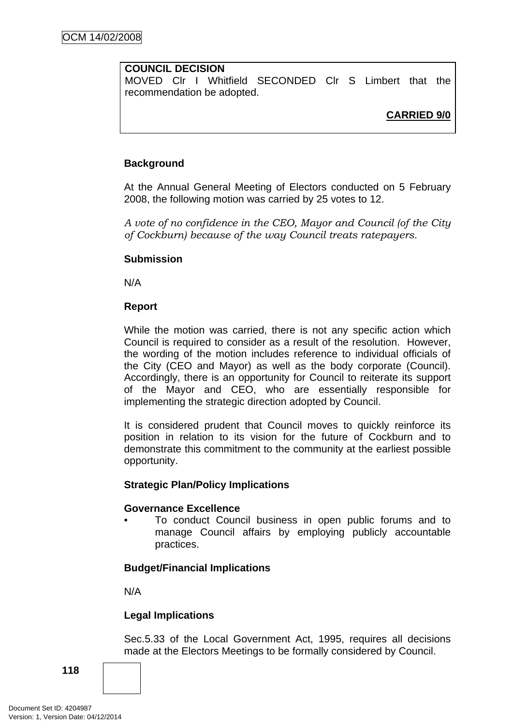# **COUNCIL DECISION**

MOVED Clr I Whitfield SECONDED Clr S Limbert that the recommendation be adopted.

# **CARRIED 9/0**

## **Background**

At the Annual General Meeting of Electors conducted on 5 February 2008, the following motion was carried by 25 votes to 12.

*A vote of no confidence in the CEO, Mayor and Council (of the City of Cockburn) because of the way Council treats ratepayers.* 

## **Submission**

N/A

## **Report**

While the motion was carried, there is not any specific action which Council is required to consider as a result of the resolution. However, the wording of the motion includes reference to individual officials of the City (CEO and Mayor) as well as the body corporate (Council). Accordingly, there is an opportunity for Council to reiterate its support of the Mayor and CEO, who are essentially responsible for implementing the strategic direction adopted by Council.

It is considered prudent that Council moves to quickly reinforce its position in relation to its vision for the future of Cockburn and to demonstrate this commitment to the community at the earliest possible opportunity.

## **Strategic Plan/Policy Implications**

## **Governance Excellence**

• To conduct Council business in open public forums and to manage Council affairs by employing publicly accountable practices.

## **Budget/Financial Implications**

N/A

## **Legal Implications**

Sec.5.33 of the Local Government Act, 1995, requires all decisions made at the Electors Meetings to be formally considered by Council.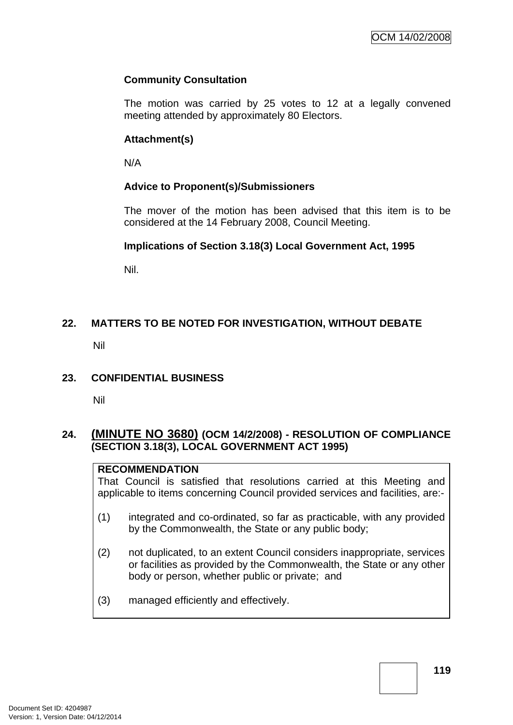# **Community Consultation**

The motion was carried by 25 votes to 12 at a legally convened meeting attended by approximately 80 Electors.

# **Attachment(s)**

N/A

# **Advice to Proponent(s)/Submissioners**

The mover of the motion has been advised that this item is to be considered at the 14 February 2008, Council Meeting.

## **Implications of Section 3.18(3) Local Government Act, 1995**

Nil.

# **22. MATTERS TO BE NOTED FOR INVESTIGATION, WITHOUT DEBATE**

Nil

**23. CONFIDENTIAL BUSINESS** 

Nil

# **24. (MINUTE NO 3680) (OCM 14/2/2008) - RESOLUTION OF COMPLIANCE (SECTION 3.18(3), LOCAL GOVERNMENT ACT 1995)**

## **RECOMMENDATION**

That Council is satisfied that resolutions carried at this Meeting and applicable to items concerning Council provided services and facilities, are:-

- (1) integrated and co-ordinated, so far as practicable, with any provided by the Commonwealth, the State or any public body;
- (2) not duplicated, to an extent Council considers inappropriate, services or facilities as provided by the Commonwealth, the State or any other body or person, whether public or private; and
- (3) managed efficiently and effectively.